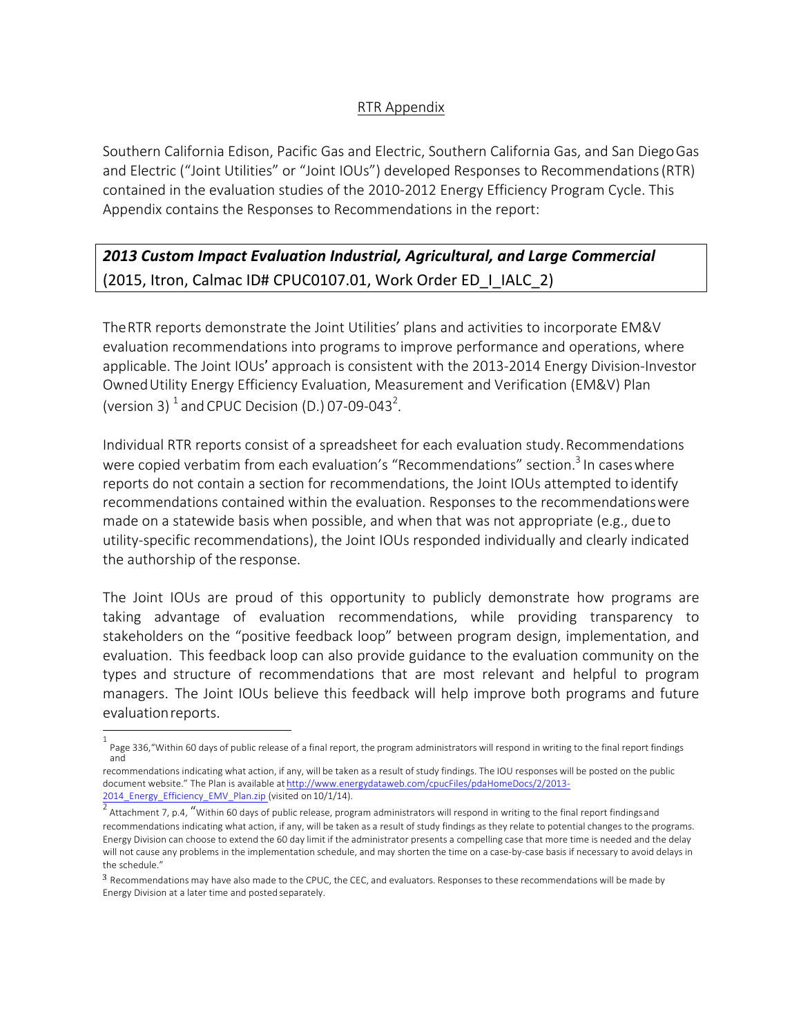## RTR Appendix

Southern California Edison, Pacific Gas and Electric, Southern California Gas, and San DiegoGas and Electric ("Joint Utilities" or "Joint IOUs") developed Responses to Recommendations(RTR) contained in the evaluation studies of the 2010-2012 Energy Efficiency Program Cycle. This Appendix contains the Responses to Recommendations in the report:

# *2013 Custom Impact Evaluation Industrial, Agricultural, and Large Commercial* (2015, Itron, Calmac ID# CPUC0107.01, Work Order ED | IALC\_2)

TheRTR reports demonstrate the Joint Utilities' plans and activities to incorporate EM&V evaluation recommendations into programs to improve performance and operations, where applicable. The Joint IOUs' approach is consistent with the 2013-2014 Energy Division-Investor OwnedUtility Energy Efficiency Evaluation, Measurement and Verification (EM&V) Plan (version 3)  $^1$  and CPUC Decision (D.) 07-09-043<sup>2</sup>.

Individual RTR reports consist of a spreadsheet for each evaluation study.Recommendations were copied verbatim from each evaluation's "Recommendations" section.<sup>3</sup> In cases where reports do not contain a section for recommendations, the Joint IOUs attempted to identify recommendations contained within the evaluation. Responses to the recommendationswere made on a statewide basis when possible, and when that was not appropriate (e.g., dueto utility-specific recommendations), the Joint IOUs responded individually and clearly indicated the authorship of the response.

The Joint IOUs are proud of this opportunity to publicly demonstrate how programs are taking advantage of evaluation recommendations, while providing transparency to stakeholders on the "positive feedback loop" between program design, implementation, and evaluation. This feedback loop can also provide guidance to the evaluation community on the types and structure of recommendations that are most relevant and helpful to program managers. The Joint IOUs believe this feedback will help improve both programs and future evaluationreports.

<sup>1</sup> Page 336,"Within 60 days of public release of a final report, the program administrators will respond in writing to the final report findings and

recommendations indicating what action, if any, will be taken as a result of study findings. The IOU responses will be posted on the public document website." The Plan is available at http://www.energydataweb.com/cpucFiles/pdaHomeDocs/2/2013- 2014\_Energy\_Efficiency\_EMV\_Plan.zip (visited on 10/1/14).

Attachment 7, p.4, "Within 60 days of public release, program administrators will respond in writing to the final report findingsand recommendations indicating what action, if any, will be taken as a result of study findings as they relate to potential changes to the programs. Energy Division can choose to extend the 60 day limit if the administrator presents a compelling case that more time is needed and the delay will not cause any problems in the implementation schedule, and may shorten the time on a case-by-case basis if necessary to avoid delays in the schedule."

<sup>3</sup> Recommendations may have also made to the CPUC, the CEC, and evaluators. Responses to these recommendations will be made by Energy Division at a later time and posted separately.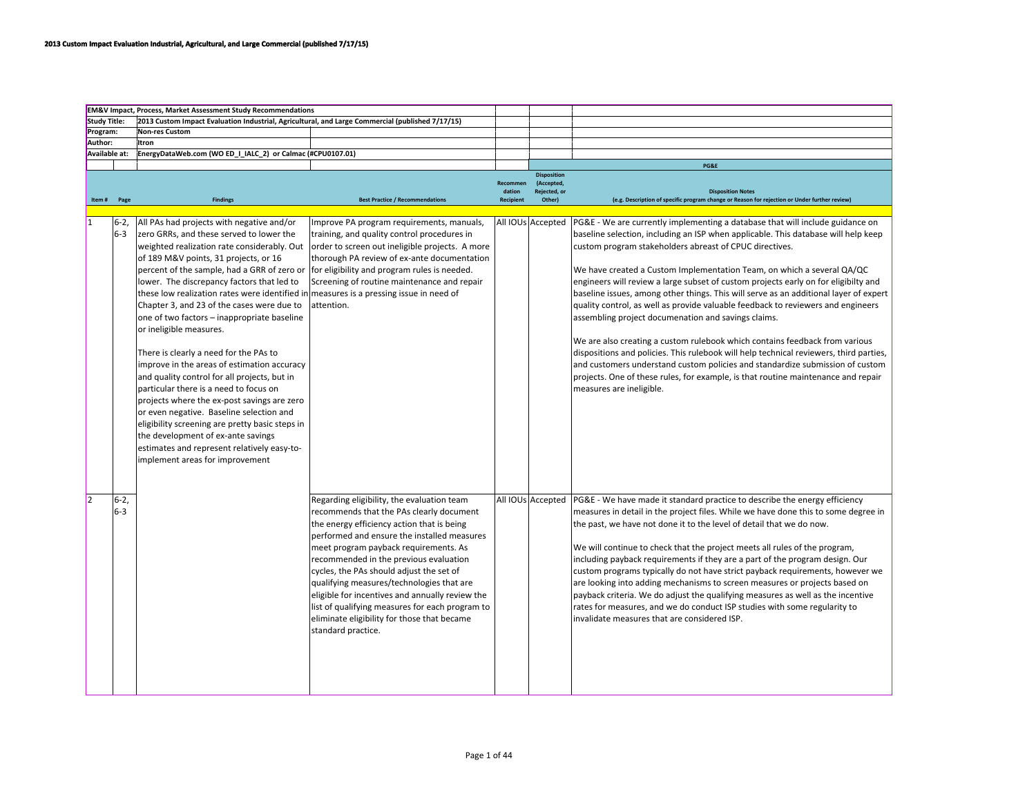|                |                 | <b>EM&amp;V Impact, Process, Market Assessment Study Recommendations</b>                                                                                                                                                                                                                                                                                                                                                                                                                                                                                                                                                                                                                                                                                                                                      |                                                                                                                                                                                                                                                                                                                                                                                                                                                                                                                                            |                    |                                                          |                                                                                                                                                                                                                                                                                                                                                                                                                                                                                                                                                                                                                                                                                                                                                                                       |
|----------------|-----------------|---------------------------------------------------------------------------------------------------------------------------------------------------------------------------------------------------------------------------------------------------------------------------------------------------------------------------------------------------------------------------------------------------------------------------------------------------------------------------------------------------------------------------------------------------------------------------------------------------------------------------------------------------------------------------------------------------------------------------------------------------------------------------------------------------------------|--------------------------------------------------------------------------------------------------------------------------------------------------------------------------------------------------------------------------------------------------------------------------------------------------------------------------------------------------------------------------------------------------------------------------------------------------------------------------------------------------------------------------------------------|--------------------|----------------------------------------------------------|---------------------------------------------------------------------------------------------------------------------------------------------------------------------------------------------------------------------------------------------------------------------------------------------------------------------------------------------------------------------------------------------------------------------------------------------------------------------------------------------------------------------------------------------------------------------------------------------------------------------------------------------------------------------------------------------------------------------------------------------------------------------------------------|
| Study Title:   |                 | 2013 Custom Impact Evaluation Industrial, Agricultural, and Large Commercial (published 7/17/15)                                                                                                                                                                                                                                                                                                                                                                                                                                                                                                                                                                                                                                                                                                              |                                                                                                                                                                                                                                                                                                                                                                                                                                                                                                                                            |                    |                                                          |                                                                                                                                                                                                                                                                                                                                                                                                                                                                                                                                                                                                                                                                                                                                                                                       |
| Program:       |                 | <b>Non-res Custom</b>                                                                                                                                                                                                                                                                                                                                                                                                                                                                                                                                                                                                                                                                                                                                                                                         |                                                                                                                                                                                                                                                                                                                                                                                                                                                                                                                                            |                    |                                                          |                                                                                                                                                                                                                                                                                                                                                                                                                                                                                                                                                                                                                                                                                                                                                                                       |
| Author:        |                 | Itron                                                                                                                                                                                                                                                                                                                                                                                                                                                                                                                                                                                                                                                                                                                                                                                                         |                                                                                                                                                                                                                                                                                                                                                                                                                                                                                                                                            |                    |                                                          |                                                                                                                                                                                                                                                                                                                                                                                                                                                                                                                                                                                                                                                                                                                                                                                       |
|                |                 |                                                                                                                                                                                                                                                                                                                                                                                                                                                                                                                                                                                                                                                                                                                                                                                                               |                                                                                                                                                                                                                                                                                                                                                                                                                                                                                                                                            |                    |                                                          |                                                                                                                                                                                                                                                                                                                                                                                                                                                                                                                                                                                                                                                                                                                                                                                       |
| Available at:  |                 | EnergyDataWeb.com (WO ED_I_IALC_2) or Calmac (#CPU0107.01)                                                                                                                                                                                                                                                                                                                                                                                                                                                                                                                                                                                                                                                                                                                                                    |                                                                                                                                                                                                                                                                                                                                                                                                                                                                                                                                            |                    |                                                          |                                                                                                                                                                                                                                                                                                                                                                                                                                                                                                                                                                                                                                                                                                                                                                                       |
|                |                 |                                                                                                                                                                                                                                                                                                                                                                                                                                                                                                                                                                                                                                                                                                                                                                                                               |                                                                                                                                                                                                                                                                                                                                                                                                                                                                                                                                            |                    |                                                          | PG&E                                                                                                                                                                                                                                                                                                                                                                                                                                                                                                                                                                                                                                                                                                                                                                                  |
|                |                 |                                                                                                                                                                                                                                                                                                                                                                                                                                                                                                                                                                                                                                                                                                                                                                                                               |                                                                                                                                                                                                                                                                                                                                                                                                                                                                                                                                            | Recommen<br>dation | <b>Disposition</b><br>(Accepted,<br><b>Reiected</b> , or | <b>Disposition Notes</b>                                                                                                                                                                                                                                                                                                                                                                                                                                                                                                                                                                                                                                                                                                                                                              |
|                | Item # Page     | <b>Findings</b>                                                                                                                                                                                                                                                                                                                                                                                                                                                                                                                                                                                                                                                                                                                                                                                               | <b>Best Practice / Recommendations</b>                                                                                                                                                                                                                                                                                                                                                                                                                                                                                                     | <b>Recipient</b>   | Other)                                                   | (e.g. Description of specific program change or Reason for rejection or Under further review)                                                                                                                                                                                                                                                                                                                                                                                                                                                                                                                                                                                                                                                                                         |
|                |                 |                                                                                                                                                                                                                                                                                                                                                                                                                                                                                                                                                                                                                                                                                                                                                                                                               |                                                                                                                                                                                                                                                                                                                                                                                                                                                                                                                                            |                    |                                                          |                                                                                                                                                                                                                                                                                                                                                                                                                                                                                                                                                                                                                                                                                                                                                                                       |
| $\overline{1}$ | 16-2.<br>6-3    | All PAs had projects with negative and/or<br>zero GRRs, and these served to lower the<br>weighted realization rate considerably. Out                                                                                                                                                                                                                                                                                                                                                                                                                                                                                                                                                                                                                                                                          | Improve PA program requirements, manuals,<br>training, and quality control procedures in<br>order to screen out ineligible projects. A more                                                                                                                                                                                                                                                                                                                                                                                                |                    | All IOUs Accepted                                        | PG&E - We are currently implementing a database that will include guidance on<br>baseline selection, including an ISP when applicable. This database will help keep<br>custom program stakeholders abreast of CPUC directives.                                                                                                                                                                                                                                                                                                                                                                                                                                                                                                                                                        |
|                |                 | of 189 M&V points, 31 projects, or 16<br>percent of the sample, had a GRR of zero or<br>lower. The discrepancy factors that led to<br>these low realization rates were identified in measures is a pressing issue in need of<br>Chapter 3, and 23 of the cases were due to<br>one of two factors - inappropriate baseline<br>or ineligible measures.<br>There is clearly a need for the PAs to<br>improve in the areas of estimation accuracy<br>and quality control for all projects, but in<br>particular there is a need to focus on<br>projects where the ex-post savings are zero<br>or even negative. Baseline selection and<br>eligibility screening are pretty basic steps in<br>the development of ex-ante savings<br>estimates and represent relatively easy-to-<br>implement areas for improvement | thorough PA review of ex-ante documentation<br>for eligibility and program rules is needed.<br>Screening of routine maintenance and repair<br>attention.                                                                                                                                                                                                                                                                                                                                                                                   |                    |                                                          | We have created a Custom Implementation Team, on which a several QA/QC<br>engineers will review a large subset of custom projects early on for eligibilty and<br>baseline issues, among other things. This will serve as an additional layer of expert<br>quality control, as well as provide valuable feedback to reviewers and engineers<br>assembling project documenation and savings claims.<br>We are also creating a custom rulebook which contains feedback from various<br>dispositions and policies. This rulebook will help technical reviewers, third parties,<br>and customers understand custom policies and standardize submission of custom<br>projects. One of these rules, for example, is that routine maintenance and repair<br>measures are ineligible.          |
| <b>2</b>       | $6-2,$<br>$6-3$ |                                                                                                                                                                                                                                                                                                                                                                                                                                                                                                                                                                                                                                                                                                                                                                                                               | Regarding eligibility, the evaluation team<br>recommends that the PAs clearly document<br>the energy efficiency action that is being<br>performed and ensure the installed measures<br>meet program payback requirements. As<br>recommended in the previous evaluation<br>cycles, the PAs should adjust the set of<br>qualifying measures/technologies that are<br>eligible for incentives and annually review the<br>list of qualifying measures for each program to<br>eliminate eligibility for those that became<br>standard practice. |                    | All IOUs Accepted                                        | PG&E - We have made it standard practice to describe the energy efficiency<br>measures in detail in the project files. While we have done this to some degree in<br>the past, we have not done it to the level of detail that we do now.<br>We will continue to check that the project meets all rules of the program,<br>including payback requirements if they are a part of the program design. Our<br>custom programs typically do not have strict payback requirements, however we<br>are looking into adding mechanisms to screen measures or projects based on<br>payback criteria. We do adjust the qualifying measures as well as the incentive<br>rates for measures, and we do conduct ISP studies with some regularity to<br>invalidate measures that are considered ISP. |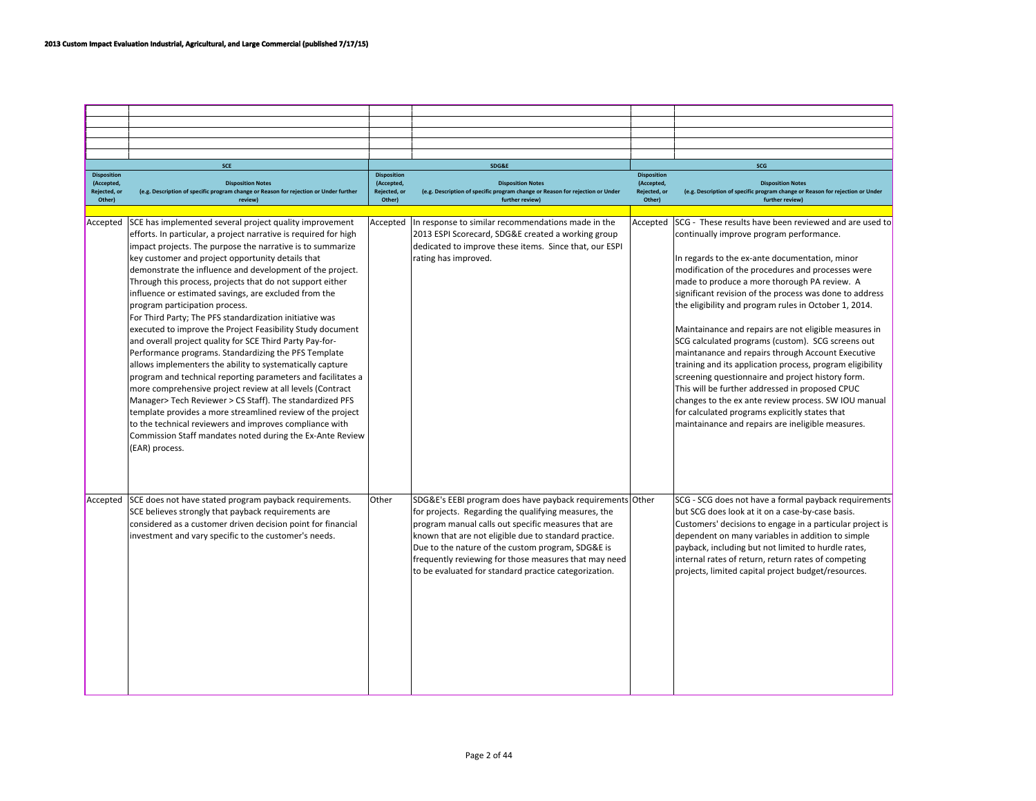|                                      | <b>SCE</b>                                                                                                                                                                                                                                                                                                                                                                                                                                                                                                                                                                                                                                                                                                                                                                                                                                                                                                                                                                                                                           |                                      | SDG&E                                                                                                                                                                                                                                                                                                                                                                                                    |                                      | SCG                                                                                                                                                                                                                                                                                                                                                                                                                                                                                                                                                                                                                                                                                                                                                                                                                             |
|--------------------------------------|--------------------------------------------------------------------------------------------------------------------------------------------------------------------------------------------------------------------------------------------------------------------------------------------------------------------------------------------------------------------------------------------------------------------------------------------------------------------------------------------------------------------------------------------------------------------------------------------------------------------------------------------------------------------------------------------------------------------------------------------------------------------------------------------------------------------------------------------------------------------------------------------------------------------------------------------------------------------------------------------------------------------------------------|--------------------------------------|----------------------------------------------------------------------------------------------------------------------------------------------------------------------------------------------------------------------------------------------------------------------------------------------------------------------------------------------------------------------------------------------------------|--------------------------------------|---------------------------------------------------------------------------------------------------------------------------------------------------------------------------------------------------------------------------------------------------------------------------------------------------------------------------------------------------------------------------------------------------------------------------------------------------------------------------------------------------------------------------------------------------------------------------------------------------------------------------------------------------------------------------------------------------------------------------------------------------------------------------------------------------------------------------------|
| <b>Disposition</b>                   |                                                                                                                                                                                                                                                                                                                                                                                                                                                                                                                                                                                                                                                                                                                                                                                                                                                                                                                                                                                                                                      | <b>Disposition</b>                   |                                                                                                                                                                                                                                                                                                                                                                                                          | <b>Disposition</b>                   |                                                                                                                                                                                                                                                                                                                                                                                                                                                                                                                                                                                                                                                                                                                                                                                                                                 |
| (Accepted,<br>Rejected, or<br>Other) | <b>Disposition Notes</b><br>(e.g. Description of specific program change or Reason for rejection or Under further<br>reviewl                                                                                                                                                                                                                                                                                                                                                                                                                                                                                                                                                                                                                                                                                                                                                                                                                                                                                                         | (Accepted,<br>Rejected, or<br>Other) | <b>Disposition Notes</b><br>(e.g. Description of specific program change or Reason for rejection or Under<br>further review]                                                                                                                                                                                                                                                                             | (Accepted,<br>Rejected, or<br>Other) | <b>Disposition Notes</b><br>(e.g. Description of specific program change or Reason for rejection or Under<br>further review)                                                                                                                                                                                                                                                                                                                                                                                                                                                                                                                                                                                                                                                                                                    |
|                                      |                                                                                                                                                                                                                                                                                                                                                                                                                                                                                                                                                                                                                                                                                                                                                                                                                                                                                                                                                                                                                                      |                                      |                                                                                                                                                                                                                                                                                                                                                                                                          |                                      |                                                                                                                                                                                                                                                                                                                                                                                                                                                                                                                                                                                                                                                                                                                                                                                                                                 |
| Accepted                             | SCE has implemented several project quality improvement<br>efforts. In particular, a project narrative is required for high<br>impact projects. The purpose the narrative is to summarize<br>key customer and project opportunity details that<br>demonstrate the influence and development of the project.<br>Through this process, projects that do not support either<br>influence or estimated savings, are excluded from the<br>program participation process.<br>For Third Party; The PFS standardization initiative was<br>executed to improve the Project Feasibility Study document<br>and overall project quality for SCE Third Party Pay-for-<br>Performance programs. Standardizing the PFS Template<br>allows implementers the ability to systematically capture<br>program and technical reporting parameters and facilitates a<br>more comprehensive project review at all levels (Contract<br>Manager> Tech Reviewer > CS Staff). The standardized PFS<br>template provides a more streamlined review of the project | Accepted                             | In response to similar recommendations made in the<br>2013 ESPI Scorecard, SDG&E created a working group<br>dedicated to improve these items. Since that, our ESPI<br>rating has improved.                                                                                                                                                                                                               | Accepted                             | SCG - These results have been reviewed and are used to<br>continually improve program performance.<br>In regards to the ex-ante documentation, minor<br>modification of the procedures and processes were<br>made to produce a more thorough PA review. A<br>significant revision of the process was done to address<br>the eligibility and program rules in October 1, 2014.<br>Maintainance and repairs are not eligible measures in<br>SCG calculated programs (custom). SCG screens out<br>maintanance and repairs through Account Executive<br>training and its application process, program eligibility<br>screening questionnaire and project history form.<br>This will be further addressed in proposed CPUC<br>changes to the ex ante review process. SW IOU manual<br>for calculated programs explicitly states that |
| Accepted                             | to the technical reviewers and improves compliance with<br>Commission Staff mandates noted during the Ex-Ante Review<br>(EAR) process.<br>SCE does not have stated program payback requirements.<br>SCE believes strongly that payback requirements are<br>considered as a customer driven decision point for financial<br>investment and vary specific to the customer's needs.                                                                                                                                                                                                                                                                                                                                                                                                                                                                                                                                                                                                                                                     | Other                                | SDG&E's EEBI program does have payback requirements Other<br>for projects. Regarding the qualifying measures, the<br>program manual calls out specific measures that are<br>known that are not eligible due to standard practice.<br>Due to the nature of the custom program, SDG&E is<br>frequently reviewing for those measures that may need<br>to be evaluated for standard practice categorization. |                                      | maintainance and repairs are ineligible measures.<br>SCG - SCG does not have a formal payback requirements<br>but SCG does look at it on a case-by-case basis.<br>Customers' decisions to engage in a particular project is<br>dependent on many variables in addition to simple<br>payback, including but not limited to hurdle rates,<br>internal rates of return, return rates of competing<br>projects, limited capital project budget/resources.                                                                                                                                                                                                                                                                                                                                                                           |
|                                      |                                                                                                                                                                                                                                                                                                                                                                                                                                                                                                                                                                                                                                                                                                                                                                                                                                                                                                                                                                                                                                      |                                      |                                                                                                                                                                                                                                                                                                                                                                                                          |                                      |                                                                                                                                                                                                                                                                                                                                                                                                                                                                                                                                                                                                                                                                                                                                                                                                                                 |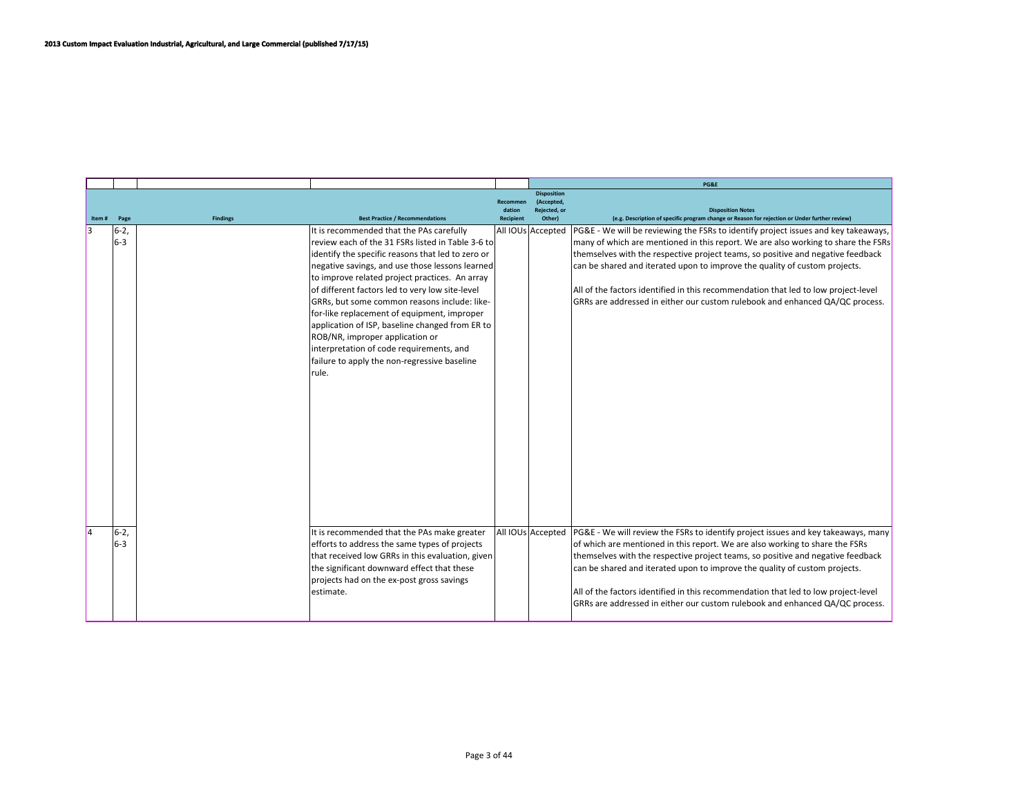|        |              |                 |                                                                                                                                                                                                                                                                                                                                                                                                                                                                                                                                                                                                      |                     |                                  | PG&E                                                                                                                                                                                                                                                                                                                                                                                                                                                                                                                      |
|--------|--------------|-----------------|------------------------------------------------------------------------------------------------------------------------------------------------------------------------------------------------------------------------------------------------------------------------------------------------------------------------------------------------------------------------------------------------------------------------------------------------------------------------------------------------------------------------------------------------------------------------------------------------------|---------------------|----------------------------------|---------------------------------------------------------------------------------------------------------------------------------------------------------------------------------------------------------------------------------------------------------------------------------------------------------------------------------------------------------------------------------------------------------------------------------------------------------------------------------------------------------------------------|
|        |              |                 |                                                                                                                                                                                                                                                                                                                                                                                                                                                                                                                                                                                                      | <b>Recommen</b>     | <b>Disposition</b><br>(Accepted, |                                                                                                                                                                                                                                                                                                                                                                                                                                                                                                                           |
| Item # | Page         | <b>Findings</b> | <b>Best Practice / Recommendations</b>                                                                                                                                                                                                                                                                                                                                                                                                                                                                                                                                                               | dation<br>Recipient | Reiected, or<br>Other)           | <b>Disposition Notes</b><br>(e.g. Description of specific program change or Reason for rejection or Under further review)                                                                                                                                                                                                                                                                                                                                                                                                 |
|        | $6-2$<br>6-3 |                 | It is recommended that the PAs carefully<br>review each of the 31 FSRs listed in Table 3-6 to<br>identify the specific reasons that led to zero or<br>negative savings, and use those lessons learned<br>to improve related project practices. An array<br>of different factors led to very low site-level<br>GRRs, but some common reasons include: like-<br>for-like replacement of equipment, improper<br>application of ISP, baseline changed from ER to<br>ROB/NR, improper application or<br>interpretation of code requirements, and<br>failure to apply the non-regressive baseline<br>rule. |                     | All IOUs Accepted                | <b>PG&amp;E</b> - We will be reviewing the FSRs to identify project issues and key takeaways,<br>many of which are mentioned in this report. We are also working to share the FSRs<br>themselves with the respective project teams, so positive and negative feedback<br>can be shared and iterated upon to improve the quality of custom projects.<br>All of the factors identified in this recommendation that led to low project-level<br>GRRs are addressed in either our custom rulebook and enhanced QA/QC process. |
|        |              |                 |                                                                                                                                                                                                                                                                                                                                                                                                                                                                                                                                                                                                      |                     |                                  |                                                                                                                                                                                                                                                                                                                                                                                                                                                                                                                           |
|        | $6-2$<br>6-3 |                 | It is recommended that the PAs make greater<br>efforts to address the same types of projects<br>that received low GRRs in this evaluation, given<br>the significant downward effect that these<br>projects had on the ex-post gross savings<br>estimate.                                                                                                                                                                                                                                                                                                                                             |                     | All IOUs Accepted                | PG&E - We will review the FSRs to identify project issues and key takeaways, many<br>of which are mentioned in this report. We are also working to share the FSRs<br>themselves with the respective project teams, so positive and negative feedback<br>can be shared and iterated upon to improve the quality of custom projects.<br>All of the factors identified in this recommendation that led to low project-level<br>GRRs are addressed in either our custom rulebook and enhanced QA/QC process.                  |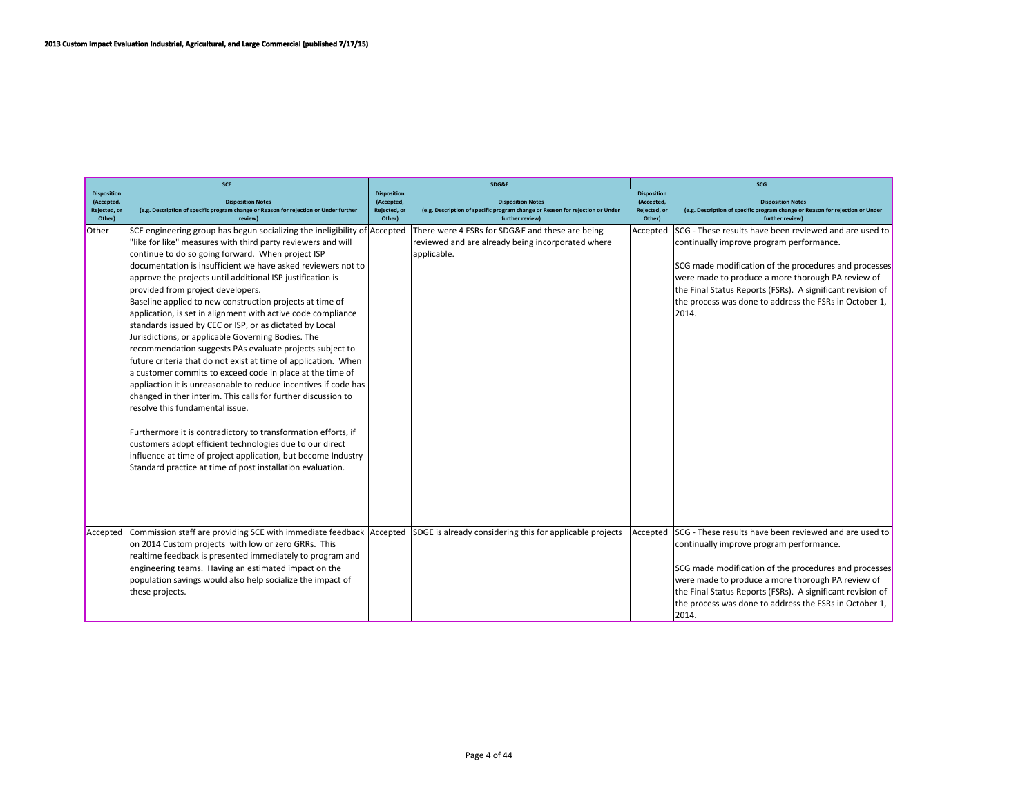|                                                            | <b>SCE</b>                                                                                                                         |                                                            | SDG&E                                                                                                                        | <b>SCG</b>                                                 |                                                                                                                              |  |
|------------------------------------------------------------|------------------------------------------------------------------------------------------------------------------------------------|------------------------------------------------------------|------------------------------------------------------------------------------------------------------------------------------|------------------------------------------------------------|------------------------------------------------------------------------------------------------------------------------------|--|
| <b>Disposition</b><br>(Accepted,<br>Rejected, or<br>Other) | <b>Disposition Notes</b><br>(e.g. Description of specific program change or Reason for rejection or Under further<br><b>review</b> | <b>Disposition</b><br>(Accepted,<br>Rejected, or<br>Other) | <b>Disposition Notes</b><br>(e.g. Description of specific program change or Reason for rejection or Under<br>further review) | <b>Disposition</b><br>(Accepted,<br>Rejected, or<br>Other) | <b>Disposition Notes</b><br>(e.g. Description of specific program change or Reason for rejection or Under<br>further review) |  |
| Other                                                      | SCE engineering group has begun socializing the ineligibility of Accepted                                                          |                                                            | There were 4 FSRs for SDG&E and these are being                                                                              | Accepted                                                   | SCG - These results have been reviewed and are used to                                                                       |  |
|                                                            | "like for like" measures with third party reviewers and will                                                                       |                                                            | reviewed and are already being incorporated where                                                                            |                                                            | continually improve program performance.                                                                                     |  |
|                                                            | continue to do so going forward. When project ISP                                                                                  |                                                            | applicable.                                                                                                                  |                                                            |                                                                                                                              |  |
|                                                            | documentation is insufficient we have asked reviewers not to                                                                       |                                                            |                                                                                                                              |                                                            | SCG made modification of the procedures and processes                                                                        |  |
|                                                            | approve the projects until additional ISP justification is                                                                         |                                                            |                                                                                                                              |                                                            | were made to produce a more thorough PA review of                                                                            |  |
|                                                            | provided from project developers.                                                                                                  |                                                            |                                                                                                                              |                                                            | the Final Status Reports (FSRs). A significant revision of                                                                   |  |
|                                                            | Baseline applied to new construction projects at time of                                                                           |                                                            |                                                                                                                              |                                                            | the process was done to address the FSRs in October 1,                                                                       |  |
|                                                            | application, is set in alignment with active code compliance                                                                       |                                                            |                                                                                                                              |                                                            | 2014.                                                                                                                        |  |
|                                                            | standards issued by CEC or ISP, or as dictated by Local<br>Jurisdictions, or applicable Governing Bodies. The                      |                                                            |                                                                                                                              |                                                            |                                                                                                                              |  |
|                                                            | recommendation suggests PAs evaluate projects subject to                                                                           |                                                            |                                                                                                                              |                                                            |                                                                                                                              |  |
|                                                            | future criteria that do not exist at time of application. When                                                                     |                                                            |                                                                                                                              |                                                            |                                                                                                                              |  |
|                                                            | a customer commits to exceed code in place at the time of                                                                          |                                                            |                                                                                                                              |                                                            |                                                                                                                              |  |
|                                                            | appliaction it is unreasonable to reduce incentives if code has                                                                    |                                                            |                                                                                                                              |                                                            |                                                                                                                              |  |
|                                                            | changed in ther interim. This calls for further discussion to                                                                      |                                                            |                                                                                                                              |                                                            |                                                                                                                              |  |
|                                                            | resolve this fundamental issue.                                                                                                    |                                                            |                                                                                                                              |                                                            |                                                                                                                              |  |
|                                                            |                                                                                                                                    |                                                            |                                                                                                                              |                                                            |                                                                                                                              |  |
|                                                            | Furthermore it is contradictory to transformation efforts, if                                                                      |                                                            |                                                                                                                              |                                                            |                                                                                                                              |  |
|                                                            | customers adopt efficient technologies due to our direct                                                                           |                                                            |                                                                                                                              |                                                            |                                                                                                                              |  |
|                                                            | influence at time of project application, but become Industry                                                                      |                                                            |                                                                                                                              |                                                            |                                                                                                                              |  |
|                                                            | Standard practice at time of post installation evaluation.                                                                         |                                                            |                                                                                                                              |                                                            |                                                                                                                              |  |
|                                                            |                                                                                                                                    |                                                            |                                                                                                                              |                                                            |                                                                                                                              |  |
|                                                            |                                                                                                                                    |                                                            |                                                                                                                              |                                                            |                                                                                                                              |  |
|                                                            |                                                                                                                                    |                                                            |                                                                                                                              |                                                            |                                                                                                                              |  |
|                                                            |                                                                                                                                    |                                                            |                                                                                                                              |                                                            |                                                                                                                              |  |
| Accepted                                                   | Commission staff are providing SCE with immediate feedback Accepted                                                                |                                                            | SDGE is already considering this for applicable projects                                                                     | Accepted                                                   | SCG - These results have been reviewed and are used to                                                                       |  |
|                                                            | on 2014 Custom projects with low or zero GRRs. This                                                                                |                                                            |                                                                                                                              |                                                            | continually improve program performance.                                                                                     |  |
|                                                            | realtime feedback is presented immediately to program and                                                                          |                                                            |                                                                                                                              |                                                            |                                                                                                                              |  |
|                                                            | engineering teams. Having an estimated impact on the                                                                               |                                                            |                                                                                                                              |                                                            | SCG made modification of the procedures and processes                                                                        |  |
|                                                            | population savings would also help socialize the impact of                                                                         |                                                            |                                                                                                                              |                                                            | were made to produce a more thorough PA review of                                                                            |  |
|                                                            | these projects.                                                                                                                    |                                                            |                                                                                                                              |                                                            | the Final Status Reports (FSRs). A significant revision of                                                                   |  |
|                                                            |                                                                                                                                    |                                                            |                                                                                                                              |                                                            | the process was done to address the FSRs in October 1,                                                                       |  |
|                                                            |                                                                                                                                    |                                                            |                                                                                                                              |                                                            | 2014.                                                                                                                        |  |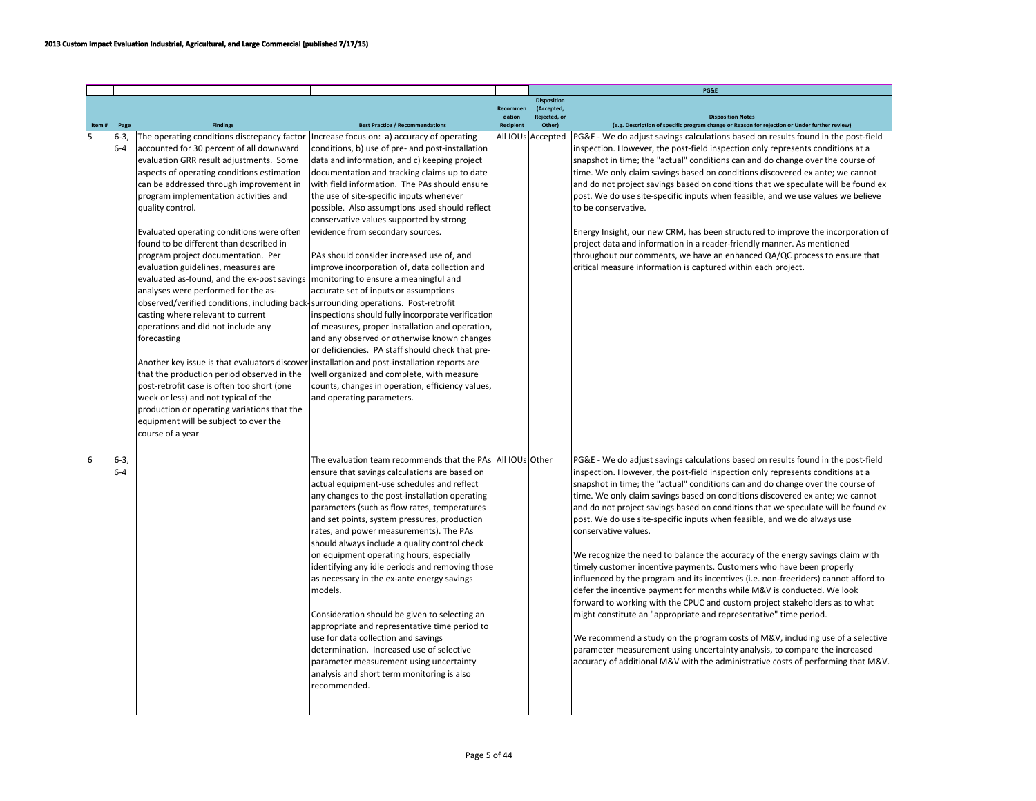|       |                    |                                                                                                                                                                                                                                                                                                                                                                                                                                                                                                                                                                                                                                                                                                                                                                                                                                                                                                                                                 |                                                                                                                                                                                                                                                                                                                                                                                                                                                                                                                                                                                                                                                                                                                                                                                                                                                                                                                                                                                                    |                            |                                  | PG&E                                                                                                                                                                                                                                                                                                                                                                                                                                                                                                                                                                                                                                                                                                                                                                                                                                                                                                                                                                                                                                                                                                                                                                                                                                                               |
|-------|--------------------|-------------------------------------------------------------------------------------------------------------------------------------------------------------------------------------------------------------------------------------------------------------------------------------------------------------------------------------------------------------------------------------------------------------------------------------------------------------------------------------------------------------------------------------------------------------------------------------------------------------------------------------------------------------------------------------------------------------------------------------------------------------------------------------------------------------------------------------------------------------------------------------------------------------------------------------------------|----------------------------------------------------------------------------------------------------------------------------------------------------------------------------------------------------------------------------------------------------------------------------------------------------------------------------------------------------------------------------------------------------------------------------------------------------------------------------------------------------------------------------------------------------------------------------------------------------------------------------------------------------------------------------------------------------------------------------------------------------------------------------------------------------------------------------------------------------------------------------------------------------------------------------------------------------------------------------------------------------|----------------------------|----------------------------------|--------------------------------------------------------------------------------------------------------------------------------------------------------------------------------------------------------------------------------------------------------------------------------------------------------------------------------------------------------------------------------------------------------------------------------------------------------------------------------------------------------------------------------------------------------------------------------------------------------------------------------------------------------------------------------------------------------------------------------------------------------------------------------------------------------------------------------------------------------------------------------------------------------------------------------------------------------------------------------------------------------------------------------------------------------------------------------------------------------------------------------------------------------------------------------------------------------------------------------------------------------------------|
|       |                    |                                                                                                                                                                                                                                                                                                                                                                                                                                                                                                                                                                                                                                                                                                                                                                                                                                                                                                                                                 |                                                                                                                                                                                                                                                                                                                                                                                                                                                                                                                                                                                                                                                                                                                                                                                                                                                                                                                                                                                                    | Recommen                   | <b>Disposition</b><br>(Accepted. |                                                                                                                                                                                                                                                                                                                                                                                                                                                                                                                                                                                                                                                                                                                                                                                                                                                                                                                                                                                                                                                                                                                                                                                                                                                                    |
| Item# | Page               | <b>Findings</b>                                                                                                                                                                                                                                                                                                                                                                                                                                                                                                                                                                                                                                                                                                                                                                                                                                                                                                                                 | <b>Best Practice / Recommendations</b>                                                                                                                                                                                                                                                                                                                                                                                                                                                                                                                                                                                                                                                                                                                                                                                                                                                                                                                                                             | dation<br><b>Recipient</b> | Rejected, or<br>Other)           | <b>Disposition Notes</b><br>(e.g. Description of specific program change or Reason for rejection or Under further review)                                                                                                                                                                                                                                                                                                                                                                                                                                                                                                                                                                                                                                                                                                                                                                                                                                                                                                                                                                                                                                                                                                                                          |
| 5     | $6-3,$             | The operating conditions discrepancy factor                                                                                                                                                                                                                                                                                                                                                                                                                                                                                                                                                                                                                                                                                                                                                                                                                                                                                                     | Increase focus on: a) accuracy of operating                                                                                                                                                                                                                                                                                                                                                                                                                                                                                                                                                                                                                                                                                                                                                                                                                                                                                                                                                        |                            | All IOUs Accepted                | PG&E - We do adjust savings calculations based on results found in the post-field                                                                                                                                                                                                                                                                                                                                                                                                                                                                                                                                                                                                                                                                                                                                                                                                                                                                                                                                                                                                                                                                                                                                                                                  |
|       | $6 - 4$            | accounted for 30 percent of all downward<br>evaluation GRR result adjustments. Some<br>aspects of operating conditions estimation<br>can be addressed through improvement in<br>program implementation activities and<br>quality control.<br>Evaluated operating conditions were often<br>found to be different than described in<br>program project documentation. Per<br>evaluation guidelines, measures are<br>evaluated as-found, and the ex-post savings<br>analyses were performed for the as-<br>observed/verified conditions, including back<br>casting where relevant to current<br>operations and did not include any<br>forecasting<br>Another key issue is that evaluators discover<br>that the production period observed in the<br>post-retrofit case is often too short (one<br>week or less) and not typical of the<br>production or operating variations that the<br>equipment will be subject to over the<br>course of a year | conditions, b) use of pre- and post-installation<br>data and information, and c) keeping project<br>documentation and tracking claims up to date<br>with field information. The PAs should ensure<br>the use of site-specific inputs whenever<br>possible. Also assumptions used should reflect<br>conservative values supported by strong<br>evidence from secondary sources.<br>PAs should consider increased use of, and<br>improve incorporation of, data collection and<br>monitoring to ensure a meaningful and<br>accurate set of inputs or assumptions<br>surrounding operations. Post-retrofit<br>inspections should fully incorporate verification<br>of measures, proper installation and operation,<br>and any observed or otherwise known changes<br>or deficiencies. PA staff should check that pre-<br>installation and post-installation reports are<br>well organized and complete, with measure<br>counts, changes in operation, efficiency values,<br>and operating parameters. |                            |                                  | inspection. However, the post-field inspection only represents conditions at a<br>snapshot in time; the "actual" conditions can and do change over the course of<br>time. We only claim savings based on conditions discovered ex ante; we cannot<br>and do not project savings based on conditions that we speculate will be found ex<br>post. We do use site-specific inputs when feasible, and we use values we believe<br>lto be conservative.<br>Energy Insight, our new CRM, has been structured to improve the incorporation of<br>project data and information in a reader-friendly manner. As mentioned<br>throughout our comments, we have an enhanced QA/QC process to ensure that<br>critical measure information is captured within each project.                                                                                                                                                                                                                                                                                                                                                                                                                                                                                                     |
| l6    | $6 - 3$<br>$6 - 4$ |                                                                                                                                                                                                                                                                                                                                                                                                                                                                                                                                                                                                                                                                                                                                                                                                                                                                                                                                                 | The evaluation team recommends that the PAs All IOUs Other<br>ensure that savings calculations are based on<br>actual equipment-use schedules and reflect<br>any changes to the post-installation operating<br>parameters (such as flow rates, temperatures<br>and set points, system pressures, production<br>rates, and power measurements). The PAs<br>should always include a quality control check<br>on equipment operating hours, especially<br>identifying any idle periods and removing those<br>as necessary in the ex-ante energy savings<br>models.<br>Consideration should be given to selecting an<br>appropriate and representative time period to<br>use for data collection and savings<br>determination. Increased use of selective<br>parameter measurement using uncertainty<br>analysis and short term monitoring is also<br>recommended.                                                                                                                                     |                            |                                  | PG&E - We do adjust savings calculations based on results found in the post-field<br>inspection. However, the post-field inspection only represents conditions at a<br>snapshot in time; the "actual" conditions can and do change over the course of<br>time. We only claim savings based on conditions discovered ex ante; we cannot<br>and do not project savings based on conditions that we speculate will be found ex<br>post. We do use site-specific inputs when feasible, and we do always use<br>conservative values.<br>We recognize the need to balance the accuracy of the energy savings claim with<br>timely customer incentive payments. Customers who have been properly<br>influenced by the program and its incentives (i.e. non-freeriders) cannot afford to<br>defer the incentive payment for months while M&V is conducted. We look<br>forward to working with the CPUC and custom project stakeholders as to what<br>might constitute an "appropriate and representative" time period.<br>We recommend a study on the program costs of M&V, including use of a selective<br>parameter measurement using uncertainty analysis, to compare the increased<br>accuracy of additional M&V with the administrative costs of performing that M&V. |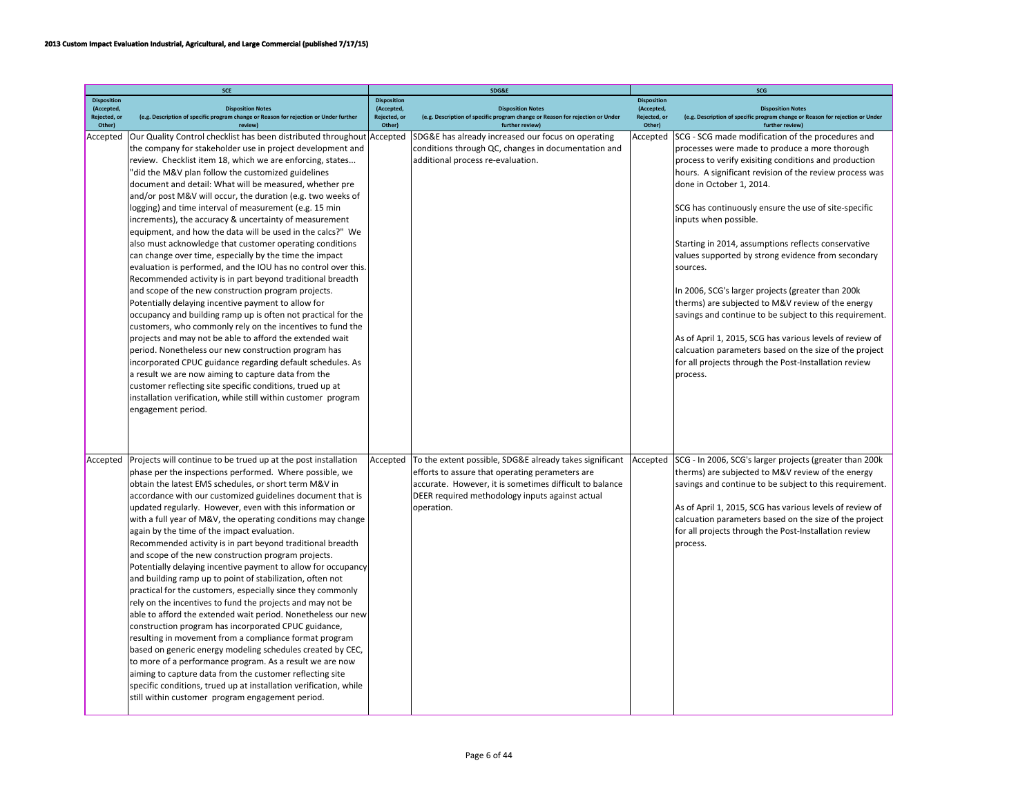|                            | SCE                                                                                                                                                                                                                                                                                                                                                                                                                                                                                                                                                                                                                                                                                                                                                                                                                                                                                                                                                                                                                                                                                                                                                                                                                                                                                                                                                                                                                                                          |                            | SDG&E                                                                                                                                                                                                                                  |                            | SCG                                                                                                                                                                                                                                                                                                                                                                                                                                                                                                                                                                                                                                                                                                                                                                                                                           |
|----------------------------|--------------------------------------------------------------------------------------------------------------------------------------------------------------------------------------------------------------------------------------------------------------------------------------------------------------------------------------------------------------------------------------------------------------------------------------------------------------------------------------------------------------------------------------------------------------------------------------------------------------------------------------------------------------------------------------------------------------------------------------------------------------------------------------------------------------------------------------------------------------------------------------------------------------------------------------------------------------------------------------------------------------------------------------------------------------------------------------------------------------------------------------------------------------------------------------------------------------------------------------------------------------------------------------------------------------------------------------------------------------------------------------------------------------------------------------------------------------|----------------------------|----------------------------------------------------------------------------------------------------------------------------------------------------------------------------------------------------------------------------------------|----------------------------|-------------------------------------------------------------------------------------------------------------------------------------------------------------------------------------------------------------------------------------------------------------------------------------------------------------------------------------------------------------------------------------------------------------------------------------------------------------------------------------------------------------------------------------------------------------------------------------------------------------------------------------------------------------------------------------------------------------------------------------------------------------------------------------------------------------------------------|
| <b>Disposition</b>         |                                                                                                                                                                                                                                                                                                                                                                                                                                                                                                                                                                                                                                                                                                                                                                                                                                                                                                                                                                                                                                                                                                                                                                                                                                                                                                                                                                                                                                                              | <b>Disposition</b>         |                                                                                                                                                                                                                                        | <b>Disposition</b>         |                                                                                                                                                                                                                                                                                                                                                                                                                                                                                                                                                                                                                                                                                                                                                                                                                               |
| (Accepted,<br>Rejected, or | <b>Disposition Notes</b><br>(e.g. Description of specific program change or Reason for rejection or Under further                                                                                                                                                                                                                                                                                                                                                                                                                                                                                                                                                                                                                                                                                                                                                                                                                                                                                                                                                                                                                                                                                                                                                                                                                                                                                                                                            | (Accepted,<br>Rejected, or | <b>Disposition Notes</b><br>(e.g. Description of specific program change or Reason for rejection or Under                                                                                                                              | (Accepted,<br>Rejected, or | <b>Disposition Notes</b><br>(e.g. Description of specific program change or Reason for rejection or Under                                                                                                                                                                                                                                                                                                                                                                                                                                                                                                                                                                                                                                                                                                                     |
| Other)                     | review)                                                                                                                                                                                                                                                                                                                                                                                                                                                                                                                                                                                                                                                                                                                                                                                                                                                                                                                                                                                                                                                                                                                                                                                                                                                                                                                                                                                                                                                      | Other)                     | further review)                                                                                                                                                                                                                        | Other)                     | further review)                                                                                                                                                                                                                                                                                                                                                                                                                                                                                                                                                                                                                                                                                                                                                                                                               |
| Accepted                   | Our Quality Control checklist has been distributed throughout<br>the company for stakeholder use in project development and<br>review. Checklist item 18, which we are enforcing, states<br>'did the M&V plan follow the customized guidelines<br>document and detail: What will be measured, whether pre<br>and/or post M&V will occur, the duration (e.g. two weeks of<br>logging) and time interval of measurement (e.g. 15 min<br>increments), the accuracy & uncertainty of measurement<br>equipment, and how the data will be used in the calcs?" We<br>also must acknowledge that customer operating conditions<br>can change over time, especially by the time the impact<br>evaluation is performed, and the IOU has no control over this.<br>Recommended activity is in part beyond traditional breadth<br>and scope of the new construction program projects.<br>Potentially delaying incentive payment to allow for<br>occupancy and building ramp up is often not practical for the<br>customers, who commonly rely on the incentives to fund the<br>projects and may not be able to afford the extended wait<br>period. Nonetheless our new construction program has<br>incorporated CPUC guidance regarding default schedules. As<br>a result we are now aiming to capture data from the<br>customer reflecting site specific conditions, trued up at<br>installation verification, while still within customer program<br>engagement period. | Accepted                   | SDG&E has already increased our focus on operating<br>conditions through QC, changes in documentation and<br>additional process re-evaluation.                                                                                         | Accepted                   | SCG - SCG made modification of the procedures and<br>processes were made to produce a more thorough<br>process to verify exisiting conditions and production<br>hours. A significant revision of the review process was<br>done in October 1, 2014.<br>SCG has continuously ensure the use of site-specific<br>inputs when possible.<br>Starting in 2014, assumptions reflects conservative<br>values supported by strong evidence from secondary<br>sources.<br>In 2006, SCG's larger projects (greater than 200k<br>therms) are subjected to M&V review of the energy<br>savings and continue to be subject to this requirement.<br>As of April 1, 2015, SCG has various levels of review of<br>calcuation parameters based on the size of the project<br>for all projects through the Post-Installation review<br>process. |
| Accepted                   | Projects will continue to be trued up at the post installation<br>phase per the inspections performed. Where possible, we<br>obtain the latest EMS schedules, or short term M&V in<br>accordance with our customized guidelines document that is<br>updated regularly. However, even with this information or<br>with a full year of M&V, the operating conditions may change<br>again by the time of the impact evaluation.<br>Recommended activity is in part beyond traditional breadth<br>and scope of the new construction program projects.<br>Potentially delaying incentive payment to allow for occupancy<br>and building ramp up to point of stabilization, often not<br>practical for the customers, especially since they commonly<br>rely on the incentives to fund the projects and may not be<br>able to afford the extended wait period. Nonetheless our new<br>construction program has incorporated CPUC guidance,<br>resulting in movement from a compliance format program<br>based on generic energy modeling schedules created by CEC,<br>to more of a performance program. As a result we are now<br>aiming to capture data from the customer reflecting site<br>specific conditions, trued up at installation verification, while<br>still within customer program engagement period.                                                                                                                                                | Accepted                   | To the extent possible, SDG&E already takes significant<br>efforts to assure that operating perameters are<br>accurate. However, it is sometimes difficult to balance<br>DEER required methodology inputs against actual<br>operation. | Accepted                   | SCG - In 2006, SCG's larger projects (greater than 200k<br>therms) are subjected to M&V review of the energy<br>savings and continue to be subject to this requirement.<br>As of April 1, 2015, SCG has various levels of review of<br>calcuation parameters based on the size of the project<br>for all projects through the Post-Installation review<br>process.                                                                                                                                                                                                                                                                                                                                                                                                                                                            |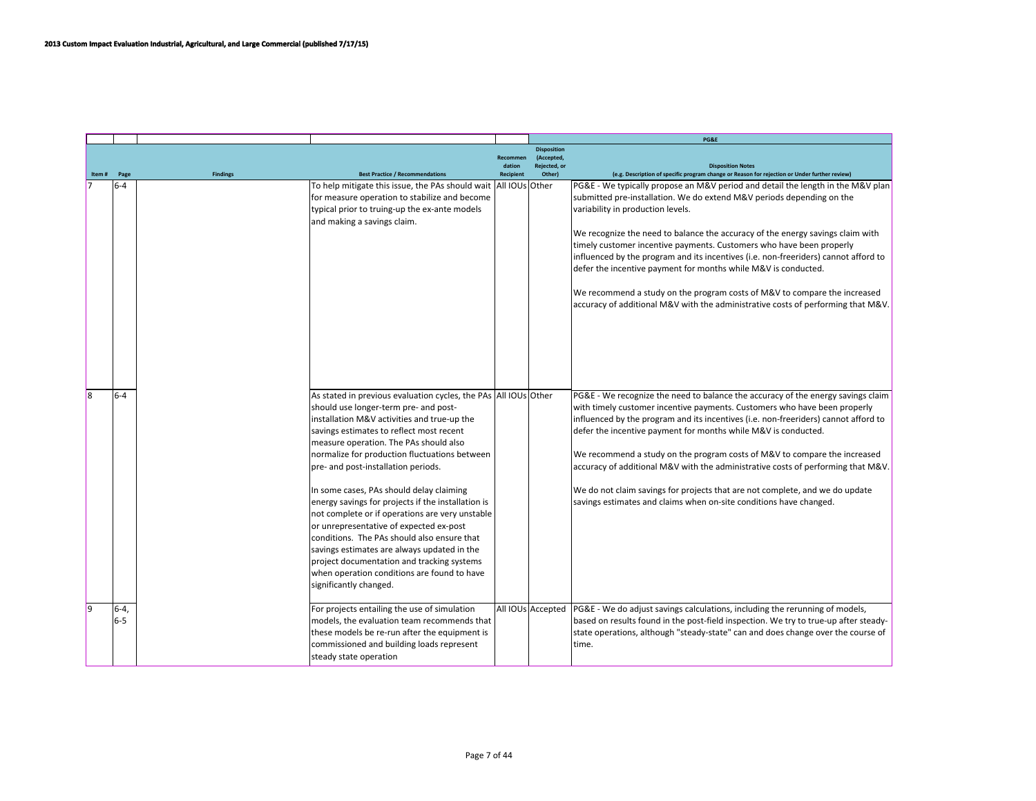|       |          |                 |                                                                     |                           |                            | PG&E                                                                                             |
|-------|----------|-----------------|---------------------------------------------------------------------|---------------------------|----------------------------|--------------------------------------------------------------------------------------------------|
|       |          |                 |                                                                     |                           | <b>Disposition</b>         |                                                                                                  |
|       |          |                 |                                                                     | <b>Recommen</b><br>dation | (Accepted,<br>Rejected, or | <b>Disposition Notes</b>                                                                         |
| Item# | Page     | <b>Findings</b> | <b>Best Practice / Recommendations</b>                              | <b>Recipient</b>          | Other)                     | (e.g. Description of specific program change or Reason for rejection or Under further review)    |
|       | $6-4$    |                 | To help mitigate this issue, the PAs should wait   All IOUs   Other |                           |                            | PG&E - We typically propose an M&V period and detail the length in the M&V plan                  |
|       |          |                 | for measure operation to stabilize and become                       |                           |                            | submitted pre-installation. We do extend M&V periods depending on the                            |
|       |          |                 | typical prior to truing-up the ex-ante models                       |                           |                            | variability in production levels.                                                                |
|       |          |                 | and making a savings claim.                                         |                           |                            |                                                                                                  |
|       |          |                 |                                                                     |                           |                            | We recognize the need to balance the accuracy of the energy savings claim with                   |
|       |          |                 |                                                                     |                           |                            | timely customer incentive payments. Customers who have been properly                             |
|       |          |                 |                                                                     |                           |                            | influenced by the program and its incentives (i.e. non-freeriders) cannot afford to              |
|       |          |                 |                                                                     |                           |                            | defer the incentive payment for months while M&V is conducted.                                   |
|       |          |                 |                                                                     |                           |                            |                                                                                                  |
|       |          |                 |                                                                     |                           |                            | We recommend a study on the program costs of M&V to compare the increased                        |
|       |          |                 |                                                                     |                           |                            | accuracy of additional M&V with the administrative costs of performing that M&V.                 |
|       |          |                 |                                                                     |                           |                            |                                                                                                  |
|       |          |                 |                                                                     |                           |                            |                                                                                                  |
|       |          |                 |                                                                     |                           |                            |                                                                                                  |
|       |          |                 |                                                                     |                           |                            |                                                                                                  |
|       |          |                 |                                                                     |                           |                            |                                                                                                  |
|       |          |                 |                                                                     |                           |                            |                                                                                                  |
| lя    | $6-4$    |                 | As stated in previous evaluation cycles, the PAs All IOUs Other     |                           |                            | PG&E - We recognize the need to balance the accuracy of the energy savings claim                 |
|       |          |                 | should use longer-term pre- and post-                               |                           |                            | with timely customer incentive payments. Customers who have been properly                        |
|       |          |                 | installation M&V activities and true-up the                         |                           |                            | influenced by the program and its incentives (i.e. non-freeriders) cannot afford to              |
|       |          |                 | savings estimates to reflect most recent                            |                           |                            | defer the incentive payment for months while M&V is conducted.                                   |
|       |          |                 | measure operation. The PAs should also                              |                           |                            |                                                                                                  |
|       |          |                 | normalize for production fluctuations between                       |                           |                            | We recommend a study on the program costs of M&V to compare the increased                        |
|       |          |                 | pre- and post-installation periods.                                 |                           |                            | accuracy of additional M&V with the administrative costs of performing that M&V.                 |
|       |          |                 |                                                                     |                           |                            |                                                                                                  |
|       |          |                 | In some cases, PAs should delay claiming                            |                           |                            | We do not claim savings for projects that are not complete, and we do update                     |
|       |          |                 | energy savings for projects if the installation is                  |                           |                            | savings estimates and claims when on-site conditions have changed.                               |
|       |          |                 | not complete or if operations are very unstable                     |                           |                            |                                                                                                  |
|       |          |                 | or unrepresentative of expected ex-post                             |                           |                            |                                                                                                  |
|       |          |                 | conditions. The PAs should also ensure that                         |                           |                            |                                                                                                  |
|       |          |                 | savings estimates are always updated in the                         |                           |                            |                                                                                                  |
|       |          |                 | project documentation and tracking systems                          |                           |                            |                                                                                                  |
|       |          |                 | when operation conditions are found to have                         |                           |                            |                                                                                                  |
|       |          |                 | significantly changed.                                              |                           |                            |                                                                                                  |
|       |          |                 |                                                                     |                           |                            |                                                                                                  |
| l9    | $6 - 4.$ |                 | For projects entailing the use of simulation                        |                           |                            | All IOUs Accepted   PG&E - We do adjust savings calculations, including the rerunning of models, |
|       | $6-5$    |                 | models, the evaluation team recommends that                         |                           |                            | based on results found in the post-field inspection. We try to true-up after steady-             |
|       |          |                 |                                                                     |                           |                            |                                                                                                  |
|       |          |                 | these models be re-run after the equipment is                       |                           |                            | state operations, although "steady-state" can and does change over the course of                 |
|       |          |                 | commissioned and building loads represent                           |                           |                            | ltime.                                                                                           |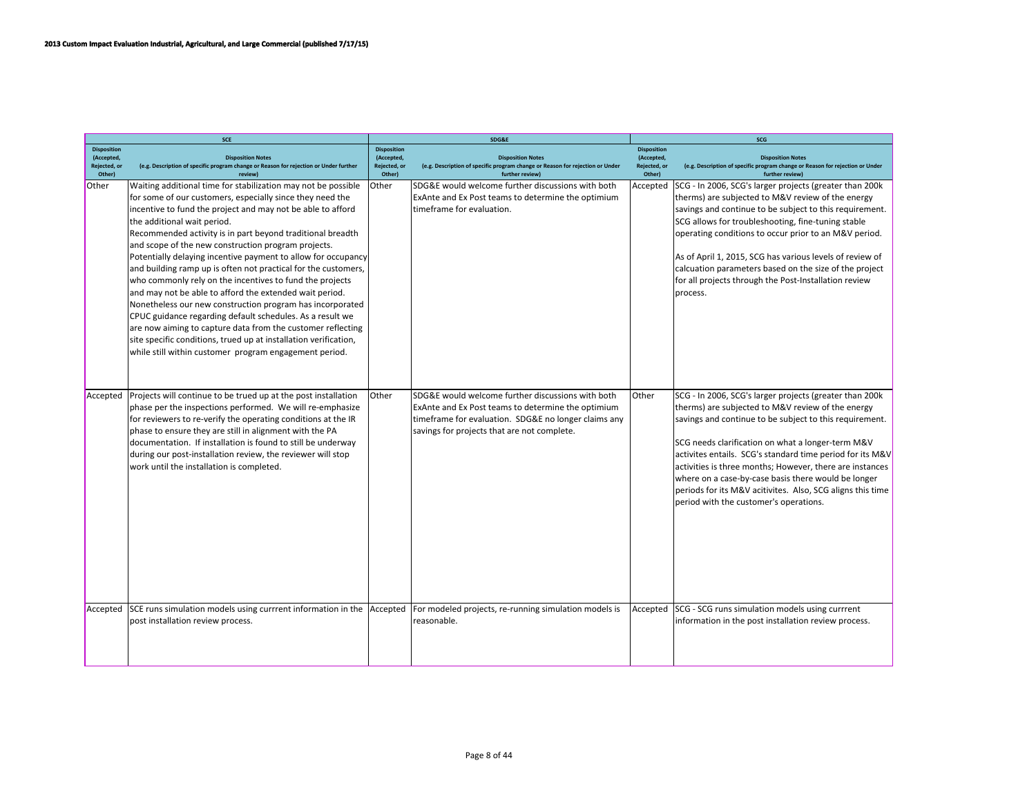| <b>SCE</b>                                                 |                                                                                                                                                                                                                                                                                                                                                                                                                                                                                                                                                                                                                                                                                                                                                                                                                                                                                                                                |                                                            | SDG&E                                                                                                                                                                                                          | SCG                                                        |                                                                                                                                                                                                                                                                                                                                                                                                                                                                                                                      |  |
|------------------------------------------------------------|--------------------------------------------------------------------------------------------------------------------------------------------------------------------------------------------------------------------------------------------------------------------------------------------------------------------------------------------------------------------------------------------------------------------------------------------------------------------------------------------------------------------------------------------------------------------------------------------------------------------------------------------------------------------------------------------------------------------------------------------------------------------------------------------------------------------------------------------------------------------------------------------------------------------------------|------------------------------------------------------------|----------------------------------------------------------------------------------------------------------------------------------------------------------------------------------------------------------------|------------------------------------------------------------|----------------------------------------------------------------------------------------------------------------------------------------------------------------------------------------------------------------------------------------------------------------------------------------------------------------------------------------------------------------------------------------------------------------------------------------------------------------------------------------------------------------------|--|
| <b>Disposition</b><br>(Accepted,<br>Rejected, or<br>Other) | <b>Disposition Notes</b><br>(e.g. Description of specific program change or Reason for rejection or Under further<br>review)                                                                                                                                                                                                                                                                                                                                                                                                                                                                                                                                                                                                                                                                                                                                                                                                   | <b>Disposition</b><br>(Accepted,<br>Rejected, or<br>Other) | <b>Disposition Notes</b><br>(e.g. Description of specific program change or Reason for rejection or Under<br>further review)                                                                                   | <b>Disposition</b><br>(Accepted,<br>Rejected, or<br>Other) | <b>Disposition Notes</b><br>(e.g. Description of specific program change or Reason for rejection or Under<br>further review)                                                                                                                                                                                                                                                                                                                                                                                         |  |
| Other                                                      | Waiting additional time for stabilization may not be possible<br>for some of our customers, especially since they need the<br>incentive to fund the project and may not be able to afford<br>the additional wait period.<br>Recommended activity is in part beyond traditional breadth<br>and scope of the new construction program projects.<br>Potentially delaying incentive payment to allow for occupancy<br>and building ramp up is often not practical for the customers,<br>who commonly rely on the incentives to fund the projects<br>and may not be able to afford the extended wait period.<br>Nonetheless our new construction program has incorporated<br>CPUC guidance regarding default schedules. As a result we<br>are now aiming to capture data from the customer reflecting<br>site specific conditions, trued up at installation verification,<br>while still within customer program engagement period. | Other                                                      | SDG&E would welcome further discussions with both<br>ExAnte and Ex Post teams to determine the optimium<br>timeframe for evaluation.                                                                           | Accepted                                                   | SCG - In 2006, SCG's larger projects (greater than 200k<br>therms) are subjected to M&V review of the energy<br>savings and continue to be subject to this requirement.<br>SCG allows for troubleshooting, fine-tuning stable<br>operating conditions to occur prior to an M&V period.<br>As of April 1, 2015, SCG has various levels of review of<br>calcuation parameters based on the size of the project<br>for all projects through the Post-Installation review<br>process.                                    |  |
| Accepted                                                   | Projects will continue to be trued up at the post installation<br>phase per the inspections performed. We will re-emphasize<br>for reviewers to re-verify the operating conditions at the IR<br>phase to ensure they are still in alignment with the PA<br>documentation. If installation is found to still be underway<br>during our post-installation review, the reviewer will stop<br>work until the installation is completed.                                                                                                                                                                                                                                                                                                                                                                                                                                                                                            | <b>Other</b>                                               | SDG&E would welcome further discussions with both<br>ExAnte and Ex Post teams to determine the optimium<br>timeframe for evaluation. SDG&E no longer claims any<br>savings for projects that are not complete. | lOther                                                     | SCG - In 2006, SCG's larger projects (greater than 200k<br>therms) are subjected to M&V review of the energy<br>savings and continue to be subject to this requirement.<br>SCG needs clarification on what a longer-term M&V<br>activites entails. SCG's standard time period for its M&V<br>activities is three months; However, there are instances<br>where on a case-by-case basis there would be longer<br>periods for its M&V acitivites. Also, SCG aligns this time<br>period with the customer's operations. |  |
| Accepted                                                   | SCE runs simulation models using currrent information in the<br>post installation review process.                                                                                                                                                                                                                                                                                                                                                                                                                                                                                                                                                                                                                                                                                                                                                                                                                              | Accepted                                                   | For modeled projects, re-running simulation models is<br>reasonable.                                                                                                                                           | Accepted                                                   | SCG - SCG runs simulation models using currrent<br>information in the post installation review process.                                                                                                                                                                                                                                                                                                                                                                                                              |  |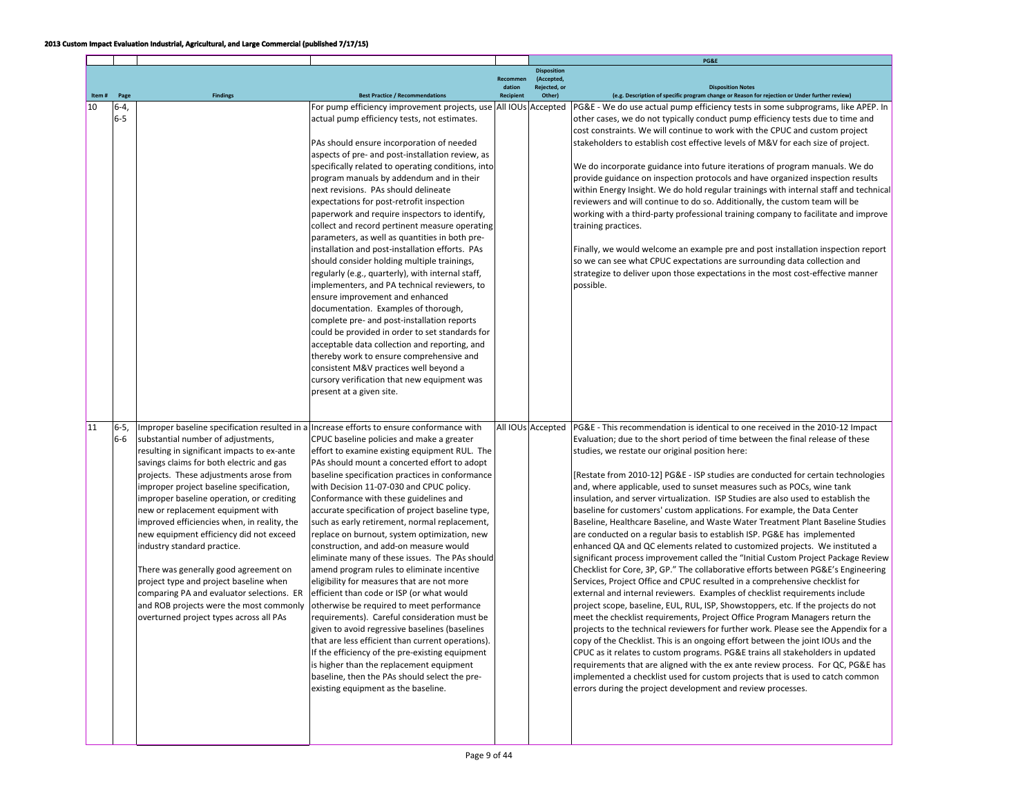|       |        |                                             |                                                                                           |                           |                            | PG&E                                                                                          |
|-------|--------|---------------------------------------------|-------------------------------------------------------------------------------------------|---------------------------|----------------------------|-----------------------------------------------------------------------------------------------|
|       |        |                                             |                                                                                           |                           | <b>Disposition</b>         |                                                                                               |
|       |        |                                             |                                                                                           | <b>Recommen</b><br>dation | (Accepted,<br>Rejected, or | <b>Disposition Notes</b>                                                                      |
| Item# | Page   | <b>Findings</b>                             | <b>Best Practice / Recommendations</b>                                                    | Recipient                 | Other)                     | (e.g. Description of specific program change or Reason for rejection or Under further review) |
| 10    | $6-4,$ |                                             | For pump efficiency improvement projects, use                                             |                           | All IOUs Accepted          | PG&E - We do use actual pump efficiency tests in some subprograms, like APEP. In              |
|       | $6-5$  |                                             | actual pump efficiency tests, not estimates.                                              |                           |                            | other cases, we do not typically conduct pump efficiency tests due to time and                |
|       |        |                                             |                                                                                           |                           |                            | cost constraints. We will continue to work with the CPUC and custom project                   |
|       |        |                                             | PAs should ensure incorporation of needed                                                 |                           |                            | stakeholders to establish cost effective levels of M&V for each size of project.              |
|       |        |                                             | aspects of pre- and post-installation review, as                                          |                           |                            |                                                                                               |
|       |        |                                             | specifically related to operating conditions, into                                        |                           |                            | We do incorporate guidance into future iterations of program manuals. We do                   |
|       |        |                                             | program manuals by addendum and in their                                                  |                           |                            | provide guidance on inspection protocols and have organized inspection results                |
|       |        |                                             | next revisions. PAs should delineate                                                      |                           |                            | within Energy Insight. We do hold regular trainings with internal staff and technical         |
|       |        |                                             | expectations for post-retrofit inspection                                                 |                           |                            | reviewers and will continue to do so. Additionally, the custom team will be                   |
|       |        |                                             | paperwork and require inspectors to identify,                                             |                           |                            | working with a third-party professional training company to facilitate and improve            |
|       |        |                                             | collect and record pertinent measure operating                                            |                           |                            | training practices.                                                                           |
|       |        |                                             | parameters, as well as quantities in both pre-                                            |                           |                            |                                                                                               |
|       |        |                                             | installation and post-installation efforts. PAs                                           |                           |                            | Finally, we would welcome an example pre and post installation inspection report              |
|       |        |                                             | should consider holding multiple trainings,                                               |                           |                            | so we can see what CPUC expectations are surrounding data collection and                      |
|       |        |                                             | regularly (e.g., quarterly), with internal staff,                                         |                           |                            | strategize to deliver upon those expectations in the most cost-effective manner               |
|       |        |                                             | implementers, and PA technical reviewers, to                                              |                           |                            | possible.                                                                                     |
|       |        |                                             | ensure improvement and enhanced                                                           |                           |                            |                                                                                               |
|       |        |                                             | documentation. Examples of thorough,                                                      |                           |                            |                                                                                               |
|       |        |                                             | complete pre- and post-installation reports                                               |                           |                            |                                                                                               |
|       |        |                                             | could be provided in order to set standards for                                           |                           |                            |                                                                                               |
|       |        |                                             | acceptable data collection and reporting, and                                             |                           |                            |                                                                                               |
|       |        |                                             | thereby work to ensure comprehensive and                                                  |                           |                            |                                                                                               |
|       |        |                                             |                                                                                           |                           |                            |                                                                                               |
|       |        |                                             | consistent M&V practices well beyond a                                                    |                           |                            |                                                                                               |
|       |        |                                             | cursory verification that new equipment was                                               |                           |                            |                                                                                               |
|       |        |                                             | present at a given site.                                                                  |                           |                            |                                                                                               |
|       |        |                                             |                                                                                           |                           |                            |                                                                                               |
| 11    |        |                                             |                                                                                           |                           |                            |                                                                                               |
|       | $6-5,$ |                                             | Improper baseline specification resulted in a Increase efforts to ensure conformance with |                           | All IOUs Accepted          | PG&E - This recommendation is identical to one received in the 2010-12 Impact                 |
|       | $6-6$  | substantial number of adjustments,          | CPUC baseline policies and make a greater                                                 |                           |                            | Evaluation; due to the short period of time between the final release of these                |
|       |        | resulting in significant impacts to ex-ante | effort to examine existing equipment RUL. The                                             |                           |                            | studies, we restate our original position here:                                               |
|       |        | savings claims for both electric and gas    | PAs should mount a concerted effort to adopt                                              |                           |                            |                                                                                               |
|       |        | projects. These adjustments arose from      | baseline specification practices in conformance                                           |                           |                            | [Restate from 2010-12] PG&E - ISP studies are conducted for certain technologies              |
|       |        | improper project baseline specification,    | with Decision 11-07-030 and CPUC policy.                                                  |                           |                            | and, where applicable, used to sunset measures such as POCs, wine tank                        |
|       |        | improper baseline operation, or crediting   | Conformance with these guidelines and                                                     |                           |                            | insulation, and server virtualization. ISP Studies are also used to establish the             |
|       |        | new or replacement equipment with           | accurate specification of project baseline type,                                          |                           |                            | baseline for customers' custom applications. For example, the Data Center                     |
|       |        | improved efficiencies when, in reality, the | such as early retirement, normal replacement,                                             |                           |                            | Baseline, Healthcare Baseline, and Waste Water Treatment Plant Baseline Studies               |
|       |        | new equipment efficiency did not exceed     | replace on burnout, system optimization, new                                              |                           |                            | are conducted on a regular basis to establish ISP. PG&E has implemented                       |
|       |        | industry standard practice.                 | construction, and add-on measure would                                                    |                           |                            | enhanced QA and QC elements related to customized projects. We instituted a                   |
|       |        |                                             | eliminate many of these issues. The PAs should                                            |                           |                            | significant process improvement called the "Initial Custom Project Package Review             |
|       |        | There was generally good agreement on       | amend program rules to eliminate incentive                                                |                           |                            | Checklist for Core, 3P, GP." The collaborative efforts between PG&E's Engineering             |
|       |        | project type and project baseline when      | eligibility for measures that are not more                                                |                           |                            | Services, Project Office and CPUC resulted in a comprehensive checklist for                   |
|       |        | comparing PA and evaluator selections. ER   | efficient than code or ISP (or what would                                                 |                           |                            | external and internal reviewers. Examples of checklist requirements include                   |
|       |        | and ROB projects were the most commonly     | otherwise be required to meet performance                                                 |                           |                            | project scope, baseline, EUL, RUL, ISP, Showstoppers, etc. If the projects do not             |
|       |        | overturned project types across all PAs     | requirements). Careful consideration must be                                              |                           |                            | meet the checklist requirements, Project Office Program Managers return the                   |
|       |        |                                             | given to avoid regressive baselines (baselines                                            |                           |                            | projects to the technical reviewers for further work. Please see the Appendix for a           |
|       |        |                                             | that are less efficient than current operations).                                         |                           |                            | copy of the Checklist. This is an ongoing effort between the joint IOUs and the               |
|       |        |                                             | If the efficiency of the pre-existing equipment                                           |                           |                            | CPUC as it relates to custom programs. PG&E trains all stakeholders in updated                |
|       |        |                                             | is higher than the replacement equipment                                                  |                           |                            | requirements that are aligned with the ex ante review process. For QC, PG&E has               |
|       |        |                                             | baseline, then the PAs should select the pre-                                             |                           |                            | implemented a checklist used for custom projects that is used to catch common                 |
|       |        |                                             | existing equipment as the baseline.                                                       |                           |                            | errors during the project development and review processes.                                   |
|       |        |                                             |                                                                                           |                           |                            |                                                                                               |
|       |        |                                             |                                                                                           |                           |                            |                                                                                               |
|       |        |                                             |                                                                                           |                           |                            |                                                                                               |
|       |        |                                             |                                                                                           |                           |                            |                                                                                               |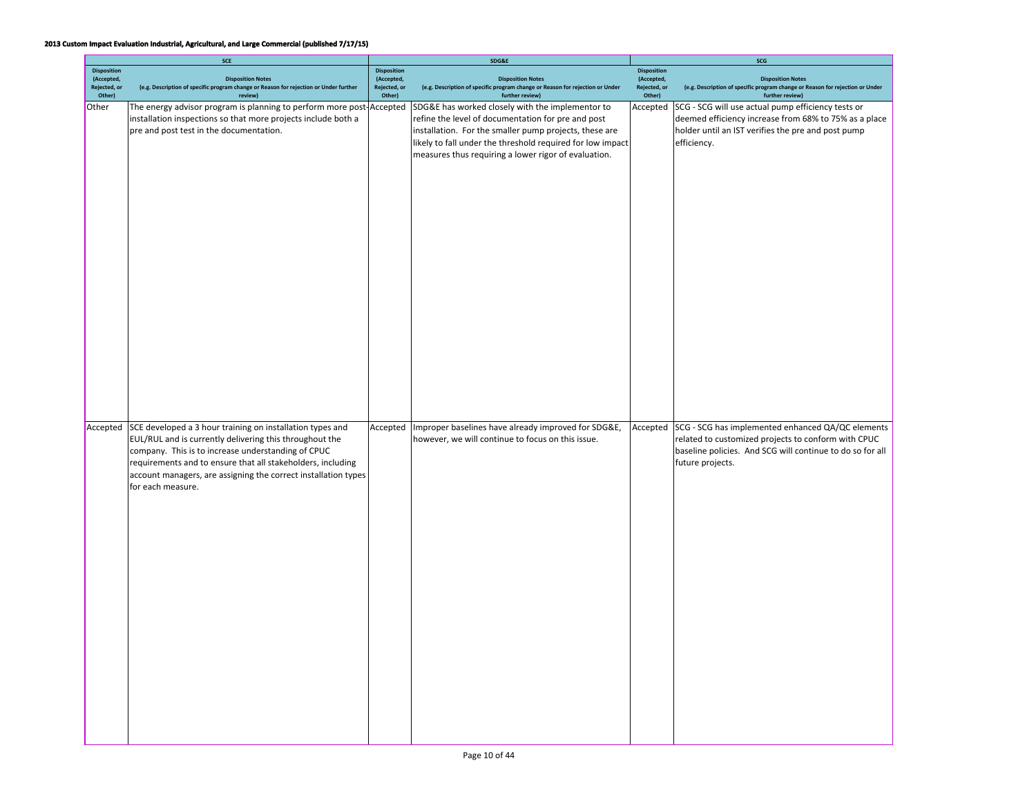|                                                            | SCE                                                                                                                                                                                                                                                                                                                              |                                                            | SDG&E                                                                                                                                                                                                                                                                                  | SCG                                                        |                                                                                                                                                                                           |  |
|------------------------------------------------------------|----------------------------------------------------------------------------------------------------------------------------------------------------------------------------------------------------------------------------------------------------------------------------------------------------------------------------------|------------------------------------------------------------|----------------------------------------------------------------------------------------------------------------------------------------------------------------------------------------------------------------------------------------------------------------------------------------|------------------------------------------------------------|-------------------------------------------------------------------------------------------------------------------------------------------------------------------------------------------|--|
| <b>Disposition</b><br>(Accepted,<br>Rejected, or<br>Other) | <b>Disposition Notes</b><br>(e.g. Description of specific program change or Reason for rejection or Under further<br>review)                                                                                                                                                                                                     | <b>Disposition</b><br>(Accepted,<br>Rejected, or<br>Other) | <b>Disposition Notes</b><br>(e.g. Description of specific program change or Reason for rejection or Under<br>further review)                                                                                                                                                           | <b>Disposition</b><br>(Accepted,<br>Rejected, or<br>Other) | <b>Disposition Notes</b><br>(e.g. Description of specific program change or Reason for rejection or Under<br>further review)                                                              |  |
| Other                                                      | The energy advisor program is planning to perform more post-Accepted<br>installation inspections so that more projects include both a<br>pre and post test in the documentation.                                                                                                                                                 |                                                            | SDG&E has worked closely with the implementor to<br>refine the level of documentation for pre and post<br>installation. For the smaller pump projects, these are<br>likely to fall under the threshold required for low impact<br>measures thus requiring a lower rigor of evaluation. | Accepted                                                   | SCG - SCG will use actual pump efficiency tests or<br>deemed efficiency increase from 68% to 75% as a place<br>holder until an IST verifies the pre and post pump<br>efficiency.          |  |
| Accepted                                                   | SCE developed a 3 hour training on installation types and<br>EUL/RUL and is currently delivering this throughout the<br>company. This is to increase understanding of CPUC<br>requirements and to ensure that all stakeholders, including<br>account managers, are assigning the correct installation types<br>for each measure. | Accepted                                                   | Improper baselines have already improved for SDG&E,<br>however, we will continue to focus on this issue.                                                                                                                                                                               | Accepted                                                   | SCG - SCG has implemented enhanced QA/QC elements<br>related to customized projects to conform with CPUC<br>baseline policies. And SCG will continue to do so for all<br>future projects. |  |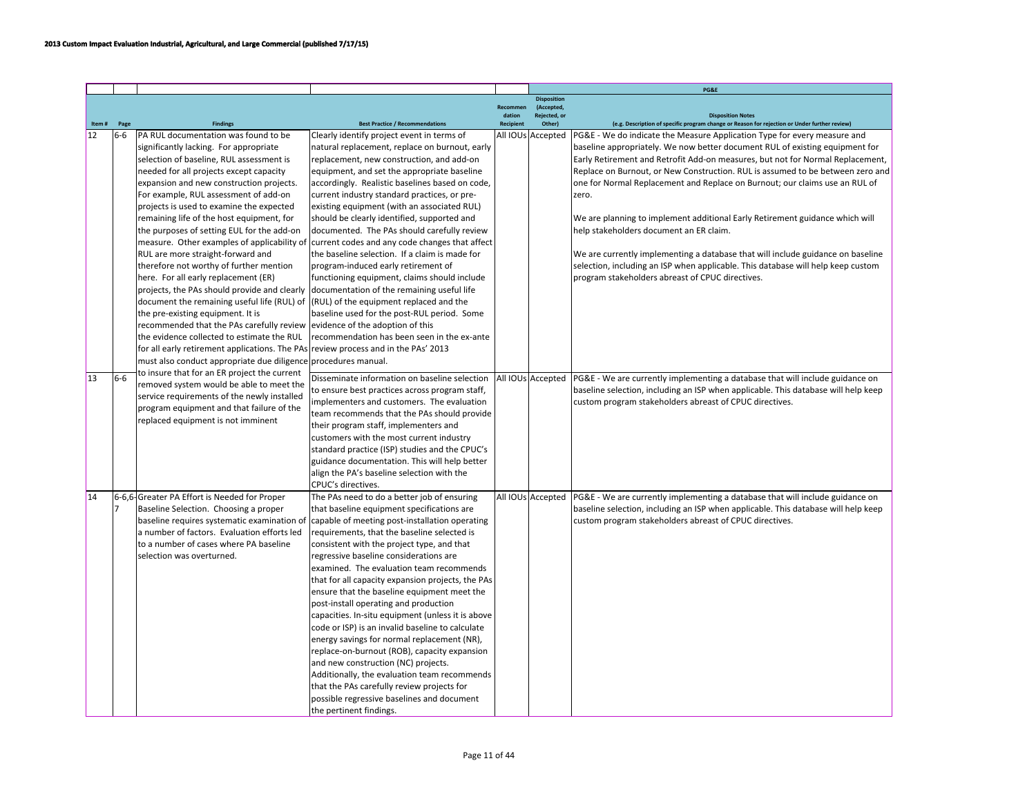|       |                |                                                                                     |                                                   |                    |                                    | PG&E                                                                                                                      |
|-------|----------------|-------------------------------------------------------------------------------------|---------------------------------------------------|--------------------|------------------------------------|---------------------------------------------------------------------------------------------------------------------------|
|       |                |                                                                                     |                                                   |                    | <b>Disposition</b>                 |                                                                                                                           |
|       |                |                                                                                     |                                                   | Recommen<br>dation | (Accepted,<br><b>Rejected</b> , or |                                                                                                                           |
| Item# | Page           | <b>Findings</b>                                                                     | <b>Best Practice / Recommendations</b>            | Recipient          | Other)                             | <b>Disposition Notes</b><br>(e.g. Description of specific program change or Reason for rejection or Under further review) |
| 12    | $6-6$          | PA RUL documentation was found to be                                                | Clearly identify project event in terms of        |                    | All IOUs Accepted                  | PG&E - We do indicate the Measure Application Type for every measure and                                                  |
|       |                | significantly lacking. For appropriate                                              | natural replacement, replace on burnout, early    |                    |                                    | baseline appropriately. We now better document RUL of existing equipment for                                              |
|       |                | selection of baseline, RUL assessment is                                            | replacement, new construction, and add-on         |                    |                                    | Early Retirement and Retrofit Add-on measures, but not for Normal Replacement,                                            |
|       |                | needed for all projects except capacity                                             | equipment, and set the appropriate baseline       |                    |                                    | Replace on Burnout, or New Construction. RUL is assumed to be between zero and                                            |
|       |                | expansion and new construction projects.                                            | accordingly. Realistic baselines based on code,   |                    |                                    | one for Normal Replacement and Replace on Burnout; our claims use an RUL of                                               |
|       |                | For example, RUL assessment of add-on                                               | current industry standard practices, or pre-      |                    |                                    | zero.                                                                                                                     |
|       |                | projects is used to examine the expected                                            | existing equipment (with an associated RUL)       |                    |                                    |                                                                                                                           |
|       |                | remaining life of the host equipment, for                                           | should be clearly identified, supported and       |                    |                                    | We are planning to implement additional Early Retirement guidance which will                                              |
|       |                | the purposes of setting EUL for the add-on                                          | documented. The PAs should carefully review       |                    |                                    | help stakeholders document an ER claim.                                                                                   |
|       |                | measure. Other examples of applicability of                                         | current codes and any code changes that affect    |                    |                                    |                                                                                                                           |
|       |                | RUL are more straight-forward and                                                   | the baseline selection. If a claim is made for    |                    |                                    | We are currently implementing a database that will include guidance on baseline                                           |
|       |                | therefore not worthy of further mention                                             | program-induced early retirement of               |                    |                                    | selection, including an ISP when applicable. This database will help keep custom                                          |
|       |                | here. For all early replacement (ER)                                                | functioning equipment, claims should include      |                    |                                    | program stakeholders abreast of CPUC directives.                                                                          |
|       |                | projects, the PAs should provide and clearly                                        | documentation of the remaining useful life        |                    |                                    |                                                                                                                           |
|       |                | document the remaining useful life (RUL) of (RUL) of the equipment replaced and the |                                                   |                    |                                    |                                                                                                                           |
|       |                | the pre-existing equipment. It is                                                   | baseline used for the post-RUL period. Some       |                    |                                    |                                                                                                                           |
|       |                | recommended that the PAs carefully review evidence of the adoption of this          |                                                   |                    |                                    |                                                                                                                           |
|       |                | the evidence collected to estimate the RUL                                          | recommendation has been seen in the ex-ante       |                    |                                    |                                                                                                                           |
|       |                | for all early retirement applications. The PAs review process and in the PAs' 2013  |                                                   |                    |                                    |                                                                                                                           |
|       |                | must also conduct appropriate due diligence procedures manual.                      |                                                   |                    |                                    |                                                                                                                           |
|       |                | to insure that for an ER project the current                                        |                                                   |                    |                                    |                                                                                                                           |
| 13    | $6-6$          | removed system would be able to meet the                                            | Disseminate information on baseline selection     |                    | All IOUs Accepted                  | PG&E - We are currently implementing a database that will include guidance on                                             |
|       |                | service requirements of the newly installed                                         | to ensure best practices across program staff,    |                    |                                    | baseline selection, including an ISP when applicable. This database will help keep                                        |
|       |                | program equipment and that failure of the                                           | implementers and customers. The evaluation        |                    |                                    | custom program stakeholders abreast of CPUC directives.                                                                   |
|       |                | replaced equipment is not imminent                                                  | team recommends that the PAs should provide       |                    |                                    |                                                                                                                           |
|       |                |                                                                                     | their program staff, implementers and             |                    |                                    |                                                                                                                           |
|       |                |                                                                                     | customers with the most current industry          |                    |                                    |                                                                                                                           |
|       |                |                                                                                     | standard practice (ISP) studies and the CPUC's    |                    |                                    |                                                                                                                           |
|       |                |                                                                                     | guidance documentation. This will help better     |                    |                                    |                                                                                                                           |
|       |                |                                                                                     | align the PA's baseline selection with the        |                    |                                    |                                                                                                                           |
|       |                |                                                                                     | CPUC's directives.                                |                    |                                    |                                                                                                                           |
| 14    |                | 6-6,6-Greater PA Effort is Needed for Proper                                        | The PAs need to do a better job of ensuring       |                    | All IOUs Accepted                  | PG&E - We are currently implementing a database that will include guidance on                                             |
|       | $\overline{7}$ | Baseline Selection. Choosing a proper                                               | that baseline equipment specifications are        |                    |                                    | baseline selection, including an ISP when applicable. This database will help keep                                        |
|       |                | baseline requires systematic examination o                                          | capable of meeting post-installation operating    |                    |                                    | custom program stakeholders abreast of CPUC directives.                                                                   |
|       |                | a number of factors. Evaluation efforts led                                         | requirements, that the baseline selected is       |                    |                                    |                                                                                                                           |
|       |                | lto a number of cases where PA baseline                                             | consistent with the project type, and that        |                    |                                    |                                                                                                                           |
|       |                | selection was overturned.                                                           | regressive baseline considerations are            |                    |                                    |                                                                                                                           |
|       |                |                                                                                     | examined. The evaluation team recommends          |                    |                                    |                                                                                                                           |
|       |                |                                                                                     | that for all capacity expansion projects, the PAs |                    |                                    |                                                                                                                           |
|       |                |                                                                                     | ensure that the baseline equipment meet the       |                    |                                    |                                                                                                                           |
|       |                |                                                                                     | post-install operating and production             |                    |                                    |                                                                                                                           |
|       |                |                                                                                     | capacities. In-situ equipment (unless it is above |                    |                                    |                                                                                                                           |
|       |                |                                                                                     | code or ISP) is an invalid baseline to calculate  |                    |                                    |                                                                                                                           |
|       |                |                                                                                     | energy savings for normal replacement (NR),       |                    |                                    |                                                                                                                           |
|       |                |                                                                                     | replace-on-burnout (ROB), capacity expansion      |                    |                                    |                                                                                                                           |
|       |                |                                                                                     | and new construction (NC) projects.               |                    |                                    |                                                                                                                           |
|       |                |                                                                                     | Additionally, the evaluation team recommends      |                    |                                    |                                                                                                                           |
|       |                |                                                                                     | that the PAs carefully review projects for        |                    |                                    |                                                                                                                           |
|       |                |                                                                                     | possible regressive baselines and document        |                    |                                    |                                                                                                                           |
|       |                |                                                                                     | the pertinent findings.                           |                    |                                    |                                                                                                                           |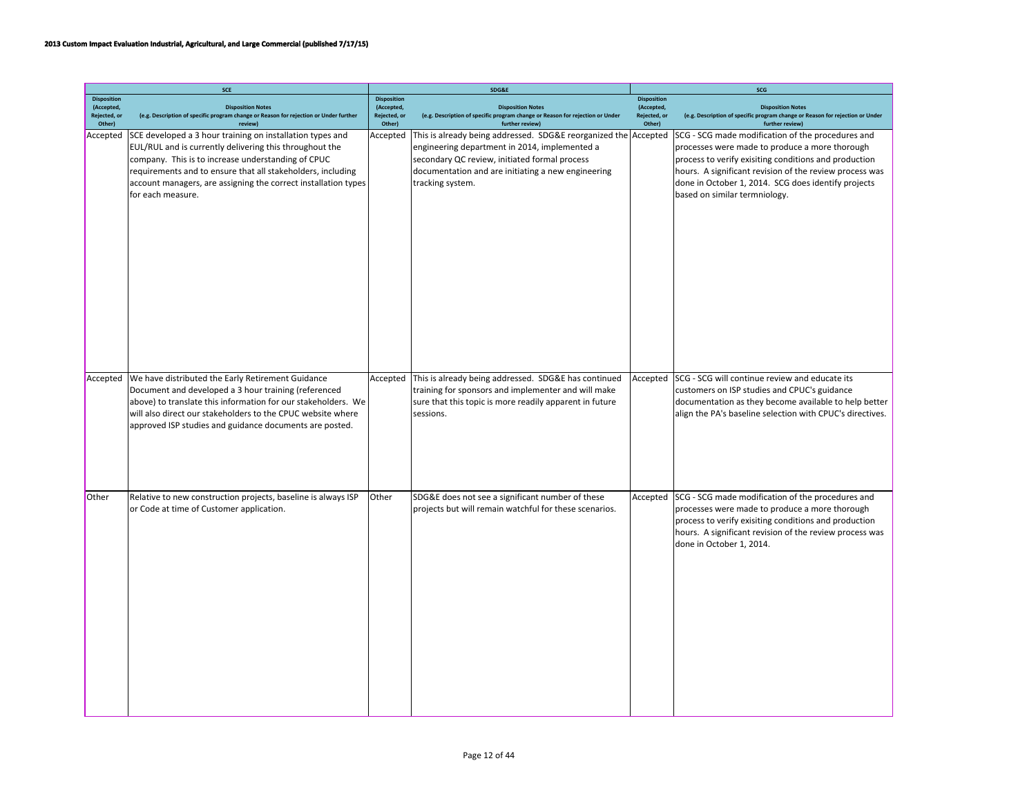|                                                            | <b>SCE</b>                                                                                                                                                                                                                                                                                                                       |                                                            | SDG&E                                                                                                                                                                                                                                       |                                                            | SCG                                                                                                                                                                                                                                                                                                             |
|------------------------------------------------------------|----------------------------------------------------------------------------------------------------------------------------------------------------------------------------------------------------------------------------------------------------------------------------------------------------------------------------------|------------------------------------------------------------|---------------------------------------------------------------------------------------------------------------------------------------------------------------------------------------------------------------------------------------------|------------------------------------------------------------|-----------------------------------------------------------------------------------------------------------------------------------------------------------------------------------------------------------------------------------------------------------------------------------------------------------------|
| <b>Disposition</b><br>(Accepted,<br>Rejected, or<br>Other) | <b>Disposition Notes</b><br>(e.g. Description of specific program change or Reason for rejection or Under further<br>review)                                                                                                                                                                                                     | <b>Disposition</b><br>(Accepted,<br>Rejected, or<br>Other) | <b>Disposition Notes</b><br>(e.g. Description of specific program change or Reason for rejection or Under<br>further review)                                                                                                                | <b>Disposition</b><br>(Accepted,<br>Rejected, or<br>Other) | <b>Disposition Notes</b><br>(e.g. Description of specific program change or Reason for rejection or Under<br>further review)                                                                                                                                                                                    |
| Accepted                                                   | SCE developed a 3 hour training on installation types and<br>EUL/RUL and is currently delivering this throughout the<br>company. This is to increase understanding of CPUC<br>requirements and to ensure that all stakeholders, including<br>account managers, are assigning the correct installation types<br>for each measure. | Accepted                                                   | This is already being addressed. SDG&E reorganized the Accepted<br>engineering department in 2014, implemented a<br>secondary QC review, initiated formal process<br>documentation and are initiating a new engineering<br>tracking system. |                                                            | SCG - SCG made modification of the procedures and<br>processes were made to produce a more thorough<br>process to verify exisiting conditions and production<br>hours. A significant revision of the review process was<br>done in October 1, 2014. SCG does identify projects<br>based on similar termniology. |
| Accepted                                                   | We have distributed the Early Retirement Guidance<br>Document and developed a 3 hour training (referenced<br>above) to translate this information for our stakeholders. We<br>will also direct our stakeholders to the CPUC website where<br>approved ISP studies and guidance documents are posted.                             | Accepted                                                   | This is already being addressed. SDG&E has continued<br>training for sponsors and implementer and will make<br>sure that this topic is more readily apparent in future<br>sessions.                                                         | Accepted                                                   | SCG - SCG will continue review and educate its<br>customers on ISP studies and CPUC's guidance<br>documentation as they become available to help better<br>align the PA's baseline selection with CPUC's directives.                                                                                            |
| Other                                                      | Relative to new construction projects, baseline is always ISP<br>or Code at time of Customer application.                                                                                                                                                                                                                        | Other                                                      | SDG&E does not see a significant number of these<br>projects but will remain watchful for these scenarios.                                                                                                                                  | Accepted                                                   | SCG - SCG made modification of the procedures and<br>processes were made to produce a more thorough<br>process to verify exisiting conditions and production<br>hours. A significant revision of the review process was<br>done in October 1, 2014.                                                             |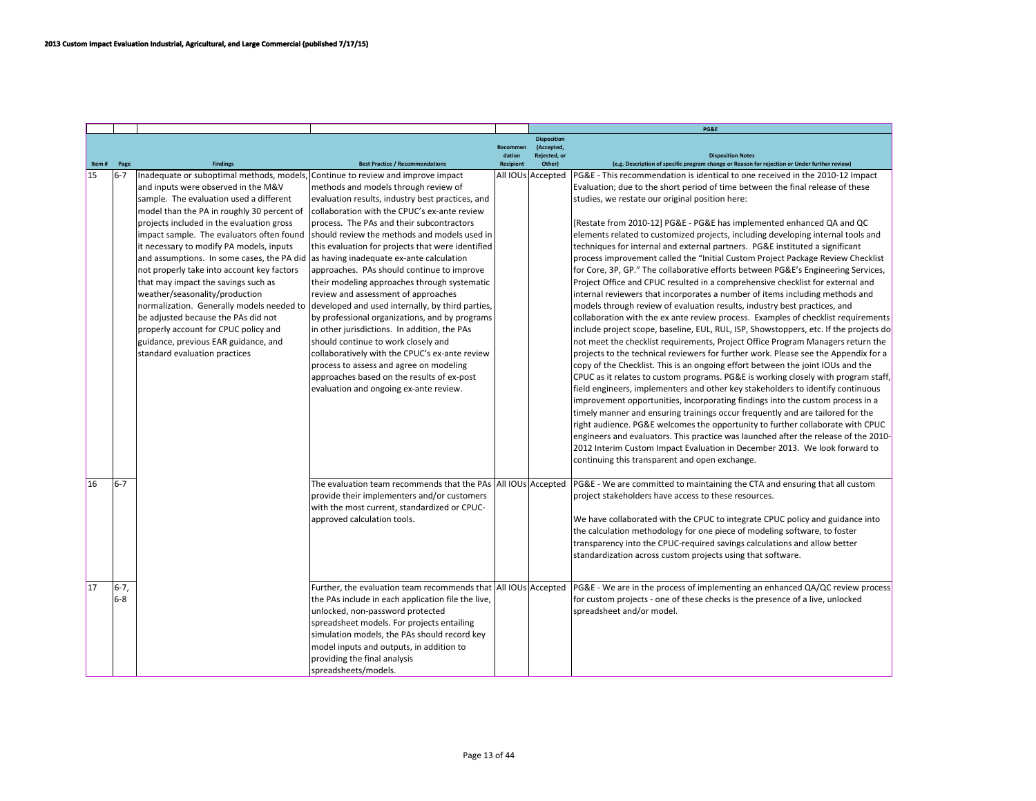|       |        |                                                                                 |                                                                |                  |                                  | PG&E                                                                                                                                                                  |
|-------|--------|---------------------------------------------------------------------------------|----------------------------------------------------------------|------------------|----------------------------------|-----------------------------------------------------------------------------------------------------------------------------------------------------------------------|
|       |        |                                                                                 |                                                                | Recommen         | <b>Disposition</b><br>(Accepted, |                                                                                                                                                                       |
|       |        |                                                                                 |                                                                | dation           | <b>Rejected</b> , or             | <b>Disposition Notes</b>                                                                                                                                              |
| Item# | Page   | <b>Findings</b>                                                                 | <b>Best Practice / Recommendations</b>                         | <b>Recipient</b> | Other)                           | (e.g. Description of specific program change or Reason for rejection or Under further review)                                                                         |
| 15    | $16-7$ | Inadequate or suboptimal methods, models, Continue to review and improve impact |                                                                |                  | All IOUs Accepted                | PG&E - This recommendation is identical to one received in the 2010-12 Impact                                                                                         |
|       |        | and inputs were observed in the M&V                                             | methods and models through review of                           |                  |                                  | Evaluation; due to the short period of time between the final release of these                                                                                        |
|       |        | sample. The evaluation used a different                                         | evaluation results, industry best practices, and               |                  |                                  | studies, we restate our original position here:                                                                                                                       |
|       |        | model than the PA in roughly 30 percent of                                      | collaboration with the CPUC's ex-ante review                   |                  |                                  |                                                                                                                                                                       |
|       |        | projects included in the evaluation gross                                       | process. The PAs and their subcontractors                      |                  |                                  | [Restate from 2010-12] PG&E - PG&E has implemented enhanced QA and QC                                                                                                 |
|       |        | impact sample. The evaluators often found                                       | Ishould review the methods and models used in                  |                  |                                  | elements related to customized projects, including developing internal tools and                                                                                      |
|       |        | it necessary to modify PA models, inputs                                        | this evaluation for projects that were identified              |                  |                                  | techniques for internal and external partners. PG&E instituted a significant                                                                                          |
|       |        | and assumptions. In some cases, the PA did                                      | as having inadequate ex-ante calculation                       |                  |                                  | process improvement called the "Initial Custom Project Package Review Checklist                                                                                       |
|       |        | not properly take into account key factors                                      | approaches. PAs should continue to improve                     |                  |                                  | for Core, 3P, GP." The collaborative efforts between PG&E's Engineering Services,                                                                                     |
|       |        | that may impact the savings such as                                             | their modeling approaches through systematic                   |                  |                                  | Project Office and CPUC resulted in a comprehensive checklist for external and                                                                                        |
|       |        | weather/seasonality/production                                                  | review and assessment of approaches                            |                  |                                  | internal reviewers that incorporates a number of items including methods and                                                                                          |
|       |        | normalization. Generally models needed to                                       | developed and used internally, by third parties,               |                  |                                  | models through review of evaluation results, industry best practices, and                                                                                             |
|       |        | be adjusted because the PAs did not                                             | by professional organizations, and by programs                 |                  |                                  | collaboration with the ex ante review process. Examples of checklist requirements                                                                                     |
|       |        | properly account for CPUC policy and                                            | in other jurisdictions. In addition, the PAs                   |                  |                                  | include project scope, baseline, EUL, RUL, ISP, Showstoppers, etc. If the projects do                                                                                 |
|       |        | guidance, previous EAR guidance, and                                            | should continue to work closely and                            |                  |                                  | not meet the checklist requirements, Project Office Program Managers return the                                                                                       |
|       |        | standard evaluation practices                                                   | collaboratively with the CPUC's ex-ante review                 |                  |                                  | projects to the technical reviewers for further work. Please see the Appendix for a                                                                                   |
|       |        |                                                                                 | process to assess and agree on modeling                        |                  |                                  | copy of the Checklist. This is an ongoing effort between the joint IOUs and the                                                                                       |
|       |        |                                                                                 | approaches based on the results of ex-post                     |                  |                                  | CPUC as it relates to custom programs. PG&E is working closely with program staff,                                                                                    |
|       |        |                                                                                 | evaluation and ongoing ex-ante review.                         |                  |                                  | field engineers, implementers and other key stakeholders to identify continuous                                                                                       |
|       |        |                                                                                 |                                                                |                  |                                  | improvement opportunities, incorporating findings into the custom process in a                                                                                        |
|       |        |                                                                                 |                                                                |                  |                                  | timely manner and ensuring trainings occur frequently and are tailored for the                                                                                        |
|       |        |                                                                                 |                                                                |                  |                                  | right audience. PG&E welcomes the opportunity to further collaborate with CPUC<br>engineers and evaluators. This practice was launched after the release of the 2010- |
|       |        |                                                                                 |                                                                |                  |                                  | 2012 Interim Custom Impact Evaluation in December 2013. We look forward to                                                                                            |
|       |        |                                                                                 |                                                                |                  |                                  | continuing this transparent and open exchange.                                                                                                                        |
|       |        |                                                                                 |                                                                |                  |                                  |                                                                                                                                                                       |
| 16    | 6-7    |                                                                                 | The evaluation team recommends that the PAs All IOUs Accepted  |                  |                                  | PG&E - We are committed to maintaining the CTA and ensuring that all custom                                                                                           |
|       |        |                                                                                 | provide their implementers and/or customers                    |                  |                                  | project stakeholders have access to these resources.                                                                                                                  |
|       |        |                                                                                 | with the most current, standardized or CPUC-                   |                  |                                  |                                                                                                                                                                       |
|       |        |                                                                                 | approved calculation tools.                                    |                  |                                  | We have collaborated with the CPUC to integrate CPUC policy and guidance into                                                                                         |
|       |        |                                                                                 |                                                                |                  |                                  | the calculation methodology for one piece of modeling software, to foster                                                                                             |
|       |        |                                                                                 |                                                                |                  |                                  | transparency into the CPUC-required savings calculations and allow better                                                                                             |
|       |        |                                                                                 |                                                                |                  |                                  | standardization across custom projects using that software.                                                                                                           |
|       |        |                                                                                 |                                                                |                  |                                  |                                                                                                                                                                       |
| 17    | 6-7.   |                                                                                 | Further, the evaluation team recommends that All IOUs Accepted |                  |                                  | PG&E - We are in the process of implementing an enhanced QA/QC review process                                                                                         |
|       | 16-8   |                                                                                 | the PAs include in each application file the live,             |                  |                                  | for custom projects - one of these checks is the presence of a live, unlocked                                                                                         |
|       |        |                                                                                 | unlocked, non-password protected                               |                  |                                  | spreadsheet and/or model.                                                                                                                                             |
|       |        |                                                                                 | spreadsheet models. For projects entailing                     |                  |                                  |                                                                                                                                                                       |
|       |        |                                                                                 | simulation models, the PAs should record key                   |                  |                                  |                                                                                                                                                                       |
|       |        |                                                                                 | model inputs and outputs, in addition to                       |                  |                                  |                                                                                                                                                                       |
|       |        |                                                                                 | providing the final analysis                                   |                  |                                  |                                                                                                                                                                       |
|       |        |                                                                                 | spreadsheets/models.                                           |                  |                                  |                                                                                                                                                                       |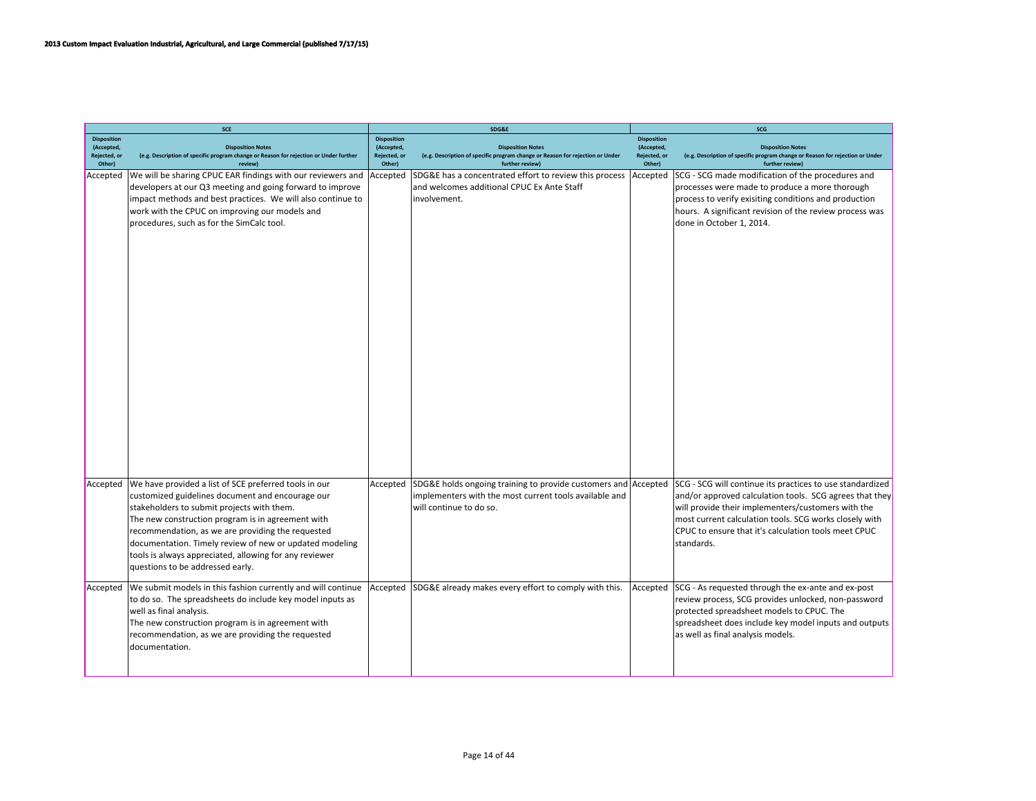|                                                            | <b>SCE</b>                                                                                                                                                                                                                                                                                                                                                                                                                 |                                                            | SDG&E                                                                                                                                               | SCG                                                        |                                                                                                                                                                                                                                                                                                            |  |
|------------------------------------------------------------|----------------------------------------------------------------------------------------------------------------------------------------------------------------------------------------------------------------------------------------------------------------------------------------------------------------------------------------------------------------------------------------------------------------------------|------------------------------------------------------------|-----------------------------------------------------------------------------------------------------------------------------------------------------|------------------------------------------------------------|------------------------------------------------------------------------------------------------------------------------------------------------------------------------------------------------------------------------------------------------------------------------------------------------------------|--|
| <b>Disposition</b><br>(Accepted,<br>Rejected, or<br>Other) | <b>Disposition Notes</b><br>(e.g. Description of specific program change or Reason for rejection or Under further<br>review)                                                                                                                                                                                                                                                                                               | <b>Disposition</b><br>(Accepted,<br>Rejected, or<br>Other) | <b>Disposition Notes</b><br>(e.g. Description of specific program change or Reason for rejection or Under<br>further review)                        | <b>Disposition</b><br>(Accepted,<br>Rejected, or<br>Other) | <b>Disposition Notes</b><br>(e.g. Description of specific program change or Reason for rejection or Under<br>further review)                                                                                                                                                                               |  |
| Accepted                                                   | We will be sharing CPUC EAR findings with our reviewers and<br>developers at our Q3 meeting and going forward to improve<br>impact methods and best practices. We will also continue to<br>work with the CPUC on improving our models and<br>procedures, such as for the SimCalc tool.                                                                                                                                     | Accepted                                                   | SDG&E has a concentrated effort to review this process<br>and welcomes additional CPUC Ex Ante Staff<br>involvement.                                | Accepted                                                   | SCG - SCG made modification of the procedures and<br>processes were made to produce a more thorough<br>process to verify exisiting conditions and production<br>hours. A significant revision of the review process was<br>done in October 1, 2014.                                                        |  |
| Accepted                                                   | We have provided a list of SCE preferred tools in our<br>customized guidelines document and encourage our<br>stakeholders to submit projects with them.<br>The new construction program is in agreement with<br>recommendation, as we are providing the requested<br>documentation. Timely review of new or updated modeling<br>tools is always appreciated, allowing for any reviewer<br>questions to be addressed early. | Accepted                                                   | SDG&E holds ongoing training to provide customers and Accepted<br>implementers with the most current tools available and<br>will continue to do so. |                                                            | SCG - SCG will continue its practices to use standardized<br>and/or approved calculation tools. SCG agrees that they<br>will provide their implementers/customers with the<br>most current calculation tools. SCG works closely with<br>CPUC to ensure that it's calculation tools meet CPUC<br>standards. |  |
| Accepted                                                   | We submit models in this fashion currently and will continue<br>to do so. The spreadsheets do include key model inputs as<br>well as final analysis.<br>The new construction program is in agreement with<br>recommendation, as we are providing the requested<br>documentation.                                                                                                                                           | Accepted                                                   | SDG&E already makes every effort to comply with this.                                                                                               | Accepted                                                   | SCG - As requested through the ex-ante and ex-post<br>review process, SCG provides unlocked, non-password<br>protected spreadsheet models to CPUC. The<br>spreadsheet does include key model inputs and outputs<br>as well as final analysis models.                                                       |  |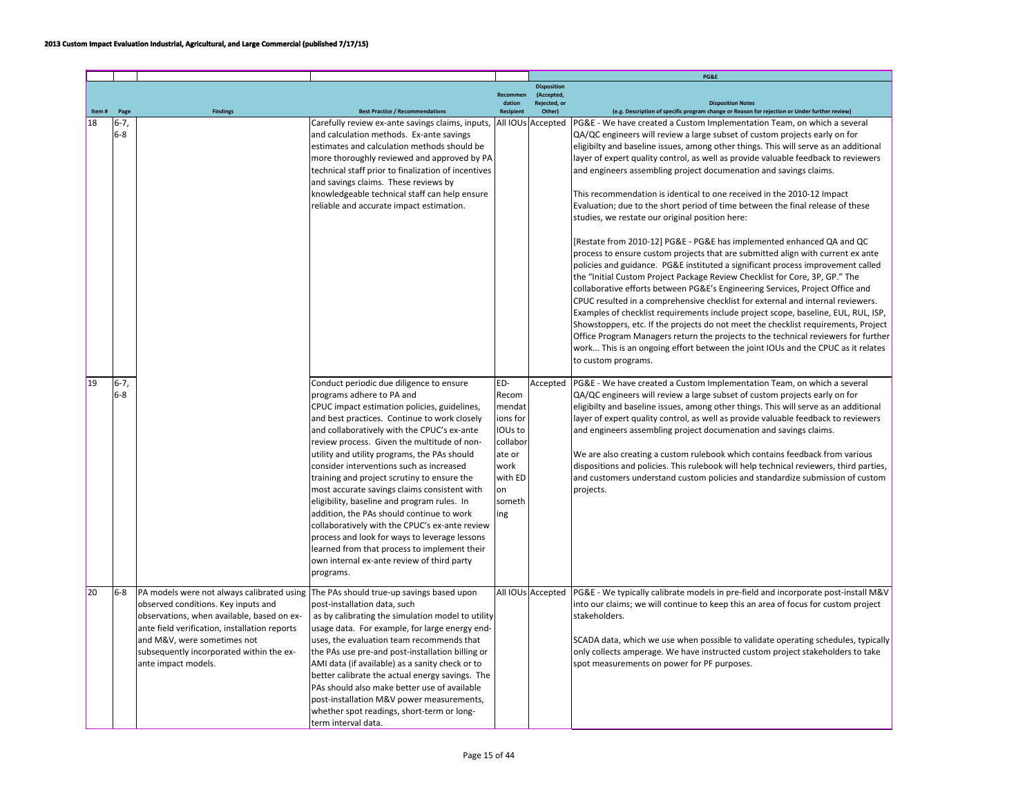|    |                  |                                                                                                                                                                                                                                                                                                                              |                                                                                                                                                                                                                                                                                                                                                                                                                                                                                                                                                                                                                                                                                                                                                                          |                                                                                                                |                                   | PG&E                                                                                                                                                                                                                                                                                                                                                                                                                                                                                                                                                                                                                                                                                                                                                                                                                                                                                                                                                                                                                                                                                                                                                                                                                                                                                                                                                                                                                                                                                                   |
|----|------------------|------------------------------------------------------------------------------------------------------------------------------------------------------------------------------------------------------------------------------------------------------------------------------------------------------------------------------|--------------------------------------------------------------------------------------------------------------------------------------------------------------------------------------------------------------------------------------------------------------------------------------------------------------------------------------------------------------------------------------------------------------------------------------------------------------------------------------------------------------------------------------------------------------------------------------------------------------------------------------------------------------------------------------------------------------------------------------------------------------------------|----------------------------------------------------------------------------------------------------------------|-----------------------------------|--------------------------------------------------------------------------------------------------------------------------------------------------------------------------------------------------------------------------------------------------------------------------------------------------------------------------------------------------------------------------------------------------------------------------------------------------------------------------------------------------------------------------------------------------------------------------------------------------------------------------------------------------------------------------------------------------------------------------------------------------------------------------------------------------------------------------------------------------------------------------------------------------------------------------------------------------------------------------------------------------------------------------------------------------------------------------------------------------------------------------------------------------------------------------------------------------------------------------------------------------------------------------------------------------------------------------------------------------------------------------------------------------------------------------------------------------------------------------------------------------------|
|    |                  |                                                                                                                                                                                                                                                                                                                              |                                                                                                                                                                                                                                                                                                                                                                                                                                                                                                                                                                                                                                                                                                                                                                          |                                                                                                                | <b>Disposition</b>                |                                                                                                                                                                                                                                                                                                                                                                                                                                                                                                                                                                                                                                                                                                                                                                                                                                                                                                                                                                                                                                                                                                                                                                                                                                                                                                                                                                                                                                                                                                        |
|    |                  |                                                                                                                                                                                                                                                                                                                              |                                                                                                                                                                                                                                                                                                                                                                                                                                                                                                                                                                                                                                                                                                                                                                          | Recommen<br>dation                                                                                             | (Accepted,<br><b>Rejected, or</b> | <b>Disposition Notes</b>                                                                                                                                                                                                                                                                                                                                                                                                                                                                                                                                                                                                                                                                                                                                                                                                                                                                                                                                                                                                                                                                                                                                                                                                                                                                                                                                                                                                                                                                               |
|    | Page             | <b>Findings</b>                                                                                                                                                                                                                                                                                                              | <b>Best Practice / Recommendations</b>                                                                                                                                                                                                                                                                                                                                                                                                                                                                                                                                                                                                                                                                                                                                   | <b>Recipient</b>                                                                                               | Other)                            | (e.g. Description of specific program change or Reason for rejection or Under further review)                                                                                                                                                                                                                                                                                                                                                                                                                                                                                                                                                                                                                                                                                                                                                                                                                                                                                                                                                                                                                                                                                                                                                                                                                                                                                                                                                                                                          |
| 18 | $6-7,$<br>$6-8$  |                                                                                                                                                                                                                                                                                                                              | Carefully review ex-ante savings claims, inputs,<br>and calculation methods. Ex-ante savings<br>estimates and calculation methods should be<br>more thoroughly reviewed and approved by PA<br>technical staff prior to finalization of incentives<br>and savings claims. These reviews by<br>knowledgeable technical staff can help ensure<br>reliable and accurate impact estimation.                                                                                                                                                                                                                                                                                                                                                                                   |                                                                                                                | All IOUs Accepted                 | PG&E - We have created a Custom Implementation Team, on which a several<br>QA/QC engineers will review a large subset of custom projects early on for<br>eligibilty and baseline issues, among other things. This will serve as an additional<br>layer of expert quality control, as well as provide valuable feedback to reviewers<br>and engineers assembling project documenation and savings claims.<br>This recommendation is identical to one received in the 2010-12 Impact<br>Evaluation; due to the short period of time between the final release of these<br>studies, we restate our original position here:<br>[Restate from 2010-12] PG&E - PG&E has implemented enhanced QA and QC<br>process to ensure custom projects that are submitted align with current ex ante<br>policies and guidance. PG&E instituted a significant process improvement called<br>the "Initial Custom Project Package Review Checklist for Core, 3P, GP." The<br>collaborative efforts between PG&E's Engineering Services, Project Office and<br>CPUC resulted in a comprehensive checklist for external and internal reviewers.<br>Examples of checklist requirements include project scope, baseline, EUL, RUL, ISP,<br>Showstoppers, etc. If the projects do not meet the checklist requirements, Project<br>Office Program Managers return the projects to the technical reviewers for further<br>work This is an ongoing effort between the joint IOUs and the CPUC as it relates<br>to custom programs. |
| 19 | $6 - 7$<br>$6-8$ |                                                                                                                                                                                                                                                                                                                              | Conduct periodic due diligence to ensure<br>programs adhere to PA and<br>CPUC impact estimation policies, guidelines,<br>and best practices. Continue to work closely<br>and collaboratively with the CPUC's ex-ante<br>review process. Given the multitude of non-<br>utility and utility programs, the PAs should<br>consider interventions such as increased<br>training and project scrutiny to ensure the<br>most accurate savings claims consistent with<br>eligibility, baseline and program rules. In<br>addition, the PAs should continue to work<br>collaboratively with the CPUC's ex-ante review<br>process and look for ways to leverage lessons<br>learned from that process to implement their<br>own internal ex-ante review of third party<br>programs. | ED-<br>Recom<br>mendat<br>ions for<br>IOUs to<br>collabor<br>ate or<br>work<br>with ED<br>lon<br>someth<br>ing | Accepted                          | PG&E - We have created a Custom Implementation Team, on which a several<br>QA/QC engineers will review a large subset of custom projects early on for<br>eligibilty and baseline issues, among other things. This will serve as an additional<br>layer of expert quality control, as well as provide valuable feedback to reviewers<br>and engineers assembling project documenation and savings claims.<br>We are also creating a custom rulebook which contains feedback from various<br>dispositions and policies. This rulebook will help technical reviewers, third parties,<br>and customers understand custom policies and standardize submission of custom<br>projects.                                                                                                                                                                                                                                                                                                                                                                                                                                                                                                                                                                                                                                                                                                                                                                                                                        |
| 20 | $6-8$            | PA models were not always calibrated using The PAs should true-up savings based upon<br>observed conditions. Key inputs and<br>observations, when available, based on ex-<br>ante field verification, installation reports<br>and M&V, were sometimes not<br>subsequently incorporated within the ex-<br>ante impact models. | post-installation data, such<br>as by calibrating the simulation model to utility<br>usage data. For example, for large energy end-<br>uses, the evaluation team recommends that<br>the PAs use pre-and post-installation billing or<br>AMI data (if available) as a sanity check or to<br>better calibrate the actual energy savings. The<br>PAs should also make better use of available<br>post-installation M&V power measurements,<br>whether spot readings, short-term or long-<br>term interval data.                                                                                                                                                                                                                                                             |                                                                                                                | All IOUs Accepted                 | PG&E - We typically calibrate models in pre-field and incorporate post-install M&V<br>into our claims; we will continue to keep this an area of focus for custom project<br>stakeholders.<br>SCADA data, which we use when possible to validate operating schedules, typically<br>only collects amperage. We have instructed custom project stakeholders to take<br>spot measurements on power for PF purposes.                                                                                                                                                                                                                                                                                                                                                                                                                                                                                                                                                                                                                                                                                                                                                                                                                                                                                                                                                                                                                                                                                        |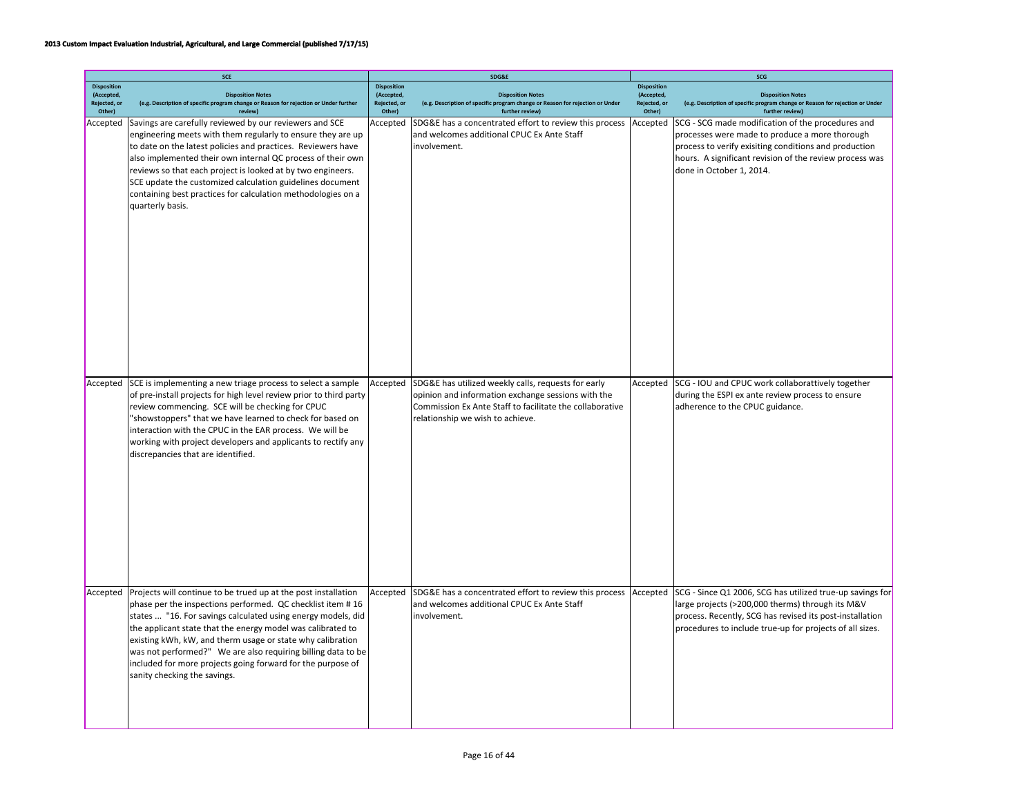|                                                            | SCE                                                                                                                                                                                                                                                                                                                                                                                                                                                                                      |                                                            | SDG&E                                                                                                                                                                                                     |                                                            | SCG                                                                                                                                                                                                                                                 |  |  |
|------------------------------------------------------------|------------------------------------------------------------------------------------------------------------------------------------------------------------------------------------------------------------------------------------------------------------------------------------------------------------------------------------------------------------------------------------------------------------------------------------------------------------------------------------------|------------------------------------------------------------|-----------------------------------------------------------------------------------------------------------------------------------------------------------------------------------------------------------|------------------------------------------------------------|-----------------------------------------------------------------------------------------------------------------------------------------------------------------------------------------------------------------------------------------------------|--|--|
| <b>Disposition</b><br>(Accepted,<br>Rejected, or<br>Other) | <b>Disposition Notes</b><br>(e.g. Description of specific program change or Reason for rejection or Under further<br>review)                                                                                                                                                                                                                                                                                                                                                             | <b>Disposition</b><br>(Accepted.<br>Rejected, or<br>Other) | <b>Disposition Notes</b><br>(e.g. Description of specific program change or Reason for rejection or Under<br>further review)                                                                              | <b>Disposition</b><br>(Accepted,<br>Rejected, or<br>Other) | <b>Disposition Notes</b><br>(e.g. Description of specific program change or Reason for rejection or Under<br>further review)                                                                                                                        |  |  |
| Accepted                                                   | Savings are carefully reviewed by our reviewers and SCE<br>engineering meets with them regularly to ensure they are up<br>to date on the latest policies and practices. Reviewers have<br>also implemented their own internal QC process of their own<br>reviews so that each project is looked at by two engineers.<br>SCE update the customized calculation guidelines document<br>containing best practices for calculation methodologies on a<br>quarterly basis.                    | Accepted                                                   | SDG&E has a concentrated effort to review this process<br>and welcomes additional CPUC Ex Ante Staff<br>involvement.                                                                                      | Accepted                                                   | SCG - SCG made modification of the procedures and<br>processes were made to produce a more thorough<br>process to verify exisiting conditions and production<br>hours. A significant revision of the review process was<br>done in October 1, 2014. |  |  |
| Accepted                                                   | SCE is implementing a new triage process to select a sample<br>of pre-install projects for high level review prior to third party<br>review commencing. SCE will be checking for CPUC<br>"showstoppers" that we have learned to check for based on<br>interaction with the CPUC in the EAR process. We will be<br>working with project developers and applicants to rectify any<br>discrepancies that are identified.                                                                    | Accepted                                                   | SDG&E has utilized weekly calls, requests for early<br>opinion and information exchange sessions with the<br>Commission Ex Ante Staff to facilitate the collaborative<br>relationship we wish to achieve. | Accepted                                                   | SCG - IOU and CPUC work collaborattively together<br>during the ESPI ex ante review process to ensure<br>adherence to the CPUC guidance.                                                                                                            |  |  |
| Accepted                                                   | Projects will continue to be trued up at the post installation<br>phase per the inspections performed. QC checklist item #16<br>states  "16. For savings calculated using energy models, did<br>the applicant state that the energy model was calibrated to<br>existing kWh, kW, and therm usage or state why calibration<br>was not performed?" We are also requiring billing data to be<br>included for more projects going forward for the purpose of<br>sanity checking the savings. | Accepted                                                   | SDG&E has a concentrated effort to review this process<br>and welcomes additional CPUC Ex Ante Staff<br>involvement.                                                                                      | Accepted                                                   | SCG - Since Q1 2006, SCG has utilized true-up savings for<br>large projects (>200,000 therms) through its M&V<br>process. Recently, SCG has revised its post-installation<br>procedures to include true-up for projects of all sizes.               |  |  |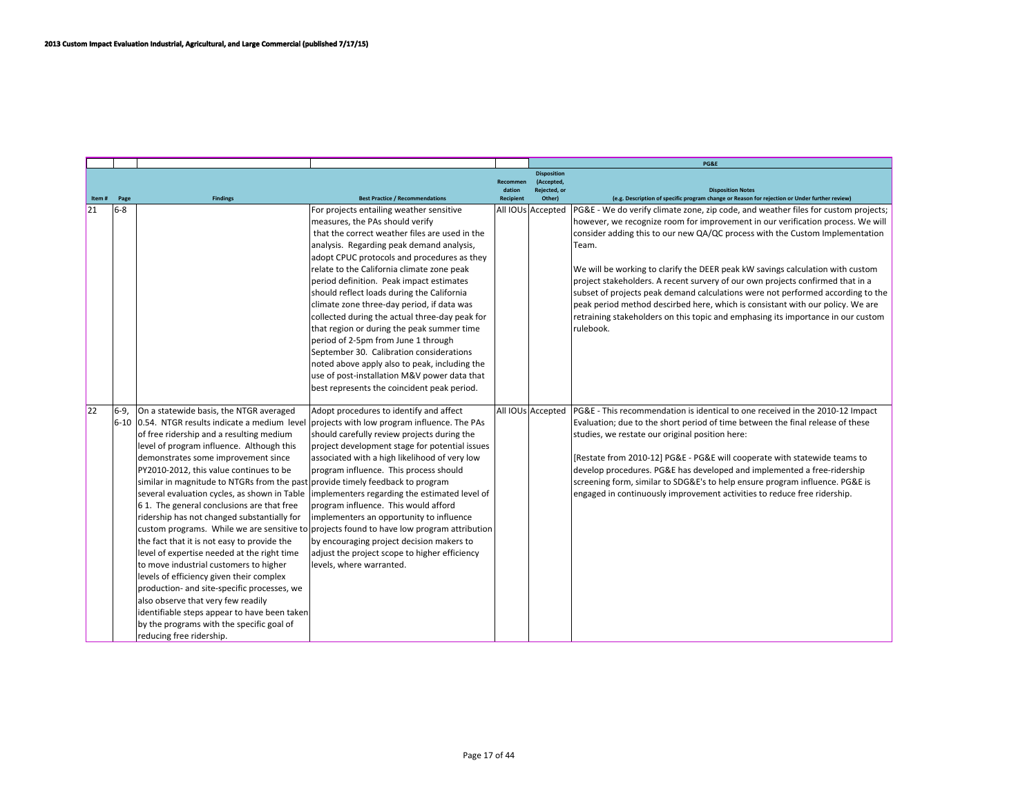|       |         |                                                                                                                                                                                                                                                                                                                                                                                                                                                                                                                                                                                                                                                                                                                                                                                                    |                                                                                                                                                                                                                                                                                                                                                                                                                                                                                                                                                                                                                                                                                                                                                    |                                        |                                                            | PG&E                                                                                                                                                                                                                                                                                                                                                                                                                                                                                                                                                                                                                                                                                                     |
|-------|---------|----------------------------------------------------------------------------------------------------------------------------------------------------------------------------------------------------------------------------------------------------------------------------------------------------------------------------------------------------------------------------------------------------------------------------------------------------------------------------------------------------------------------------------------------------------------------------------------------------------------------------------------------------------------------------------------------------------------------------------------------------------------------------------------------------|----------------------------------------------------------------------------------------------------------------------------------------------------------------------------------------------------------------------------------------------------------------------------------------------------------------------------------------------------------------------------------------------------------------------------------------------------------------------------------------------------------------------------------------------------------------------------------------------------------------------------------------------------------------------------------------------------------------------------------------------------|----------------------------------------|------------------------------------------------------------|----------------------------------------------------------------------------------------------------------------------------------------------------------------------------------------------------------------------------------------------------------------------------------------------------------------------------------------------------------------------------------------------------------------------------------------------------------------------------------------------------------------------------------------------------------------------------------------------------------------------------------------------------------------------------------------------------------|
| Item# | Page    | <b>Findings</b>                                                                                                                                                                                                                                                                                                                                                                                                                                                                                                                                                                                                                                                                                                                                                                                    | <b>Best Practice / Recommendations</b>                                                                                                                                                                                                                                                                                                                                                                                                                                                                                                                                                                                                                                                                                                             | Recommen<br>dation<br><b>Recipient</b> | <b>Disposition</b><br>(Accepted)<br>Rejected, or<br>Other) | <b>Disposition Notes</b><br>(e.g. Description of specific program change or Reason for rejection or Under further review)                                                                                                                                                                                                                                                                                                                                                                                                                                                                                                                                                                                |
| 21    | $6 - 8$ |                                                                                                                                                                                                                                                                                                                                                                                                                                                                                                                                                                                                                                                                                                                                                                                                    | For projects entailing weather sensitive<br>measures, the PAs should verify<br>that the correct weather files are used in the<br>analysis. Regarding peak demand analysis,<br>adopt CPUC protocols and procedures as they<br>relate to the California climate zone peak<br>period definition. Peak impact estimates<br>should reflect loads during the California<br>climate zone three-day period, if data was<br>collected during the actual three-day peak for<br>that region or during the peak summer time<br>period of 2-5pm from June 1 through<br>September 30. Calibration considerations<br>noted above apply also to peak, including the<br>use of post-installation M&V power data that<br>best represents the coincident peak period. |                                        | All IOUs Accepted                                          | PG&E - We do verify climate zone, zip code, and weather files for custom projects;<br>however, we recognize room for improvement in our verification process. We will<br>consider adding this to our new QA/QC process with the Custom Implementation<br>Team.<br>We will be working to clarify the DEER peak kW savings calculation with custom<br>project stakeholders. A recent survery of our own projects confirmed that in a<br>subset of projects peak demand calculations were not performed according to the<br>peak period method descirbed here, which is consistant with our policy. We are<br>retraining stakeholders on this topic and emphasing its importance in our custom<br>rulebook. |
| 22    | l6-9.   | On a statewide basis, the NTGR averaged<br>of free ridership and a resulting medium<br>level of program influence. Although this<br>demonstrates some improvement since<br>PY2010-2012, this value continues to be<br>similar in magnitude to NTGRs from the past provide timely feedback to program<br>61. The general conclusions are that free<br>ridership has not changed substantially for<br>the fact that it is not easy to provide the<br>level of expertise needed at the right time<br>to move industrial customers to higher<br>levels of efficiency given their complex<br>production- and site-specific processes, we<br>also observe that very few readily<br>identifiable steps appear to have been taken<br>by the programs with the specific goal of<br>reducing free ridership. | Adopt procedures to identify and affect<br>$6-10$ 0.54. NTGR results indicate a medium level projects with low program influence. The PAs<br>should carefully review projects during the<br>project development stage for potential issues<br>associated with a high likelihood of very low<br>program influence. This process should<br>several evaluation cycles, as shown in Table  implementers regarding the estimated level of<br>program influence. This would afford<br>implementers an opportunity to influence<br>custom programs. While we are sensitive to projects found to have low program attribution<br>by encouraging project decision makers to<br>adjust the project scope to higher efficiency<br>levels, where warranted.    |                                        | All IOUs Accepted                                          | PG&E - This recommendation is identical to one received in the 2010-12 Impact<br>Evaluation; due to the short period of time between the final release of these<br>studies, we restate our original position here:<br>[Restate from 2010-12] PG&E - PG&E will cooperate with statewide teams to<br>develop procedures. PG&E has developed and implemented a free-ridership<br>screening form, similar to SDG&E's to help ensure program influence. PG&E is<br>engaged in continuously improvement activities to reduce free ridership.                                                                                                                                                                   |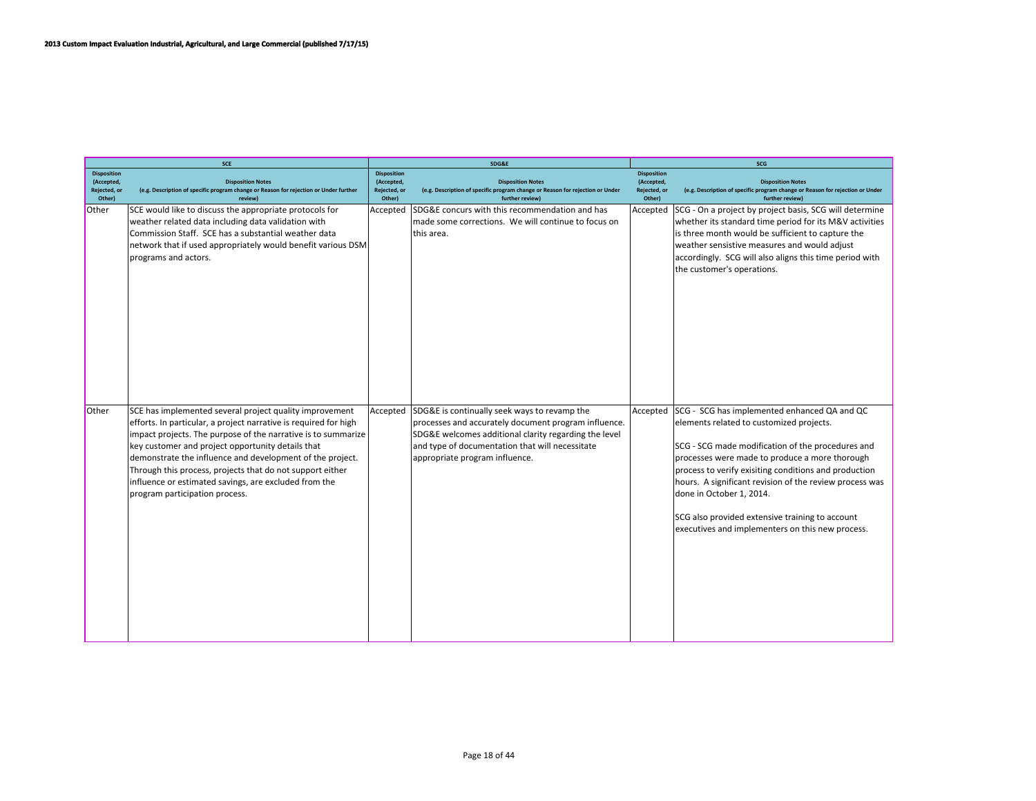|                                                            | SCE                                                                                                                                                                                                                                                                                                                                                                                                                                                                    |                                                            | SDG&E                                                                                                                                                                                                                                              | SCG                                                        |                                                                                                                                                                                                                                                                                                                                                                                                                                                        |  |
|------------------------------------------------------------|------------------------------------------------------------------------------------------------------------------------------------------------------------------------------------------------------------------------------------------------------------------------------------------------------------------------------------------------------------------------------------------------------------------------------------------------------------------------|------------------------------------------------------------|----------------------------------------------------------------------------------------------------------------------------------------------------------------------------------------------------------------------------------------------------|------------------------------------------------------------|--------------------------------------------------------------------------------------------------------------------------------------------------------------------------------------------------------------------------------------------------------------------------------------------------------------------------------------------------------------------------------------------------------------------------------------------------------|--|
| <b>Disposition</b><br>(Accepted,<br>Rejected, or<br>Other) | <b>Disposition Notes</b><br>(e.g. Description of specific program change or Reason for rejection or Under further<br>review)                                                                                                                                                                                                                                                                                                                                           | <b>Disposition</b><br>(Accepted,<br>Rejected, or<br>Other) | <b>Disposition Notes</b><br>(e.g. Description of specific program change or Reason for rejection or Under<br>further review)                                                                                                                       | <b>Disposition</b><br>(Accepted,<br>Rejected, or<br>Other) | <b>Disposition Notes</b><br>(e.g. Description of specific program change or Reason for rejection or Under<br>further review)                                                                                                                                                                                                                                                                                                                           |  |
| Other                                                      | SCE would like to discuss the appropriate protocols for<br>weather related data including data validation with<br>Commission Staff. SCE has a substantial weather data<br>network that if used appropriately would benefit various DSM<br>programs and actors.                                                                                                                                                                                                         | Accepted                                                   | SDG&E concurs with this recommendation and has<br>made some corrections. We will continue to focus on<br>this area.                                                                                                                                | Accepted                                                   | SCG - On a project by project basis, SCG will determine<br>whether its standard time period for its M&V activities<br>is three month would be sufficient to capture the<br>weather sensistive measures and would adjust<br>accordingly. SCG will also aligns this time period with<br>the customer's operations.                                                                                                                                       |  |
| Other                                                      | SCE has implemented several project quality improvement<br>efforts. In particular, a project narrative is required for high<br>impact projects. The purpose of the narrative is to summarize<br>key customer and project opportunity details that<br>demonstrate the influence and development of the project.<br>Through this process, projects that do not support either<br>influence or estimated savings, are excluded from the<br>program participation process. | Accepted                                                   | SDG&E is continually seek ways to revamp the<br>processes and accurately document program influence.<br>SDG&E welcomes additional clarity regarding the level<br>and type of documentation that will necessitate<br>appropriate program influence. | Accepted                                                   | SCG - SCG has implemented enhanced QA and QC<br>elements related to customized projects.<br>SCG - SCG made modification of the procedures and<br>processes were made to produce a more thorough<br>process to verify exisiting conditions and production<br>hours. A significant revision of the review process was<br>done in October 1, 2014.<br>SCG also provided extensive training to account<br>executives and implementers on this new process. |  |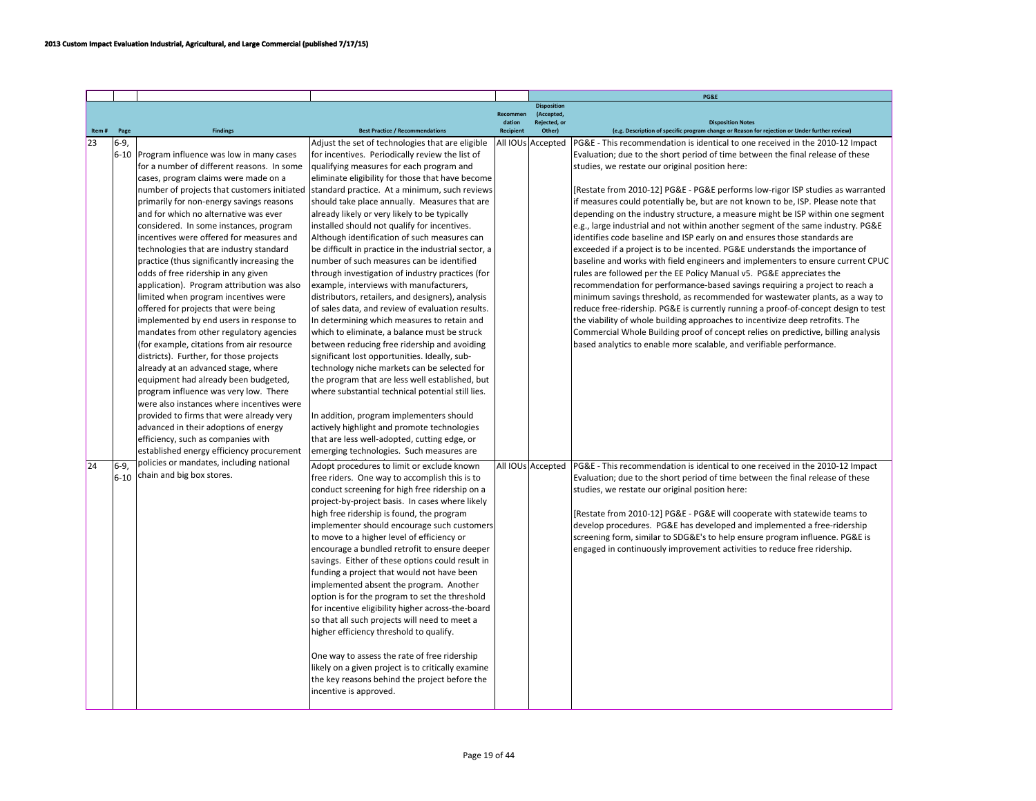|       |        |                                                                                    |                                                                                                   |           |                                  | PG&E                                                                                                                                                |
|-------|--------|------------------------------------------------------------------------------------|---------------------------------------------------------------------------------------------------|-----------|----------------------------------|-----------------------------------------------------------------------------------------------------------------------------------------------------|
|       |        |                                                                                    |                                                                                                   | Recommer  | <b>Disposition</b><br>(Accepted, |                                                                                                                                                     |
|       |        |                                                                                    |                                                                                                   | dation    | Rejected, or                     | <b>Disposition Notes</b>                                                                                                                            |
| Item# | Page   | <b>Findings</b>                                                                    | <b>Best Practice / Recommendations</b>                                                            | Recipient | Other                            | (e.g. Description of specific program change or Reason for rejection or Under further review)                                                       |
| 23    | 6-9.   |                                                                                    | Adjust the set of technologies that are eligible                                                  |           | All IOUs Accepted                | PG&E - This recommendation is identical to one received in the 2010-12 Impact                                                                       |
|       |        | 6-10 Program influence was low in many cases                                       | for incentives. Periodically review the list of                                                   |           |                                  | Evaluation; due to the short period of time between the final release of these                                                                      |
|       |        | for a number of different reasons. In some                                         | qualifying measures for each program and                                                          |           |                                  | studies, we restate our original position here:                                                                                                     |
|       |        | cases, program claims were made on a                                               | eliminate eligibility for those that have become                                                  |           |                                  |                                                                                                                                                     |
|       |        | number of projects that customers initiated                                        | standard practice. At a minimum, such reviews                                                     |           |                                  | [Restate from 2010-12] PG&E - PG&E performs low-rigor ISP studies as warranted                                                                      |
|       |        | primarily for non-energy savings reasons                                           | should take place annually. Measures that are                                                     |           |                                  | if measures could potentially be, but are not known to be, ISP. Please note that                                                                    |
|       |        | and for which no alternative was ever                                              | already likely or very likely to be typically                                                     |           |                                  | depending on the industry structure, a measure might be ISP within one segment                                                                      |
|       |        | considered. In some instances, program                                             | installed should not qualify for incentives.                                                      |           |                                  | e.g., large industrial and not within another segment of the same industry. PG&E                                                                    |
|       |        | incentives were offered for measures and                                           | Although identification of such measures can                                                      |           |                                  | identifies code baseline and ISP early on and ensures those standards are                                                                           |
|       |        | technologies that are industry standard                                            | be difficult in practice in the industrial sector, a<br>number of such measures can be identified |           |                                  | exceeded if a project is to be incented. PG&E understands the importance of                                                                         |
|       |        | practice (thus significantly increasing the                                        |                                                                                                   |           |                                  | baseline and works with field engineers and implementers to ensure current CPUC                                                                     |
|       |        | odds of free ridership in any given<br>application). Program attribution was also  | through investigation of industry practices (for<br>example, interviews with manufacturers,       |           |                                  | rules are followed per the EE Policy Manual v5. PG&E appreciates the<br>recommendation for performance-based savings requiring a project to reach a |
|       |        | limited when program incentives were                                               | distributors, retailers, and designers), analysis                                                 |           |                                  | minimum savings threshold, as recommended for wastewater plants, as a way to                                                                        |
|       |        | offered for projects that were being                                               | of sales data, and review of evaluation results.                                                  |           |                                  | reduce free-ridership. PG&E is currently running a proof-of-concept design to test                                                                  |
|       |        | implemented by end users in response to                                            | In determining which measures to retain and                                                       |           |                                  | the viability of whole building approaches to incentivize deep retrofits. The                                                                       |
|       |        | mandates from other regulatory agencies                                            | which to eliminate, a balance must be struck                                                      |           |                                  | Commercial Whole Building proof of concept relies on predictive, billing analysis                                                                   |
|       |        | (for example, citations from air resource                                          | between reducing free ridership and avoiding                                                      |           |                                  | based analytics to enable more scalable, and verifiable performance.                                                                                |
|       |        | districts). Further, for those projects                                            | significant lost opportunities. Ideally, sub-                                                     |           |                                  |                                                                                                                                                     |
|       |        | already at an advanced stage, where                                                | technology niche markets can be selected for                                                      |           |                                  |                                                                                                                                                     |
|       |        | equipment had already been budgeted,                                               | the program that are less well established, but                                                   |           |                                  |                                                                                                                                                     |
|       |        | program influence was very low. There<br>were also instances where incentives were | where substantial technical potential still lies.                                                 |           |                                  |                                                                                                                                                     |
|       |        |                                                                                    |                                                                                                   |           |                                  |                                                                                                                                                     |
|       |        | provided to firms that were already very                                           | In addition, program implementers should                                                          |           |                                  |                                                                                                                                                     |
|       |        | advanced in their adoptions of energy                                              | actively highlight and promote technologies                                                       |           |                                  |                                                                                                                                                     |
|       |        | efficiency, such as companies with                                                 | that are less well-adopted, cutting edge, or                                                      |           |                                  |                                                                                                                                                     |
|       |        | established energy efficiency procurement                                          | emerging technologies. Such measures are                                                          |           |                                  |                                                                                                                                                     |
| 24    | 6-9    | policies or mandates, including national                                           | Adopt procedures to limit or exclude known                                                        |           | All IOUs Accepted                | PG&E - This recommendation is identical to one received in the 2010-12 Impact                                                                       |
|       | $6-10$ | chain and big box stores.                                                          | free riders. One way to accomplish this is to                                                     |           |                                  | Evaluation; due to the short period of time between the final release of these                                                                      |
|       |        |                                                                                    | conduct screening for high free ridership on a                                                    |           |                                  | studies, we restate our original position here:                                                                                                     |
|       |        |                                                                                    | project-by-project basis. In cases where likely                                                   |           |                                  |                                                                                                                                                     |
|       |        |                                                                                    | high free ridership is found, the program                                                         |           |                                  | [Restate from 2010-12] PG&E - PG&E will cooperate with statewide teams to                                                                           |
|       |        |                                                                                    | implementer should encourage such customers                                                       |           |                                  | develop procedures. PG&E has developed and implemented a free-ridership                                                                             |
|       |        |                                                                                    | to move to a higher level of efficiency or                                                        |           |                                  | screening form, similar to SDG&E's to help ensure program influence. PG&E is                                                                        |
|       |        |                                                                                    | encourage a bundled retrofit to ensure deeper                                                     |           |                                  | engaged in continuously improvement activities to reduce free ridership.                                                                            |
|       |        |                                                                                    | savings. Either of these options could result in                                                  |           |                                  |                                                                                                                                                     |
|       |        |                                                                                    | funding a project that would not have been                                                        |           |                                  |                                                                                                                                                     |
|       |        |                                                                                    | implemented absent the program. Another                                                           |           |                                  |                                                                                                                                                     |
|       |        |                                                                                    | option is for the program to set the threshold                                                    |           |                                  |                                                                                                                                                     |
|       |        |                                                                                    | for incentive eligibility higher across-the-board                                                 |           |                                  |                                                                                                                                                     |
|       |        |                                                                                    | so that all such projects will need to meet a                                                     |           |                                  |                                                                                                                                                     |
|       |        |                                                                                    | higher efficiency threshold to qualify.                                                           |           |                                  |                                                                                                                                                     |
|       |        |                                                                                    |                                                                                                   |           |                                  |                                                                                                                                                     |
|       |        |                                                                                    | One way to assess the rate of free ridership                                                      |           |                                  |                                                                                                                                                     |
|       |        |                                                                                    | likely on a given project is to critically examine                                                |           |                                  |                                                                                                                                                     |
|       |        |                                                                                    | the key reasons behind the project before the<br>incentive is approved.                           |           |                                  |                                                                                                                                                     |
|       |        |                                                                                    |                                                                                                   |           |                                  |                                                                                                                                                     |
|       |        |                                                                                    |                                                                                                   |           |                                  |                                                                                                                                                     |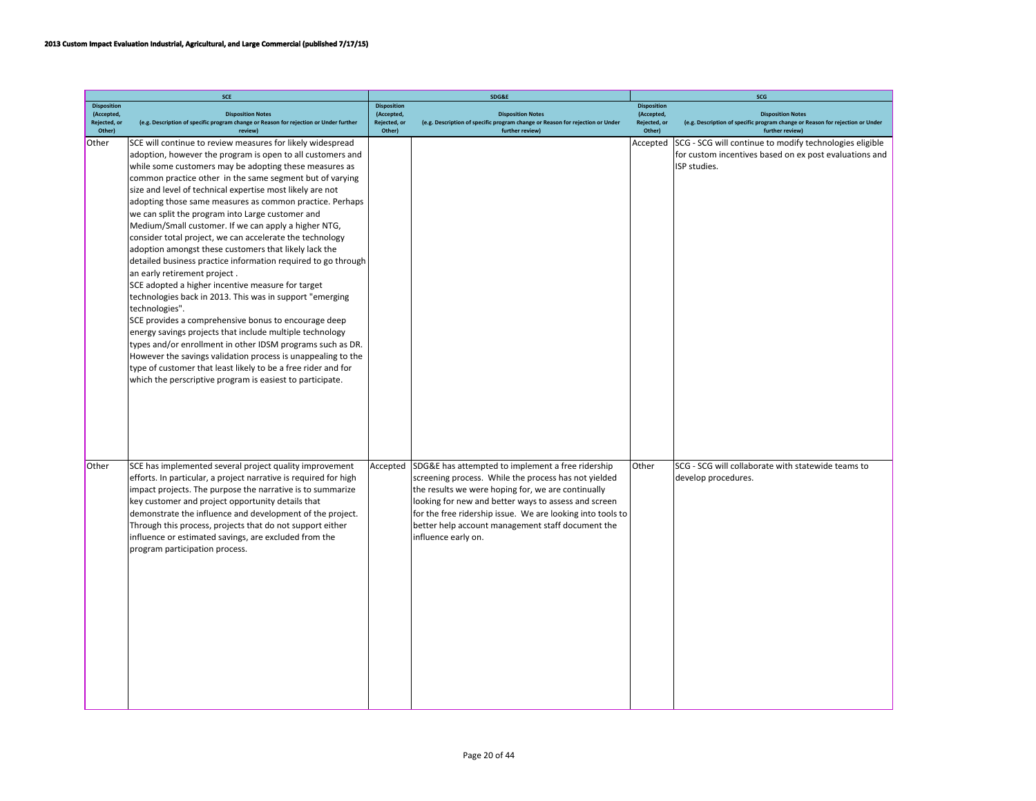|                            | <b>SCE</b>                                                                                                        |                            | SDG&E                                                                                                     | SCG                        |                                                                                                           |  |
|----------------------------|-------------------------------------------------------------------------------------------------------------------|----------------------------|-----------------------------------------------------------------------------------------------------------|----------------------------|-----------------------------------------------------------------------------------------------------------|--|
| <b>Disposition</b>         |                                                                                                                   | <b>Disposition</b>         |                                                                                                           | <b>Disposition</b>         |                                                                                                           |  |
| (Accepted,<br>Rejected, or | <b>Disposition Notes</b><br>(e.g. Description of specific program change or Reason for rejection or Under further | (Accepted,<br>Rejected, or | <b>Disposition Notes</b><br>(e.g. Description of specific program change or Reason for rejection or Under | (Accepted,<br>Rejected, or | <b>Disposition Notes</b><br>(e.g. Description of specific program change or Reason for rejection or Under |  |
| Other)                     | review)                                                                                                           | Other)                     | further review)                                                                                           | Other)                     | further review)                                                                                           |  |
| Other                      | SCE will continue to review measures for likely widespread                                                        |                            |                                                                                                           | Accepted                   | SCG - SCG will continue to modify technologies eligible                                                   |  |
|                            | adoption, however the program is open to all customers and                                                        |                            |                                                                                                           |                            | for custom incentives based on ex post evaluations and                                                    |  |
|                            | while some customers may be adopting these measures as                                                            |                            |                                                                                                           |                            | ISP studies.                                                                                              |  |
|                            | common practice other in the same segment but of varying                                                          |                            |                                                                                                           |                            |                                                                                                           |  |
|                            | size and level of technical expertise most likely are not                                                         |                            |                                                                                                           |                            |                                                                                                           |  |
|                            | adopting those same measures as common practice. Perhaps                                                          |                            |                                                                                                           |                            |                                                                                                           |  |
|                            | we can split the program into Large customer and                                                                  |                            |                                                                                                           |                            |                                                                                                           |  |
|                            | Medium/Small customer. If we can apply a higher NTG,                                                              |                            |                                                                                                           |                            |                                                                                                           |  |
|                            | consider total project, we can accelerate the technology                                                          |                            |                                                                                                           |                            |                                                                                                           |  |
|                            | adoption amongst these customers that likely lack the                                                             |                            |                                                                                                           |                            |                                                                                                           |  |
|                            | detailed business practice information required to go through                                                     |                            |                                                                                                           |                            |                                                                                                           |  |
|                            | an early retirement project.                                                                                      |                            |                                                                                                           |                            |                                                                                                           |  |
|                            | SCE adopted a higher incentive measure for target<br>technologies back in 2013. This was in support "emerging     |                            |                                                                                                           |                            |                                                                                                           |  |
|                            | technologies".                                                                                                    |                            |                                                                                                           |                            |                                                                                                           |  |
|                            | SCE provides a comprehensive bonus to encourage deep                                                              |                            |                                                                                                           |                            |                                                                                                           |  |
|                            | energy savings projects that include multiple technology                                                          |                            |                                                                                                           |                            |                                                                                                           |  |
|                            | types and/or enrollment in other IDSM programs such as DR.                                                        |                            |                                                                                                           |                            |                                                                                                           |  |
|                            | However the savings validation process is unappealing to the                                                      |                            |                                                                                                           |                            |                                                                                                           |  |
|                            | type of customer that least likely to be a free rider and for                                                     |                            |                                                                                                           |                            |                                                                                                           |  |
|                            | which the perscriptive program is easiest to participate.                                                         |                            |                                                                                                           |                            |                                                                                                           |  |
|                            |                                                                                                                   |                            |                                                                                                           |                            |                                                                                                           |  |
|                            |                                                                                                                   |                            |                                                                                                           |                            |                                                                                                           |  |
|                            |                                                                                                                   |                            |                                                                                                           |                            |                                                                                                           |  |
|                            |                                                                                                                   |                            |                                                                                                           |                            |                                                                                                           |  |
|                            |                                                                                                                   |                            |                                                                                                           |                            |                                                                                                           |  |
|                            |                                                                                                                   |                            |                                                                                                           |                            |                                                                                                           |  |
| Other                      | SCE has implemented several project quality improvement                                                           | Accepted                   | SDG&E has attempted to implement a free ridership                                                         | Other                      | SCG - SCG will collaborate with statewide teams to                                                        |  |
|                            | efforts. In particular, a project narrative is required for high                                                  |                            | screening process. While the process has not yielded                                                      |                            | develop procedures.                                                                                       |  |
|                            | impact projects. The purpose the narrative is to summarize                                                        |                            | the results we were hoping for, we are continually                                                        |                            |                                                                                                           |  |
|                            | key customer and project opportunity details that                                                                 |                            | looking for new and better ways to assess and screen                                                      |                            |                                                                                                           |  |
|                            | demonstrate the influence and development of the project.                                                         |                            | for the free ridership issue. We are looking into tools to                                                |                            |                                                                                                           |  |
|                            | Through this process, projects that do not support either                                                         |                            | better help account management staff document the                                                         |                            |                                                                                                           |  |
|                            | influence or estimated savings, are excluded from the                                                             |                            | influence early on.                                                                                       |                            |                                                                                                           |  |
|                            | program participation process.                                                                                    |                            |                                                                                                           |                            |                                                                                                           |  |
|                            |                                                                                                                   |                            |                                                                                                           |                            |                                                                                                           |  |
|                            |                                                                                                                   |                            |                                                                                                           |                            |                                                                                                           |  |
|                            |                                                                                                                   |                            |                                                                                                           |                            |                                                                                                           |  |
|                            |                                                                                                                   |                            |                                                                                                           |                            |                                                                                                           |  |
|                            |                                                                                                                   |                            |                                                                                                           |                            |                                                                                                           |  |
|                            |                                                                                                                   |                            |                                                                                                           |                            |                                                                                                           |  |
|                            |                                                                                                                   |                            |                                                                                                           |                            |                                                                                                           |  |
|                            |                                                                                                                   |                            |                                                                                                           |                            |                                                                                                           |  |
|                            |                                                                                                                   |                            |                                                                                                           |                            |                                                                                                           |  |
|                            |                                                                                                                   |                            |                                                                                                           |                            |                                                                                                           |  |
|                            |                                                                                                                   |                            |                                                                                                           |                            |                                                                                                           |  |
|                            |                                                                                                                   |                            |                                                                                                           |                            |                                                                                                           |  |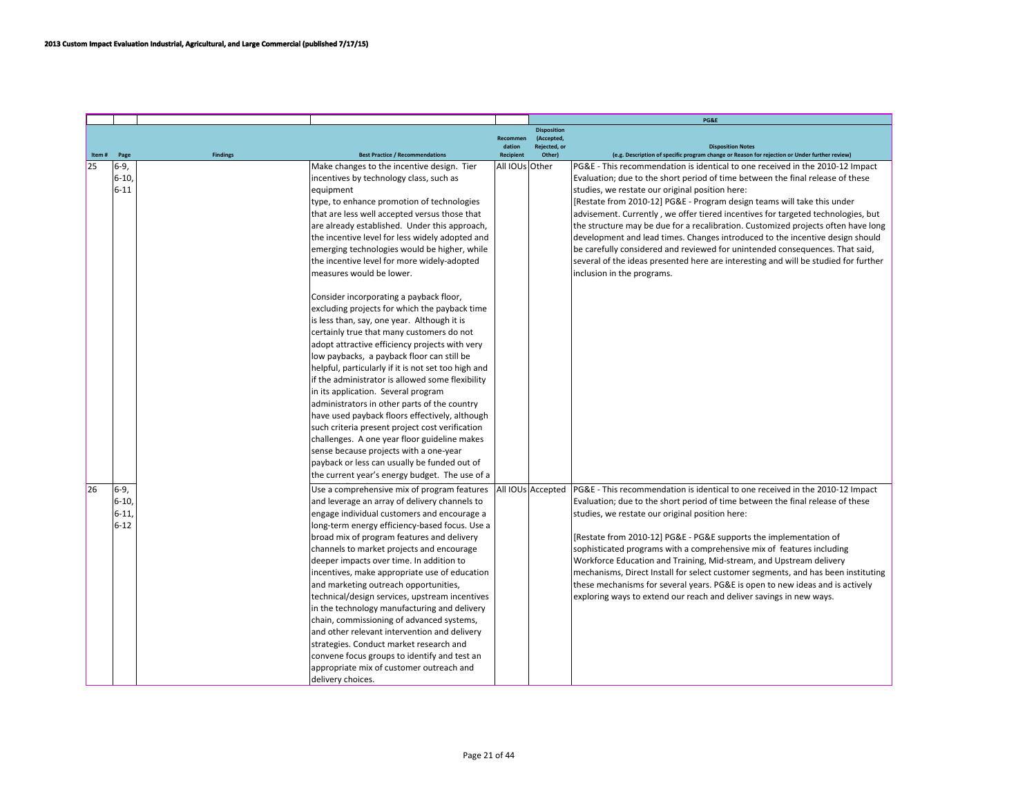|       |                                          |                 |                                                                                                                                                                                                                                                                                                                                                                                                                                                                                                                                                                                                                                                                                                                                                                                                                                                                                                                                                                                                                                                                                                                           |                    |                                                  | PG&E                                                                                                                                                                                                                                                                                                                                                                                                                                                                                                                                                                                                                                                                                                                                                         |
|-------|------------------------------------------|-----------------|---------------------------------------------------------------------------------------------------------------------------------------------------------------------------------------------------------------------------------------------------------------------------------------------------------------------------------------------------------------------------------------------------------------------------------------------------------------------------------------------------------------------------------------------------------------------------------------------------------------------------------------------------------------------------------------------------------------------------------------------------------------------------------------------------------------------------------------------------------------------------------------------------------------------------------------------------------------------------------------------------------------------------------------------------------------------------------------------------------------------------|--------------------|--------------------------------------------------|--------------------------------------------------------------------------------------------------------------------------------------------------------------------------------------------------------------------------------------------------------------------------------------------------------------------------------------------------------------------------------------------------------------------------------------------------------------------------------------------------------------------------------------------------------------------------------------------------------------------------------------------------------------------------------------------------------------------------------------------------------------|
|       |                                          |                 |                                                                                                                                                                                                                                                                                                                                                                                                                                                                                                                                                                                                                                                                                                                                                                                                                                                                                                                                                                                                                                                                                                                           | Recommen<br>dation | <b>Disposition</b><br>(Accepted,<br>Rejected, or | <b>Disposition Notes</b>                                                                                                                                                                                                                                                                                                                                                                                                                                                                                                                                                                                                                                                                                                                                     |
| Item# | Page                                     | <b>Findings</b> | <b>Best Practice / Recommendations</b>                                                                                                                                                                                                                                                                                                                                                                                                                                                                                                                                                                                                                                                                                                                                                                                                                                                                                                                                                                                                                                                                                    | <b>Recipient</b>   | Other)                                           | (e.g. Description of specific program change or Reason for rejection or Under further review)                                                                                                                                                                                                                                                                                                                                                                                                                                                                                                                                                                                                                                                                |
| 25    | $6-9,$<br>$6-10,$<br>$6 - 11$            |                 | Make changes to the incentive design. Tier<br>incentives by technology class, such as<br>equipment<br>type, to enhance promotion of technologies<br>that are less well accepted versus those that<br>are already established. Under this approach,<br>the incentive level for less widely adopted and<br>emerging technologies would be higher, while<br>the incentive level for more widely-adopted<br>measures would be lower.<br>Consider incorporating a payback floor,<br>excluding projects for which the payback time<br>is less than, say, one year. Although it is<br>certainly true that many customers do not<br>adopt attractive efficiency projects with very<br>low paybacks, a payback floor can still be<br>helpful, particularly if it is not set too high and<br>if the administrator is allowed some flexibility<br>in its application. Several program<br>administrators in other parts of the country<br>have used payback floors effectively, although<br>such criteria present project cost verification<br>challenges. A one year floor guideline makes<br>sense because projects with a one-year | All IOUs Other     |                                                  | PG&E - This recommendation is identical to one received in the 2010-12 Impact<br>Evaluation; due to the short period of time between the final release of these<br>studies, we restate our original position here:<br>[Restate from 2010-12] PG&E - Program design teams will take this under<br>advisement. Currently, we offer tiered incentives for targeted technologies, but<br>the structure may be due for a recalibration. Customized projects often have long<br>development and lead times. Changes introduced to the incentive design should<br>be carefully considered and reviewed for unintended consequences. That said,<br>several of the ideas presented here are interesting and will be studied for further<br>inclusion in the programs. |
|       |                                          |                 | payback or less can usually be funded out of<br>the current year's energy budget. The use of a                                                                                                                                                                                                                                                                                                                                                                                                                                                                                                                                                                                                                                                                                                                                                                                                                                                                                                                                                                                                                            |                    |                                                  |                                                                                                                                                                                                                                                                                                                                                                                                                                                                                                                                                                                                                                                                                                                                                              |
| 26    | $6-9,$<br>$6 - 10$<br>$6-11$<br>$6 - 12$ |                 | Use a comprehensive mix of program features<br>and leverage an array of delivery channels to<br>engage individual customers and encourage a<br>long-term energy efficiency-based focus. Use a<br>broad mix of program features and delivery<br>channels to market projects and encourage<br>deeper impacts over time. In addition to<br>incentives, make appropriate use of education<br>and marketing outreach opportunities,<br>technical/design services, upstream incentives<br>in the technology manufacturing and delivery<br>chain, commissioning of advanced systems,<br>and other relevant intervention and delivery<br>strategies. Conduct market research and<br>convene focus groups to identify and test an<br>appropriate mix of customer outreach and<br>delivery choices.                                                                                                                                                                                                                                                                                                                                 |                    | All IOUs Accepted                                | PG&E - This recommendation is identical to one received in the 2010-12 Impact<br>Evaluation; due to the short period of time between the final release of these<br>studies, we restate our original position here:<br>[Restate from 2010-12] PG&E - PG&E supports the implementation of<br>sophisticated programs with a comprehensive mix of features including<br>Workforce Education and Training, Mid-stream, and Upstream delivery<br>mechanisms, Direct Install for select customer segments, and has been instituting<br>these mechanisms for several years. PG&E is open to new ideas and is actively<br>exploring ways to extend our reach and deliver savings in new ways.                                                                         |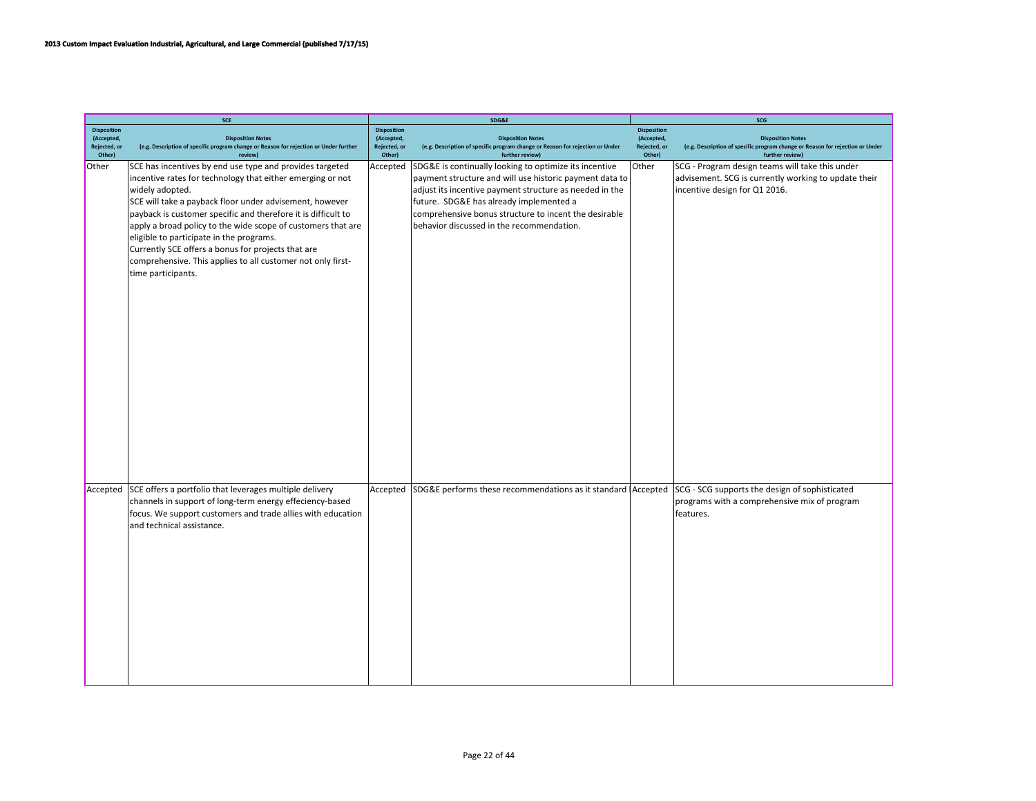|                            | SCE                                                                                                                                                                                                                                                                                                                                                                                                                                                                                                                          |                            | SDG&E                                                                                                                                                                                                                                                                                                                                  |                            | SCG                                                                                                                                      |
|----------------------------|------------------------------------------------------------------------------------------------------------------------------------------------------------------------------------------------------------------------------------------------------------------------------------------------------------------------------------------------------------------------------------------------------------------------------------------------------------------------------------------------------------------------------|----------------------------|----------------------------------------------------------------------------------------------------------------------------------------------------------------------------------------------------------------------------------------------------------------------------------------------------------------------------------------|----------------------------|------------------------------------------------------------------------------------------------------------------------------------------|
| <b>Disposition</b>         |                                                                                                                                                                                                                                                                                                                                                                                                                                                                                                                              | <b>Disposition</b>         |                                                                                                                                                                                                                                                                                                                                        | <b>Disposition</b>         |                                                                                                                                          |
| (Accepted,<br>Rejected, or | <b>Disposition Notes</b><br>(e.g. Description of specific program change or Reason for rejection or Under further                                                                                                                                                                                                                                                                                                                                                                                                            | (Accepted,<br>Rejected, or | <b>Disposition Notes</b><br>(e.g. Description of specific program change or Reason for rejection or Under                                                                                                                                                                                                                              | (Accepted,<br>Rejected, or | <b>Disposition Notes</b><br>(e.g. Description of specific program change or Reason for rejection or Under                                |
| Other)                     | review)                                                                                                                                                                                                                                                                                                                                                                                                                                                                                                                      | Other)                     | further review)                                                                                                                                                                                                                                                                                                                        | Other)                     | further review)                                                                                                                          |
| Other                      | SCE has incentives by end use type and provides targeted<br>incentive rates for technology that either emerging or not<br>widely adopted.<br>SCE will take a payback floor under advisement, however<br>payback is customer specific and therefore it is difficult to<br>apply a broad policy to the wide scope of customers that are<br>eligible to participate in the programs.<br>Currently SCE offers a bonus for projects that are<br>comprehensive. This applies to all customer not only first-<br>time participants. |                            | Accepted SDG&E is continually looking to optimize its incentive<br>payment structure and will use historic payment data to<br>adjust its incentive payment structure as needed in the<br>future. SDG&E has already implemented a<br>comprehensive bonus structure to incent the desirable<br>behavior discussed in the recommendation. | Other                      | SCG - Program design teams will take this under<br>advisement. SCG is currently working to update their<br>incentive design for Q1 2016. |
|                            |                                                                                                                                                                                                                                                                                                                                                                                                                                                                                                                              |                            |                                                                                                                                                                                                                                                                                                                                        |                            |                                                                                                                                          |
|                            | Accepted SCE offers a portfolio that leverages multiple delivery<br>channels in support of long-term energy effeciency-based<br>focus. We support customers and trade allies with education<br>and technical assistance.                                                                                                                                                                                                                                                                                                     |                            | Accepted SDG&E performs these recommendations as it standard Accepted SCG - SCG supports the design of sophisticated                                                                                                                                                                                                                   |                            | programs with a comprehensive mix of program<br>features.                                                                                |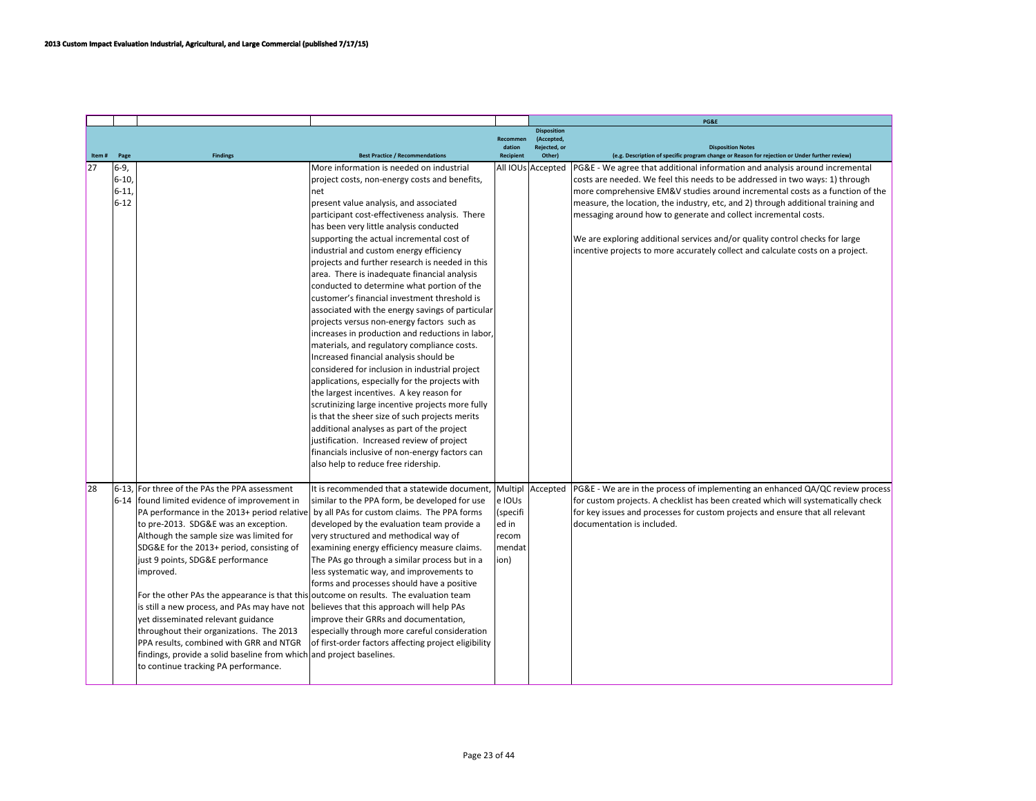|       |          |                                                                                         |                                                                                       |           |                                  | PG&E                                                                                          |
|-------|----------|-----------------------------------------------------------------------------------------|---------------------------------------------------------------------------------------|-----------|----------------------------------|-----------------------------------------------------------------------------------------------|
|       |          |                                                                                         |                                                                                       | Recommen  | <b>Disposition</b><br>(Accepted) |                                                                                               |
|       |          |                                                                                         |                                                                                       | dation    | Rejected, or                     | <b>Disposition Notes</b>                                                                      |
| Item# | Page     | <b>Findings</b>                                                                         | <b>Best Practice / Recommendations</b>                                                | Recipient | Other)                           | (e.g. Description of specific program change or Reason for rejection or Under further review) |
| 27    | $6-9,$   |                                                                                         | More information is needed on industrial                                              |           | All IOUs Accepted                | PG&E - We agree that additional information and analysis around incremental                   |
|       | $6-10,$  |                                                                                         | project costs, non-energy costs and benefits,                                         |           |                                  | costs are needed. We feel this needs to be addressed in two ways: 1) through                  |
|       | $6 - 11$ |                                                                                         | net                                                                                   |           |                                  | more comprehensive EM&V studies around incremental costs as a function of the                 |
|       | $6 - 12$ |                                                                                         | present value analysis, and associated                                                |           |                                  | measure, the location, the industry, etc, and 2) through additional training and              |
|       |          |                                                                                         | participant cost-effectiveness analysis. There                                        |           |                                  | messaging around how to generate and collect incremental costs.                               |
|       |          |                                                                                         | has been very little analysis conducted                                               |           |                                  |                                                                                               |
|       |          |                                                                                         | supporting the actual incremental cost of                                             |           |                                  | We are exploring additional services and/or quality control checks for large                  |
|       |          |                                                                                         | industrial and custom energy efficiency                                               |           |                                  | incentive projects to more accurately collect and calculate costs on a project.               |
|       |          |                                                                                         | projects and further research is needed in this                                       |           |                                  |                                                                                               |
|       |          |                                                                                         | area. There is inadequate financial analysis                                          |           |                                  |                                                                                               |
|       |          |                                                                                         | conducted to determine what portion of the                                            |           |                                  |                                                                                               |
|       |          |                                                                                         | customer's financial investment threshold is                                          |           |                                  |                                                                                               |
|       |          |                                                                                         | associated with the energy savings of particular                                      |           |                                  |                                                                                               |
|       |          |                                                                                         | projects versus non-energy factors such as                                            |           |                                  |                                                                                               |
|       |          |                                                                                         | increases in production and reductions in labor,                                      |           |                                  |                                                                                               |
|       |          |                                                                                         | materials, and regulatory compliance costs.<br>Increased financial analysis should be |           |                                  |                                                                                               |
|       |          |                                                                                         | considered for inclusion in industrial project                                        |           |                                  |                                                                                               |
|       |          |                                                                                         | applications, especially for the projects with                                        |           |                                  |                                                                                               |
|       |          |                                                                                         | the largest incentives. A key reason for                                              |           |                                  |                                                                                               |
|       |          |                                                                                         | scrutinizing large incentive projects more fully                                      |           |                                  |                                                                                               |
|       |          |                                                                                         | is that the sheer size of such projects merits                                        |           |                                  |                                                                                               |
|       |          |                                                                                         | additional analyses as part of the project                                            |           |                                  |                                                                                               |
|       |          |                                                                                         | justification. Increased review of project                                            |           |                                  |                                                                                               |
|       |          |                                                                                         | financials inclusive of non-energy factors can                                        |           |                                  |                                                                                               |
|       |          |                                                                                         | also help to reduce free ridership.                                                   |           |                                  |                                                                                               |
|       |          |                                                                                         |                                                                                       |           |                                  |                                                                                               |
| 28    |          | 6-13. For three of the PAs the PPA assessment                                           | It is recommended that a statewide document,                                          |           | Multipl Accepted                 | PG&E - We are in the process of implementing an enhanced QA/QC review process                 |
|       |          | 6-14   found limited evidence of improvement in                                         | similar to the PPA form, be developed for use                                         | e IOUs    |                                  | for custom projects. A checklist has been created which will systematically check             |
|       |          | PA performance in the 2013+ period relative by all PAs for custom claims. The PPA forms |                                                                                       | (specifi  |                                  | for key issues and processes for custom projects and ensure that all relevant                 |
|       |          | to pre-2013. SDG&E was an exception.                                                    | developed by the evaluation team provide a                                            | ed in     |                                  | documentation is included.                                                                    |
|       |          | Although the sample size was limited for                                                | very structured and methodical way of                                                 | recom     |                                  |                                                                                               |
|       |          | SDG&E for the 2013+ period, consisting of                                               | examining energy efficiency measure claims.                                           | mendat    |                                  |                                                                                               |
|       |          | just 9 points, SDG&E performance                                                        | The PAs go through a similar process but in a                                         | ion)      |                                  |                                                                                               |
|       |          | improved.                                                                               | less systematic way, and improvements to                                              |           |                                  |                                                                                               |
|       |          |                                                                                         | forms and processes should have a positive                                            |           |                                  |                                                                                               |
|       |          | For the other PAs the appearance is that this outcome on results. The evaluation team   |                                                                                       |           |                                  |                                                                                               |
|       |          | is still a new process, and PAs may have not                                            | believes that this approach will help PAs                                             |           |                                  |                                                                                               |
|       |          | yet disseminated relevant guidance                                                      | improve their GRRs and documentation,                                                 |           |                                  |                                                                                               |
|       |          | throughout their organizations. The 2013                                                | especially through more careful consideration                                         |           |                                  |                                                                                               |
|       |          | PPA results, combined with GRR and NTGR                                                 | of first-order factors affecting project eligibility                                  |           |                                  |                                                                                               |
|       |          | findings, provide a solid baseline from which and project baselines.                    |                                                                                       |           |                                  |                                                                                               |
|       |          | to continue tracking PA performance.                                                    |                                                                                       |           |                                  |                                                                                               |
|       |          |                                                                                         |                                                                                       |           |                                  |                                                                                               |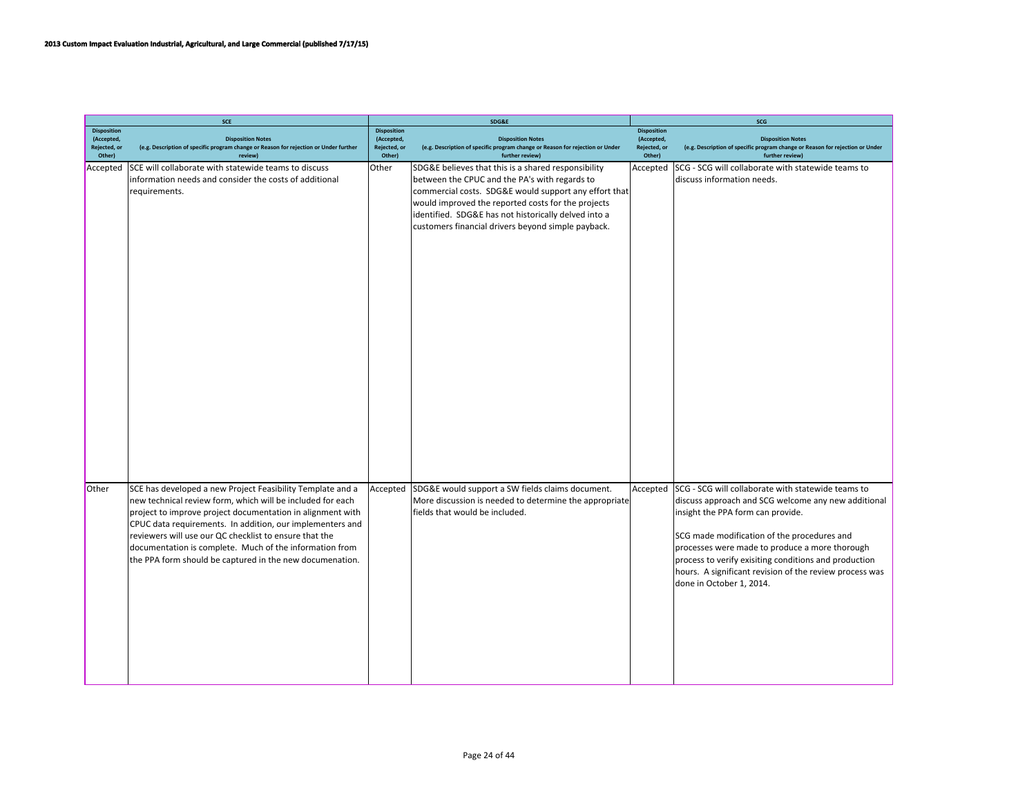|                                                            | <b>SCE</b>                                                                                                                                                                                                                                                                                                                                                                                                                           |                                                            | SDG&E                                                                                                                                                                                                                                                                                                                             | SCG                                                        |                                                                                                                                                                                                                                                                                                                                                                                                 |  |  |
|------------------------------------------------------------|--------------------------------------------------------------------------------------------------------------------------------------------------------------------------------------------------------------------------------------------------------------------------------------------------------------------------------------------------------------------------------------------------------------------------------------|------------------------------------------------------------|-----------------------------------------------------------------------------------------------------------------------------------------------------------------------------------------------------------------------------------------------------------------------------------------------------------------------------------|------------------------------------------------------------|-------------------------------------------------------------------------------------------------------------------------------------------------------------------------------------------------------------------------------------------------------------------------------------------------------------------------------------------------------------------------------------------------|--|--|
| <b>Disposition</b><br>(Accepted,<br>Rejected, or<br>Other) | <b>Disposition Notes</b><br>(e.g. Description of specific program change or Reason for rejection or Under further<br>review)                                                                                                                                                                                                                                                                                                         | <b>Disposition</b><br>(Accepted,<br>Rejected, or<br>Other) | <b>Disposition Notes</b><br>(e.g. Description of specific program change or Reason for rejection or Under<br>further review)                                                                                                                                                                                                      | <b>Disposition</b><br>(Accepted,<br>Rejected, or<br>Other) | <b>Disposition Notes</b><br>(e.g. Description of specific program change or Reason for rejection or Under<br>further review)                                                                                                                                                                                                                                                                    |  |  |
| Accepted                                                   | SCE will collaborate with statewide teams to discuss<br>information needs and consider the costs of additional<br>requirements.                                                                                                                                                                                                                                                                                                      | Other                                                      | SDG&E believes that this is a shared responsibility<br>between the CPUC and the PA's with regards to<br>commercial costs. SDG&E would support any effort that<br>would improved the reported costs for the projects<br>identified. SDG&E has not historically delved into a<br>customers financial drivers beyond simple payback. | Accepted                                                   | SCG - SCG will collaborate with statewide teams to<br>discuss information needs.                                                                                                                                                                                                                                                                                                                |  |  |
| Other                                                      | SCE has developed a new Project Feasibility Template and a<br>new technical review form, which will be included for each<br>project to improve project documentation in alignment with<br>CPUC data requirements. In addition, our implementers and<br>reviewers will use our QC checklist to ensure that the<br>documentation is complete. Much of the information from<br>the PPA form should be captured in the new documenation. | Accepted                                                   | SDG&E would support a SW fields claims document.<br>More discussion is needed to determine the appropriate<br>fields that would be included.                                                                                                                                                                                      | Accepted                                                   | SCG - SCG will collaborate with statewide teams to<br>discuss approach and SCG welcome any new additional<br>insight the PPA form can provide.<br>SCG made modification of the procedures and<br>processes were made to produce a more thorough<br>process to verify exisiting conditions and production<br>hours. A significant revision of the review process was<br>done in October 1, 2014. |  |  |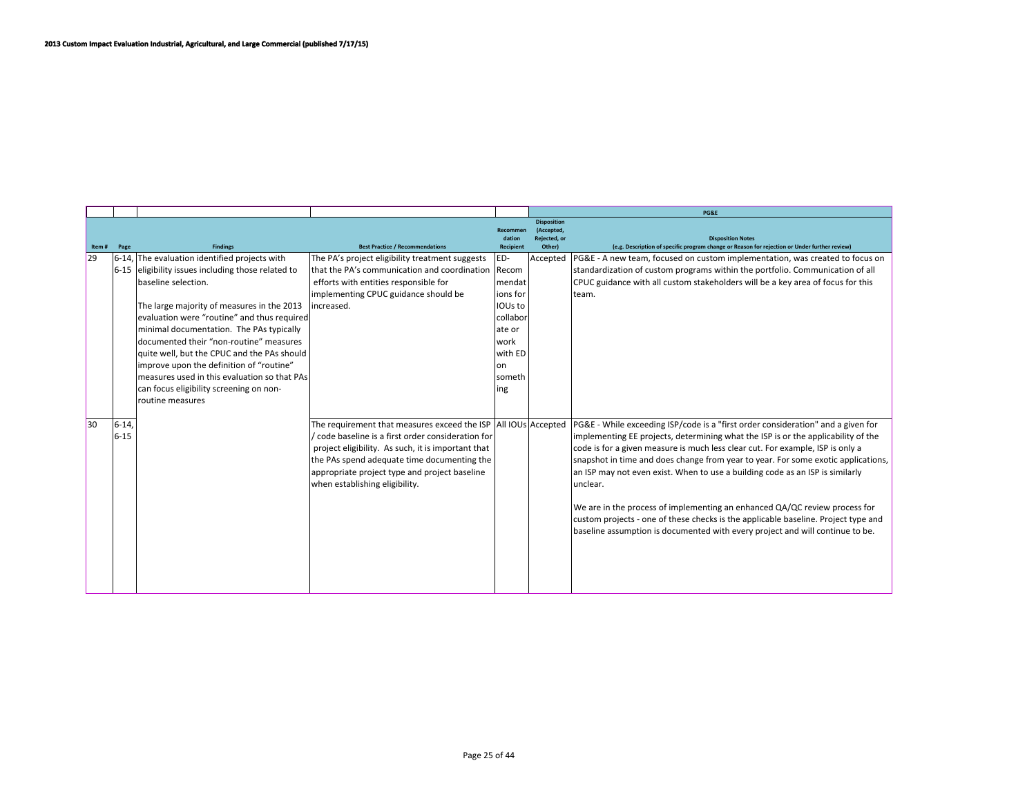|       |       |                                                             |                                                                                 |                                        |                                                            | PG&E                                                                                                                      |
|-------|-------|-------------------------------------------------------------|---------------------------------------------------------------------------------|----------------------------------------|------------------------------------------------------------|---------------------------------------------------------------------------------------------------------------------------|
| Item# | Page  | <b>Findings</b>                                             | <b>Best Practice / Recommendations</b>                                          | Recommer<br>dation<br><b>Recipient</b> | <b>Disposition</b><br>(Accepted,<br>Rejected, or<br>Other) | <b>Disposition Notes</b><br>(e.g. Description of specific program change or Reason for rejection or Under further review) |
| 29    |       | 6-14, The evaluation identified projects with               | The PA's project eligibility treatment suggests                                 | ED-                                    | Accepted                                                   | PG&E - A new team, focused on custom implementation, was created to focus on                                              |
|       |       | 6-15 eligibility issues including those related to          | that the PA's communication and coordination                                    | Recom                                  |                                                            | standardization of custom programs within the portfolio. Communication of all                                             |
|       |       | baseline selection.                                         | efforts with entities responsible for                                           | mendat                                 |                                                            | CPUC guidance with all custom stakeholders will be a key area of focus for this                                           |
|       |       | The large majority of measures in the 2013                  | implementing CPUC guidance should be<br>lincreased.                             | ions for<br>IOUs to                    |                                                            | lteam.                                                                                                                    |
|       |       | evaluation were "routine" and thus required                 |                                                                                 | collabor                               |                                                            |                                                                                                                           |
|       |       | minimal documentation. The PAs typically                    |                                                                                 | ate or                                 |                                                            |                                                                                                                           |
|       |       | documented their "non-routine" measures                     |                                                                                 | lwork                                  |                                                            |                                                                                                                           |
|       |       | quite well, but the CPUC and the PAs should                 |                                                                                 | with ED                                |                                                            |                                                                                                                           |
|       |       | improve upon the definition of "routine"                    |                                                                                 | lon                                    |                                                            |                                                                                                                           |
|       |       | Imeasures used in this evaluation so that PAs               |                                                                                 | Isometh                                |                                                            |                                                                                                                           |
|       |       | can focus eligibility screening on non-<br>routine measures |                                                                                 | ing                                    |                                                            |                                                                                                                           |
|       |       |                                                             |                                                                                 |                                        |                                                            |                                                                                                                           |
| 30    | 6-14. |                                                             | The requirement that measures exceed the ISP AII IOUs Accepted                  |                                        |                                                            | PG&E - While exceeding ISP/code is a "first order consideration" and a given for                                          |
|       | 6-15  |                                                             | / code baseline is a first order consideration for                              |                                        |                                                            | implementing EE projects, determining what the ISP is or the applicability of the                                         |
|       |       |                                                             | project eligibility. As such, it is important that                              |                                        |                                                            | code is for a given measure is much less clear cut. For example, ISP is only a                                            |
|       |       |                                                             | the PAs spend adequate time documenting the                                     |                                        |                                                            | snapshot in time and does change from year to year. For some exotic applications,                                         |
|       |       |                                                             | appropriate project type and project baseline<br>when establishing eligibility. |                                        |                                                            | an ISP may not even exist. When to use a building code as an ISP is similarly<br>unclear.                                 |
|       |       |                                                             |                                                                                 |                                        |                                                            |                                                                                                                           |
|       |       |                                                             |                                                                                 |                                        |                                                            | We are in the process of implementing an enhanced QA/QC review process for                                                |
|       |       |                                                             |                                                                                 |                                        |                                                            | custom projects - one of these checks is the applicable baseline. Project type and                                        |
|       |       |                                                             |                                                                                 |                                        |                                                            | baseline assumption is documented with every project and will continue to be.                                             |
|       |       |                                                             |                                                                                 |                                        |                                                            |                                                                                                                           |
|       |       |                                                             |                                                                                 |                                        |                                                            |                                                                                                                           |
|       |       |                                                             |                                                                                 |                                        |                                                            |                                                                                                                           |
|       |       |                                                             |                                                                                 |                                        |                                                            |                                                                                                                           |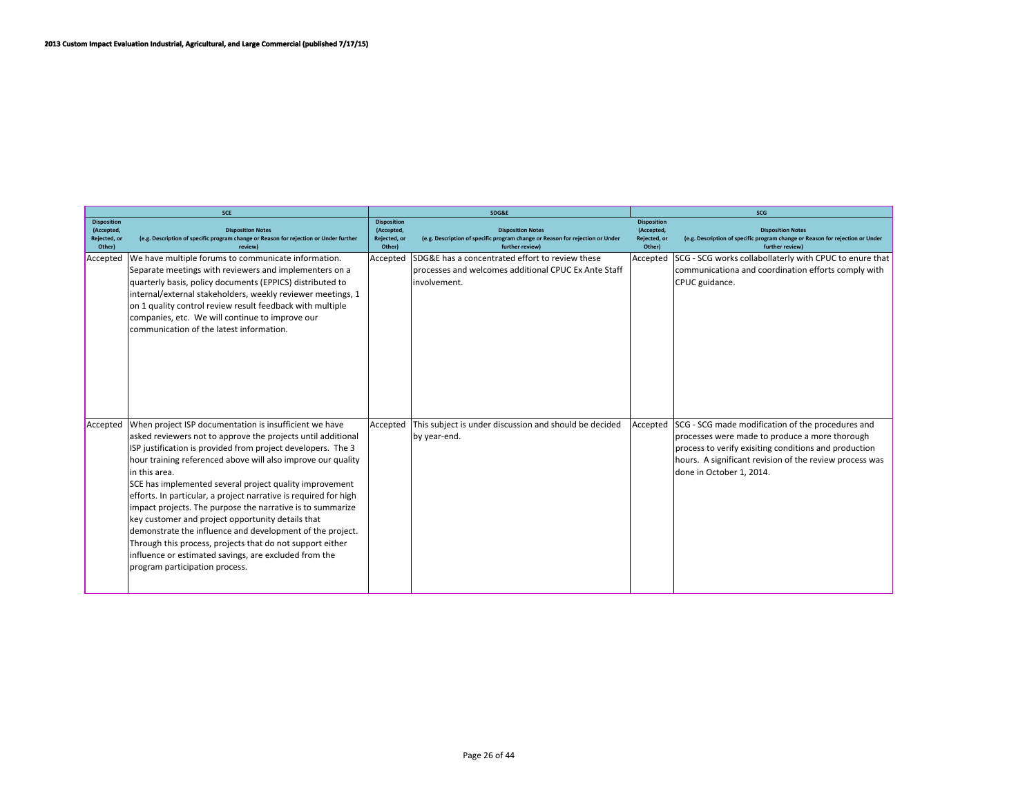|                                                            | <b>SCE</b>                                                                                                                                                                                                                                                                                                                                                                                                                                                                                                                                                                                                                                                                                                                                      |                                                            | SDG&E                                                                                                                        | <b>SCG</b>                                                 |                                                                                                                                                                                                                                                     |  |
|------------------------------------------------------------|-------------------------------------------------------------------------------------------------------------------------------------------------------------------------------------------------------------------------------------------------------------------------------------------------------------------------------------------------------------------------------------------------------------------------------------------------------------------------------------------------------------------------------------------------------------------------------------------------------------------------------------------------------------------------------------------------------------------------------------------------|------------------------------------------------------------|------------------------------------------------------------------------------------------------------------------------------|------------------------------------------------------------|-----------------------------------------------------------------------------------------------------------------------------------------------------------------------------------------------------------------------------------------------------|--|
| <b>Disposition</b><br>(Accepted,<br>Rejected, or<br>Other) | <b>Disposition Notes</b><br>(e.g. Description of specific program change or Reason for rejection or Under further<br>review)                                                                                                                                                                                                                                                                                                                                                                                                                                                                                                                                                                                                                    | <b>Disposition</b><br>(Accepted,<br>Rejected, or<br>Other) | <b>Disposition Notes</b><br>(e.g. Description of specific program change or Reason for rejection or Under<br>further review) | <b>Disposition</b><br>(Accepted,<br>Rejected, or<br>Other) | <b>Disposition Notes</b><br>(e.g. Description of specific program change or Reason for rejection or Under<br>further review)                                                                                                                        |  |
| Accepted                                                   | We have multiple forums to communicate information.<br>Separate meetings with reviewers and implementers on a<br>quarterly basis, policy documents (EPPICS) distributed to<br>internal/external stakeholders, weekly reviewer meetings, 1<br>on 1 quality control review result feedback with multiple<br>companies, etc. We will continue to improve our<br>communication of the latest information.                                                                                                                                                                                                                                                                                                                                           | Accepted                                                   | SDG&E has a concentrated effort to review these<br>processes and welcomes additional CPUC Ex Ante Staff<br>linvolvement.     | Accepted                                                   | SCG - SCG works collabollaterly with CPUC to enure that<br>communicationa and coordination efforts comply with<br>CPUC guidance.                                                                                                                    |  |
| Accepted                                                   | When project ISP documentation is insufficient we have<br>asked reviewers not to approve the projects until additional<br>ISP justification is provided from project developers. The 3<br>hour training referenced above will also improve our quality<br>lin this area.<br>SCE has implemented several project quality improvement<br>efforts. In particular, a project narrative is required for high<br>impact projects. The purpose the narrative is to summarize<br>key customer and project opportunity details that<br>demonstrate the influence and development of the project.<br>Through this process, projects that do not support either<br>influence or estimated savings, are excluded from the<br>program participation process. | Accepted                                                   | This subject is under discussion and should be decided<br>by year-end.                                                       | Accepted                                                   | SCG - SCG made modification of the procedures and<br>processes were made to produce a more thorough<br>process to verify exisiting conditions and production<br>hours. A significant revision of the review process was<br>done in October 1, 2014. |  |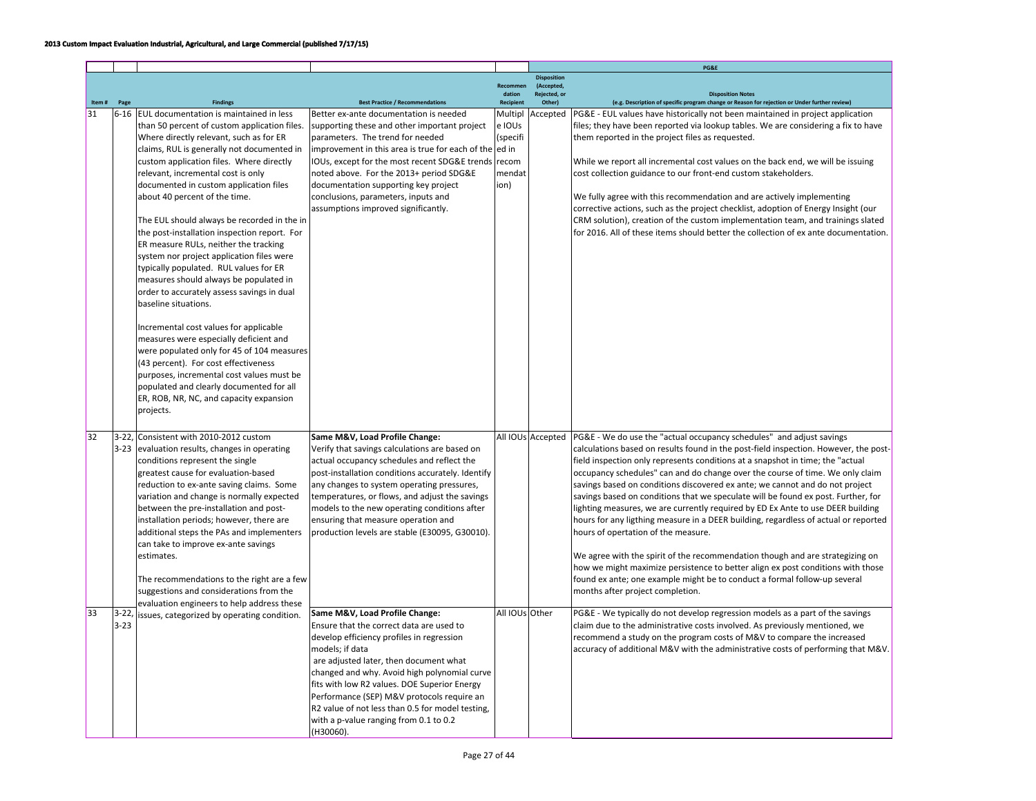|    |       |                     |                                                                                                                                                                                                                                                                                                                                                                                                                                                                                                                                                                                                                                                                                                                                                                                       |                                                                                                                                                                                                                                                                                                                                                                                                                                               |                                                          |                                    | PG&E                                                                                                                                                                                                                                                                                                                                                                                                                                                                                                                                                                                                                                                                                                                   |
|----|-------|---------------------|---------------------------------------------------------------------------------------------------------------------------------------------------------------------------------------------------------------------------------------------------------------------------------------------------------------------------------------------------------------------------------------------------------------------------------------------------------------------------------------------------------------------------------------------------------------------------------------------------------------------------------------------------------------------------------------------------------------------------------------------------------------------------------------|-----------------------------------------------------------------------------------------------------------------------------------------------------------------------------------------------------------------------------------------------------------------------------------------------------------------------------------------------------------------------------------------------------------------------------------------------|----------------------------------------------------------|------------------------------------|------------------------------------------------------------------------------------------------------------------------------------------------------------------------------------------------------------------------------------------------------------------------------------------------------------------------------------------------------------------------------------------------------------------------------------------------------------------------------------------------------------------------------------------------------------------------------------------------------------------------------------------------------------------------------------------------------------------------|
|    |       |                     |                                                                                                                                                                                                                                                                                                                                                                                                                                                                                                                                                                                                                                                                                                                                                                                       |                                                                                                                                                                                                                                                                                                                                                                                                                                               |                                                          | <b>Disposition</b>                 |                                                                                                                                                                                                                                                                                                                                                                                                                                                                                                                                                                                                                                                                                                                        |
|    |       |                     |                                                                                                                                                                                                                                                                                                                                                                                                                                                                                                                                                                                                                                                                                                                                                                                       |                                                                                                                                                                                                                                                                                                                                                                                                                                               | Recommen<br>dation                                       | (Accepted,<br><b>Rejected</b> , or | <b>Disposition Notes</b>                                                                                                                                                                                                                                                                                                                                                                                                                                                                                                                                                                                                                                                                                               |
|    | Item# | Page                | <b>Findings</b>                                                                                                                                                                                                                                                                                                                                                                                                                                                                                                                                                                                                                                                                                                                                                                       | <b>Best Practice / Recommendations</b>                                                                                                                                                                                                                                                                                                                                                                                                        | Recipient                                                | Other)                             | (e.g. Description of specific program change or Reason for rejection or Under further review)                                                                                                                                                                                                                                                                                                                                                                                                                                                                                                                                                                                                                          |
| 31 |       |                     | 6-16 EUL documentation is maintained in less<br>than 50 percent of custom application files.<br>Where directly relevant, such as for ER<br>claims, RUL is generally not documented in<br>custom application files. Where directly<br>relevant, incremental cost is only<br>documented in custom application files<br>about 40 percent of the time.<br>The EUL should always be recorded in the in<br>the post-installation inspection report. For<br>ER measure RULs, neither the tracking<br>system nor project application files were<br>typically populated. RUL values for ER<br>measures should always be populated in<br>order to accurately assess savings in dual<br>baseline situations.<br>Incremental cost values for applicable<br>measures were especially deficient and | Better ex-ante documentation is needed<br>supporting these and other important project<br>parameters. The trend for needed<br>improvement in this area is true for each of the ed in<br>IOUs, except for the most recent SDG&E trends<br>noted above. For the 2013+ period SDG&E<br>documentation supporting key project<br>conclusions, parameters, inputs and<br>assumptions improved significantly.                                        | Multipl<br>e IOUs<br>(specifi<br>recom<br>mendat<br>ion) | Accepted                           | PG&E - EUL values have historically not been maintained in project application<br>files; they have been reported via lookup tables. We are considering a fix to have<br>them reported in the project files as requested.<br>While we report all incremental cost values on the back end, we will be issuing<br>cost collection guidance to our front-end custom stakeholders.<br>We fully agree with this recommendation and are actively implementing<br>corrective actions, such as the project checklist, adoption of Energy Insight (our<br>CRM solution), creation of the custom implementation team, and trainings slated<br>for 2016. All of these items should better the collection of ex ante documentation. |
| 32 |       |                     | were populated only for 45 of 104 measures<br>(43 percent). For cost effectiveness<br>purposes, incremental cost values must be<br>populated and clearly documented for all<br>ER, ROB, NR, NC, and capacity expansion<br>projects.<br>3-22, Consistent with 2010-2012 custom<br>3-23 evaluation results, changes in operating<br>conditions represent the single<br>greatest cause for evaluation-based<br>reduction to ex-ante saving claims. Some<br>variation and change is normally expected<br>between the pre-installation and post-                                                                                                                                                                                                                                           | Same M&V, Load Profile Change:<br>Verify that savings calculations are based on<br>actual occupancy schedules and reflect the<br>post-installation conditions accurately. Identify<br>any changes to system operating pressures,<br>temperatures, or flows, and adjust the savings<br>models to the new operating conditions after                                                                                                            |                                                          | All IOUs Accepted                  | PG&E - We do use the "actual occupancy schedules" and adjust savings<br>calculations based on results found in the post-field inspection. However, the post-<br>field inspection only represents conditions at a snapshot in time; the "actual<br>occupancy schedules" can and do change over the course of time. We only claim<br>savings based on conditions discovered ex ante; we cannot and do not project<br>savings based on conditions that we speculate will be found ex post. Further, for<br>lighting measures, we are currently required by ED Ex Ante to use DEER building                                                                                                                                |
|    |       |                     | installation periods; however, there are<br>additional steps the PAs and implementers<br>can take to improve ex-ante savings<br>estimates.<br>The recommendations to the right are a few<br>suggestions and considerations from the<br>evaluation engineers to help address these                                                                                                                                                                                                                                                                                                                                                                                                                                                                                                     | ensuring that measure operation and<br>production levels are stable (E30095, G30010).                                                                                                                                                                                                                                                                                                                                                         |                                                          |                                    | hours for any ligthing measure in a DEER building, regardless of actual or reported<br>hours of opertation of the measure.<br>We agree with the spirit of the recommendation though and are strategizing on<br>how we might maximize persistence to better align ex post conditions with those<br>found ex ante; one example might be to conduct a formal follow-up several<br>months after project completion.                                                                                                                                                                                                                                                                                                        |
| 33 |       | $3-22,$<br>$3 - 23$ | issues, categorized by operating condition.                                                                                                                                                                                                                                                                                                                                                                                                                                                                                                                                                                                                                                                                                                                                           | Same M&V, Load Profile Change:<br>Ensure that the correct data are used to<br>develop efficiency profiles in regression<br>models; if data<br>are adjusted later, then document what<br>changed and why. Avoid high polynomial curve<br>fits with low R2 values. DOE Superior Energy<br>Performance (SEP) M&V protocols require an<br>R2 value of not less than 0.5 for model testing,<br>with a p-value ranging from 0.1 to 0.2<br>(H30060). | All IOUs Other                                           |                                    | PG&E - We typically do not develop regression models as a part of the savings<br>claim due to the administrative costs involved. As previously mentioned, we<br>recommend a study on the program costs of M&V to compare the increased<br>accuracy of additional M&V with the administrative costs of performing that M&V.                                                                                                                                                                                                                                                                                                                                                                                             |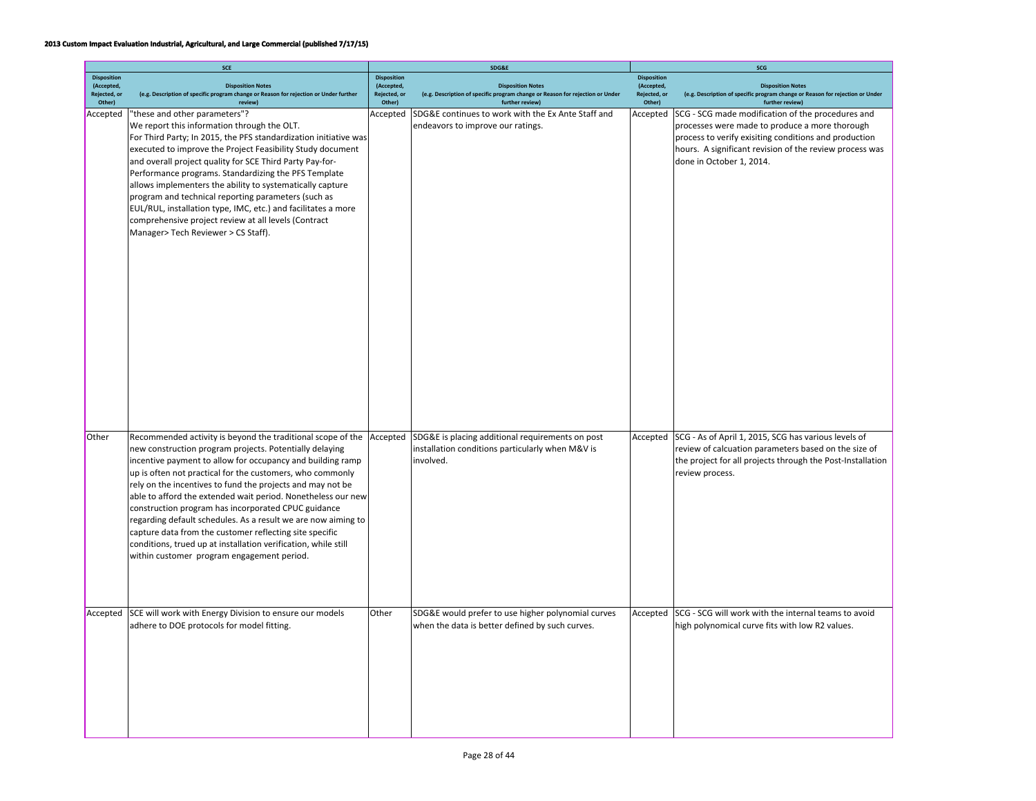|                                                            | <b>SCE</b>                                                                                                                                                                                                                                                                                                                                                                                                                                                                                                                                                                                                                                                                                  |                                                            | <b>SDG&amp;F</b>                                                                                                  | SCG                                              |                                                                                                                                                                                                                                                                        |  |
|------------------------------------------------------------|---------------------------------------------------------------------------------------------------------------------------------------------------------------------------------------------------------------------------------------------------------------------------------------------------------------------------------------------------------------------------------------------------------------------------------------------------------------------------------------------------------------------------------------------------------------------------------------------------------------------------------------------------------------------------------------------|------------------------------------------------------------|-------------------------------------------------------------------------------------------------------------------|--------------------------------------------------|------------------------------------------------------------------------------------------------------------------------------------------------------------------------------------------------------------------------------------------------------------------------|--|
| <b>Disposition</b><br>(Accepted,<br>Rejected, or<br>Other) | <b>Disposition Notes</b><br>(e.g. Description of specific program change or Reason for rejection or Under further<br><b>review</b>                                                                                                                                                                                                                                                                                                                                                                                                                                                                                                                                                          | <b>Disposition</b><br>(Accepted,<br>Rejected, or<br>Other) | <b>Disposition Notes</b><br>(e.g. Description of specific program change or Reason for rejection or Under         | <b>Disposition</b><br>(Accepted,<br>Rejected, or | <b>Disposition Notes</b><br>(e.g. Description of specific program change or Reason for rejection or Under                                                                                                                                                              |  |
| Accepted                                                   | "these and other parameters"?<br>We report this information through the OLT.<br>For Third Party; In 2015, the PFS standardization initiative was<br>executed to improve the Project Feasibility Study document<br>and overall project quality for SCE Third Party Pay-for-<br>Performance programs. Standardizing the PFS Template<br>allows implementers the ability to systematically capture<br>program and technical reporting parameters (such as<br>EUL/RUL, installation type, IMC, etc.) and facilitates a more<br>comprehensive project review at all levels (Contract<br>Manager> Tech Reviewer > CS Staff).                                                                      | Accepted                                                   | further review)<br>SDG&E continues to work with the Ex Ante Staff and<br>endeavors to improve our ratings.        | Other)<br>Accepted                               | further review)<br>SCG - SCG made modification of the procedures and<br>processes were made to produce a more thorough<br>process to verify exisiting conditions and production<br>hours. A significant revision of the review process was<br>done in October 1, 2014. |  |
| Other                                                      | Recommended activity is beyond the traditional scope of the Accepted<br>new construction program projects. Potentially delaying<br>incentive payment to allow for occupancy and building ramp<br>up is often not practical for the customers, who commonly<br>rely on the incentives to fund the projects and may not be<br>able to afford the extended wait period. Nonetheless our new<br>construction program has incorporated CPUC guidance<br>regarding default schedules. As a result we are now aiming to<br>capture data from the customer reflecting site specific<br>conditions, trued up at installation verification, while still<br>within customer program engagement period. |                                                            | SDG&E is placing additional requirements on post<br>installation conditions particularly when M&V is<br>involved. | Accepted                                         | SCG - As of April 1, 2015, SCG has various levels of<br>review of calcuation parameters based on the size of<br>the project for all projects through the Post-Installation<br>review process.                                                                          |  |
| Accepted                                                   | SCE will work with Energy Division to ensure our models<br>adhere to DOE protocols for model fitting.                                                                                                                                                                                                                                                                                                                                                                                                                                                                                                                                                                                       | Other                                                      | SDG&E would prefer to use higher polynomial curves<br>when the data is better defined by such curves.             | Accepted                                         | SCG - SCG will work with the internal teams to avoid<br>high polynomical curve fits with low R2 values.                                                                                                                                                                |  |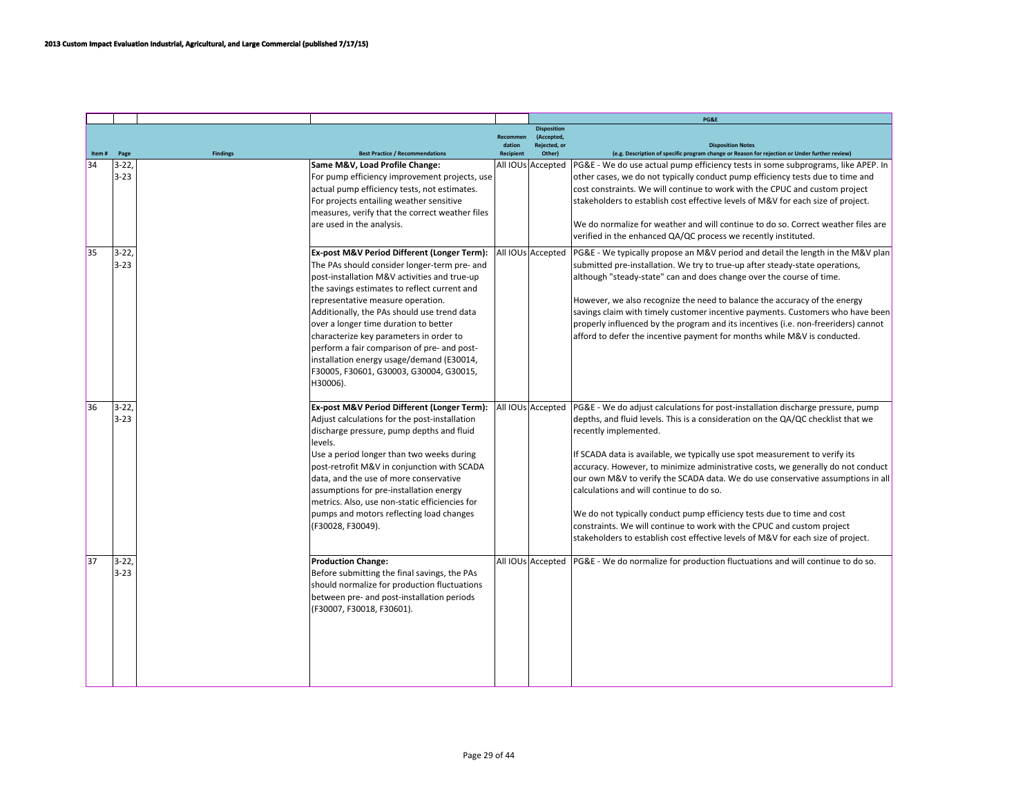|       |                      |                 |                                                                                                                                                                                                                                                                                                                                                                                                                                                                                                                        |                    |                                                  | PG&E                                                                                                                                                                                                                                                                                                                                                                                                                                                                                                                                                                                                                                                                                                                                   |
|-------|----------------------|-----------------|------------------------------------------------------------------------------------------------------------------------------------------------------------------------------------------------------------------------------------------------------------------------------------------------------------------------------------------------------------------------------------------------------------------------------------------------------------------------------------------------------------------------|--------------------|--------------------------------------------------|----------------------------------------------------------------------------------------------------------------------------------------------------------------------------------------------------------------------------------------------------------------------------------------------------------------------------------------------------------------------------------------------------------------------------------------------------------------------------------------------------------------------------------------------------------------------------------------------------------------------------------------------------------------------------------------------------------------------------------------|
|       |                      |                 |                                                                                                                                                                                                                                                                                                                                                                                                                                                                                                                        | Recommen<br>dation | <b>Disposition</b><br>(Accepted,<br>Reiected, or | <b>Disposition Notes</b>                                                                                                                                                                                                                                                                                                                                                                                                                                                                                                                                                                                                                                                                                                               |
| Item# | Page                 | <b>Findings</b> | <b>Best Practice / Recommendations</b>                                                                                                                                                                                                                                                                                                                                                                                                                                                                                 | <b>Recipient</b>   | Other)                                           | (e.g. Description of specific program change or Reason for rejection or Under further review)                                                                                                                                                                                                                                                                                                                                                                                                                                                                                                                                                                                                                                          |
| 34    | $3 - 22$<br>$3 - 23$ |                 | Same M&V, Load Profile Change:<br>For pump efficiency improvement projects, use<br>actual pump efficiency tests, not estimates.<br>For projects entailing weather sensitive<br>measures, verify that the correct weather files<br>are used in the analysis.                                                                                                                                                                                                                                                            |                    | All IOUs Accepted                                | PG&E - We do use actual pump efficiency tests in some subprograms, like APEP. In<br>other cases, we do not typically conduct pump efficiency tests due to time and<br>cost constraints. We will continue to work with the CPUC and custom project<br>stakeholders to establish cost effective levels of M&V for each size of project.<br>We do normalize for weather and will continue to do so. Correct weather files are<br>verified in the enhanced QA/QC process we recently instituted.                                                                                                                                                                                                                                           |
| 35    | $3 - 22$<br>$3 - 23$ |                 | Ex-post M&V Period Different (Longer Term):<br>The PAs should consider longer-term pre- and<br>post-installation M&V activities and true-up<br>the savings estimates to reflect current and<br>representative measure operation.<br>Additionally, the PAs should use trend data<br>over a longer time duration to better<br>characterize key parameters in order to<br>perform a fair comparison of pre- and post-<br>installation energy usage/demand (E30014,<br>F30005, F30601, G30003, G30004, G30015,<br>H30006). |                    | All IOUs Accepted                                | PG&E - We typically propose an M&V period and detail the length in the M&V plan<br>submitted pre-installation. We try to true-up after steady-state operations,<br>although "steady-state" can and does change over the course of time.<br>However, we also recognize the need to balance the accuracy of the energy<br>savings claim with timely customer incentive payments. Customers who have been<br>properly influenced by the program and its incentives (i.e. non-freeriders) cannot<br>afford to defer the incentive payment for months while M&V is conducted.                                                                                                                                                               |
| 36    | $3 - 22$<br>$3 - 23$ |                 | Ex-post M&V Period Different (Longer Term):<br>Adjust calculations for the post-installation<br>discharge pressure, pump depths and fluid<br>levels.<br>Use a period longer than two weeks during<br>post-retrofit M&V in conjunction with SCADA<br>data, and the use of more conservative<br>assumptions for pre-installation energy<br>metrics. Also, use non-static efficiencies for<br>pumps and motors reflecting load changes<br>(F30028, F30049).                                                               |                    | All IOUs Accepted                                | PG&E - We do adjust calculations for post-installation discharge pressure, pump<br>depths, and fluid levels. This is a consideration on the QA/QC checklist that we<br>recently implemented.<br>If SCADA data is available, we typically use spot measurement to verify its<br>accuracy. However, to minimize administrative costs, we generally do not conduct<br>our own M&V to verify the SCADA data. We do use conservative assumptions in all<br>calculations and will continue to do so.<br>We do not typically conduct pump efficiency tests due to time and cost<br>constraints. We will continue to work with the CPUC and custom project<br>stakeholders to establish cost effective levels of M&V for each size of project. |
| 37    | $3 - 22$<br>$3 - 23$ |                 | <b>Production Change:</b><br>Before submitting the final savings, the PAs<br>should normalize for production fluctuations<br>between pre- and post-installation periods<br>(F30007, F30018, F30601).                                                                                                                                                                                                                                                                                                                   |                    |                                                  | All IOUs Accepted   PG&E - We do normalize for production fluctuations and will continue to do so.                                                                                                                                                                                                                                                                                                                                                                                                                                                                                                                                                                                                                                     |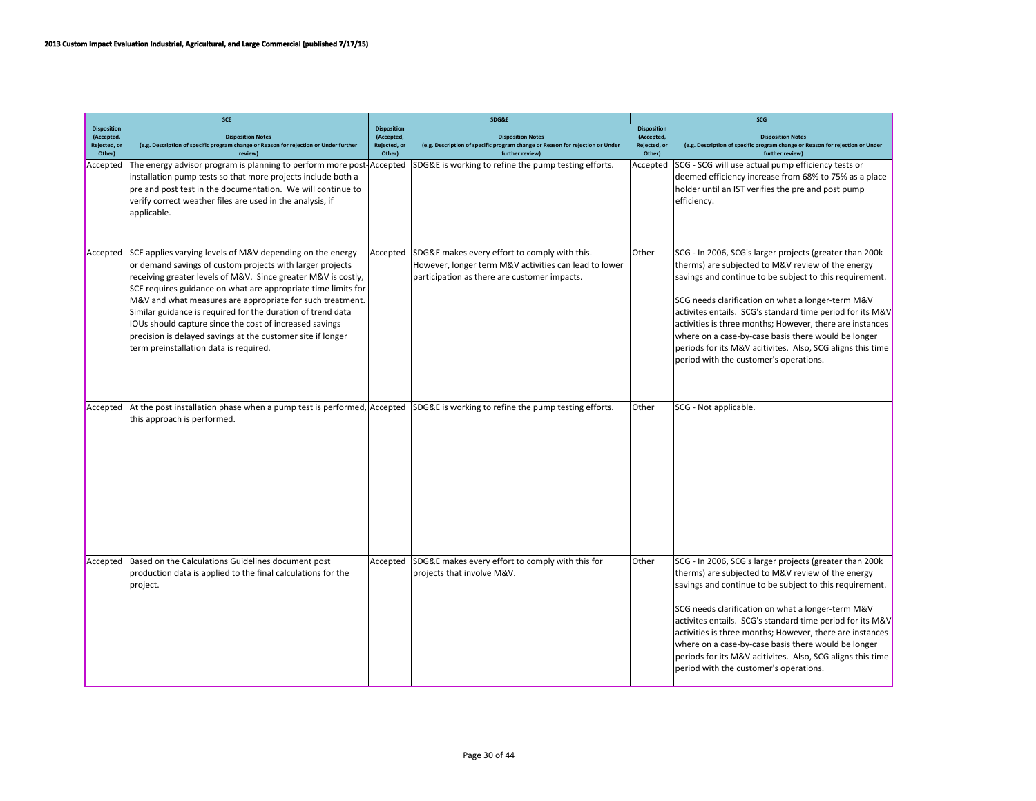|                                                            | SCE                                                                                                                                                                                                                                                                                                                                                                                                                                                                                                                                                      |                                                            | SDG&E                                                                                                                                                  | SCG                                                        |                                                                                                                                                                                                                                                                                                                                                                                                                                                                                                                      |  |
|------------------------------------------------------------|----------------------------------------------------------------------------------------------------------------------------------------------------------------------------------------------------------------------------------------------------------------------------------------------------------------------------------------------------------------------------------------------------------------------------------------------------------------------------------------------------------------------------------------------------------|------------------------------------------------------------|--------------------------------------------------------------------------------------------------------------------------------------------------------|------------------------------------------------------------|----------------------------------------------------------------------------------------------------------------------------------------------------------------------------------------------------------------------------------------------------------------------------------------------------------------------------------------------------------------------------------------------------------------------------------------------------------------------------------------------------------------------|--|
| <b>Disposition</b><br>(Accepted,<br>Rejected, or<br>Other) | <b>Disposition Notes</b><br>(e.g. Description of specific program change or Reason for rejection or Under further                                                                                                                                                                                                                                                                                                                                                                                                                                        | <b>Disposition</b><br>(Accepted,<br>Rejected, or<br>Other) | <b>Disposition Notes</b><br>(e.g. Description of specific program change or Reason for rejection or Under                                              | <b>Disposition</b><br>(Accepted,<br>Rejected, or<br>Other) | <b>Disposition Notes</b><br>(e.g. Description of specific program change or Reason for rejection or Under                                                                                                                                                                                                                                                                                                                                                                                                            |  |
| Accepted                                                   | review]<br>The energy advisor program is planning to perform more post<br>installation pump tests so that more projects include both a<br>pre and post test in the documentation. We will continue to<br>verify correct weather files are used in the analysis, if<br>applicable.                                                                                                                                                                                                                                                                        | Accepted                                                   | further review)<br>SDG&E is working to refine the pump testing efforts.                                                                                | Accepted                                                   | further review)<br>SCG - SCG will use actual pump efficiency tests or<br>deemed efficiency increase from 68% to 75% as a place<br>holder until an IST verifies the pre and post pump<br>efficiency.                                                                                                                                                                                                                                                                                                                  |  |
| Accepted                                                   | SCE applies varying levels of M&V depending on the energy<br>or demand savings of custom projects with larger projects<br>receiving greater levels of M&V. Since greater M&V is costly,<br>SCE requires guidance on what are appropriate time limits for<br>M&V and what measures are appropriate for such treatment.<br>Similar guidance is required for the duration of trend data<br>IOUs should capture since the cost of increased savings<br>precision is delayed savings at the customer site if longer<br>term preinstallation data is required. | Accepted                                                   | SDG&E makes every effort to comply with this.<br>However, longer term M&V activities can lead to lower<br>participation as there are customer impacts. | Other                                                      | SCG - In 2006, SCG's larger projects (greater than 200k<br>therms) are subjected to M&V review of the energy<br>savings and continue to be subject to this requirement.<br>SCG needs clarification on what a longer-term M&V<br>activites entails. SCG's standard time period for its M&V<br>activities is three months; However, there are instances<br>where on a case-by-case basis there would be longer<br>periods for its M&V acitivites. Also, SCG aligns this time<br>period with the customer's operations. |  |
| Accepted                                                   | At the post installation phase when a pump test is performed, Accepted<br>this approach is performed.                                                                                                                                                                                                                                                                                                                                                                                                                                                    |                                                            | SDG&E is working to refine the pump testing efforts.                                                                                                   | Other                                                      | SCG - Not applicable.                                                                                                                                                                                                                                                                                                                                                                                                                                                                                                |  |
| Accepted                                                   | Based on the Calculations Guidelines document post<br>production data is applied to the final calculations for the<br>project.                                                                                                                                                                                                                                                                                                                                                                                                                           | Accepted                                                   | SDG&E makes every effort to comply with this for<br>projects that involve M&V.                                                                         | Other                                                      | SCG - In 2006, SCG's larger projects (greater than 200k<br>therms) are subjected to M&V review of the energy<br>savings and continue to be subject to this requirement.<br>SCG needs clarification on what a longer-term M&V<br>activites entails. SCG's standard time period for its M&V<br>activities is three months; However, there are instances<br>where on a case-by-case basis there would be longer<br>periods for its M&V acitivites. Also, SCG aligns this time<br>period with the customer's operations. |  |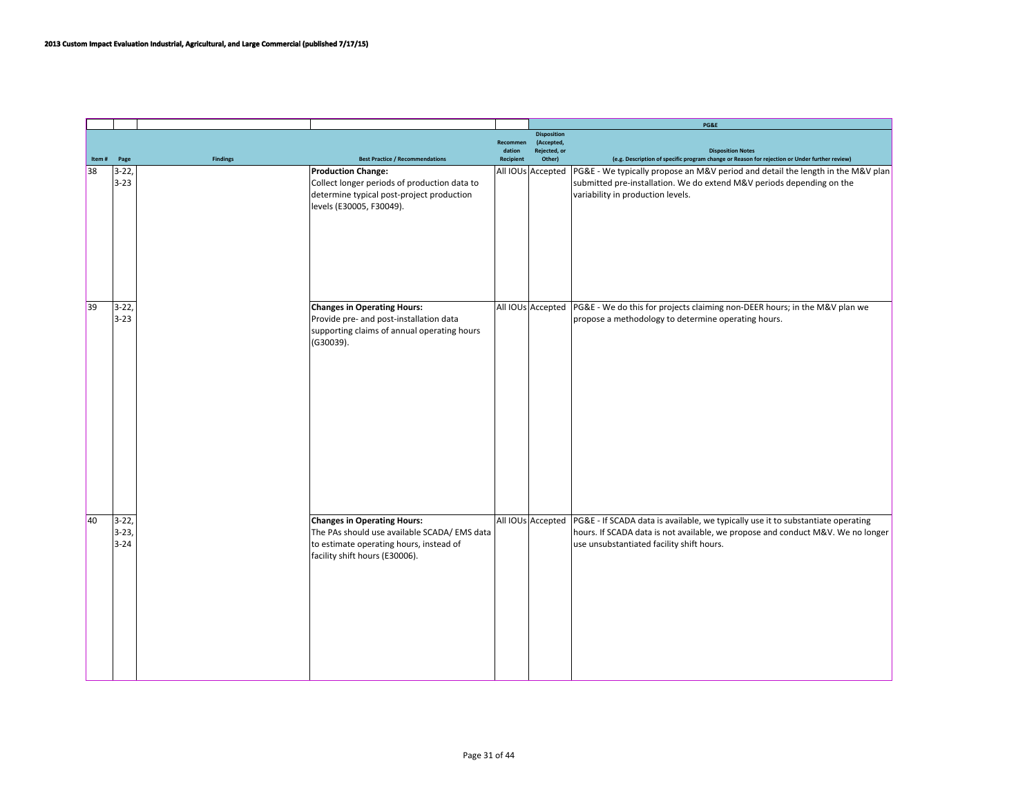|       |          |                 |                                              |                    |                            | PG&E                                                                                          |
|-------|----------|-----------------|----------------------------------------------|--------------------|----------------------------|-----------------------------------------------------------------------------------------------|
|       |          |                 |                                              |                    | <b>Disposition</b>         |                                                                                               |
|       |          |                 |                                              | Recommen<br>dation | (Accepted,<br>Rejected, or | <b>Disposition Notes</b>                                                                      |
| Item# | Page     | <b>Findings</b> | <b>Best Practice / Recommendations</b>       | <b>Recipient</b>   | Other)                     | (e.g. Description of specific program change or Reason for rejection or Under further review) |
| 38    | $3-22,$  |                 | <b>Production Change:</b>                    |                    | All IOUs Accepted          | PG&E - We typically propose an M&V period and detail the length in the M&V plan               |
|       | $3 - 23$ |                 | Collect longer periods of production data to |                    |                            | submitted pre-installation. We do extend M&V periods depending on the                         |
|       |          |                 |                                              |                    |                            |                                                                                               |
|       |          |                 | determine typical post-project production    |                    |                            | variability in production levels.                                                             |
|       |          |                 | levels (E30005, F30049).                     |                    |                            |                                                                                               |
|       |          |                 |                                              |                    |                            |                                                                                               |
|       |          |                 |                                              |                    |                            |                                                                                               |
|       |          |                 |                                              |                    |                            |                                                                                               |
|       |          |                 |                                              |                    |                            |                                                                                               |
|       |          |                 |                                              |                    |                            |                                                                                               |
|       |          |                 |                                              |                    |                            |                                                                                               |
|       |          |                 |                                              |                    |                            |                                                                                               |
| 39    |          |                 |                                              |                    |                            |                                                                                               |
|       | $3 - 22$ |                 | <b>Changes in Operating Hours:</b>           |                    |                            | All IOUs Accepted PG&E - We do this for projects claiming non-DEER hours; in the M&V plan we  |
|       | $3 - 23$ |                 | Provide pre- and post-installation data      |                    |                            | propose a methodology to determine operating hours.                                           |
|       |          |                 | supporting claims of annual operating hours  |                    |                            |                                                                                               |
|       |          |                 | (G30039).                                    |                    |                            |                                                                                               |
|       |          |                 |                                              |                    |                            |                                                                                               |
|       |          |                 |                                              |                    |                            |                                                                                               |
|       |          |                 |                                              |                    |                            |                                                                                               |
|       |          |                 |                                              |                    |                            |                                                                                               |
|       |          |                 |                                              |                    |                            |                                                                                               |
|       |          |                 |                                              |                    |                            |                                                                                               |
|       |          |                 |                                              |                    |                            |                                                                                               |
|       |          |                 |                                              |                    |                            |                                                                                               |
|       |          |                 |                                              |                    |                            |                                                                                               |
|       |          |                 |                                              |                    |                            |                                                                                               |
|       |          |                 |                                              |                    |                            |                                                                                               |
|       |          |                 |                                              |                    |                            |                                                                                               |
|       |          |                 |                                              |                    |                            |                                                                                               |
|       |          |                 |                                              |                    |                            |                                                                                               |
| 40    | $3-22,$  |                 | <b>Changes in Operating Hours:</b>           |                    | All IOUs Accepted          | PG&E - If SCADA data is available, we typically use it to substantiate operating              |
|       | $3 - 23$ |                 |                                              |                    |                            |                                                                                               |
|       |          |                 | The PAs should use available SCADA/ EMS data |                    |                            | hours. If SCADA data is not available, we propose and conduct M&V. We no longer               |
|       | $3 - 24$ |                 | to estimate operating hours, instead of      |                    |                            | use unsubstantiated facility shift hours.                                                     |
|       |          |                 | facility shift hours (E30006).               |                    |                            |                                                                                               |
|       |          |                 |                                              |                    |                            |                                                                                               |
|       |          |                 |                                              |                    |                            |                                                                                               |
|       |          |                 |                                              |                    |                            |                                                                                               |
|       |          |                 |                                              |                    |                            |                                                                                               |
|       |          |                 |                                              |                    |                            |                                                                                               |
|       |          |                 |                                              |                    |                            |                                                                                               |
|       |          |                 |                                              |                    |                            |                                                                                               |
|       |          |                 |                                              |                    |                            |                                                                                               |
|       |          |                 |                                              |                    |                            |                                                                                               |
|       |          |                 |                                              |                    |                            |                                                                                               |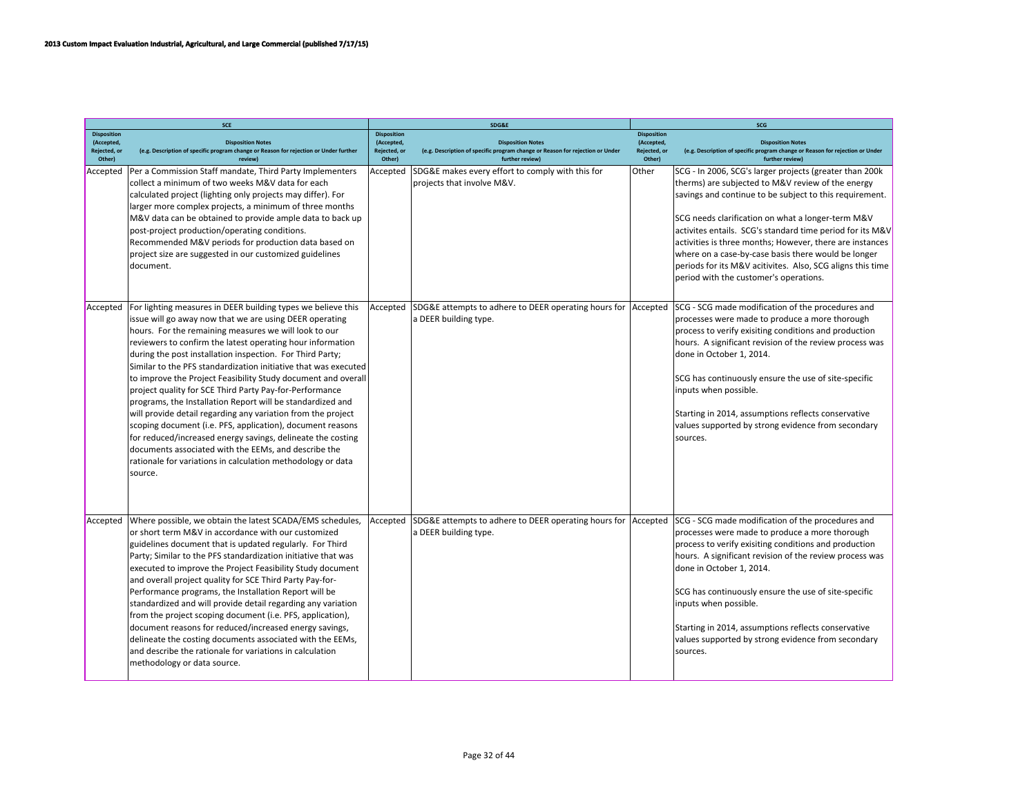|                                                            | <b>SCE</b>                                                                                                                                                                                                                                                                                                                                                                                                                                                                                                                                                                                                                                                                                                                                                                                                                                                                                              |                                                            | SDG&E                                                                                                                        | SCG                                                        |                                                                                                                                                                                                                                                                                                                                                                                                                                                                                                                       |  |
|------------------------------------------------------------|---------------------------------------------------------------------------------------------------------------------------------------------------------------------------------------------------------------------------------------------------------------------------------------------------------------------------------------------------------------------------------------------------------------------------------------------------------------------------------------------------------------------------------------------------------------------------------------------------------------------------------------------------------------------------------------------------------------------------------------------------------------------------------------------------------------------------------------------------------------------------------------------------------|------------------------------------------------------------|------------------------------------------------------------------------------------------------------------------------------|------------------------------------------------------------|-----------------------------------------------------------------------------------------------------------------------------------------------------------------------------------------------------------------------------------------------------------------------------------------------------------------------------------------------------------------------------------------------------------------------------------------------------------------------------------------------------------------------|--|
| <b>Disposition</b><br>(Accepted,<br>Rejected, or<br>Other) | <b>Disposition Notes</b><br>(e.g. Description of specific program change or Reason for rejection or Under further<br>review)                                                                                                                                                                                                                                                                                                                                                                                                                                                                                                                                                                                                                                                                                                                                                                            | <b>Disposition</b><br>(Accepted,<br>Rejected, or<br>Other) | <b>Disposition Notes</b><br>(e.g. Description of specific program change or Reason for rejection or Under<br>further review) | <b>Disposition</b><br>(Accepted,<br>Rejected, or<br>Other) | <b>Disposition Notes</b><br>(e.g. Description of specific program change or Reason for rejection or Under<br>further review)                                                                                                                                                                                                                                                                                                                                                                                          |  |
| Accepted                                                   | Per a Commission Staff mandate, Third Party Implementers<br>collect a minimum of two weeks M&V data for each<br>calculated project (lighting only projects may differ). For<br>larger more complex projects, a minimum of three months<br>M&V data can be obtained to provide ample data to back up<br>post-project production/operating conditions.<br>Recommended M&V periods for production data based on<br>project size are suggested in our customized guidelines<br>document.                                                                                                                                                                                                                                                                                                                                                                                                                    | Accepted                                                   | SDG&E makes every effort to comply with this for<br>projects that involve M&V.                                               | Other                                                      | SCG - In 2006, SCG's larger projects (greater than 200k)<br>therms) are subjected to M&V review of the energy<br>savings and continue to be subject to this requirement.<br>SCG needs clarification on what a longer-term M&V<br>activites entails. SCG's standard time period for its M&V<br>activities is three months; However, there are instances<br>where on a case-by-case basis there would be longer<br>periods for its M&V acitivites. Also, SCG aligns this time<br>period with the customer's operations. |  |
| Accepted                                                   | For lighting measures in DEER building types we believe this<br>issue will go away now that we are using DEER operating<br>hours. For the remaining measures we will look to our<br>reviewers to confirm the latest operating hour information<br>during the post installation inspection. For Third Party;<br>Similar to the PFS standardization initiative that was executed<br>to improve the Project Feasibility Study document and overall<br>project quality for SCE Third Party Pay-for-Performance<br>programs, the Installation Report will be standardized and<br>will provide detail regarding any variation from the project<br>scoping document (i.e. PFS, application), document reasons<br>for reduced/increased energy savings, delineate the costing<br>documents associated with the EEMs, and describe the<br>rationale for variations in calculation methodology or data<br>source. | Accepted                                                   | SDG&E attempts to adhere to DEER operating hours for<br>a DEER building type.                                                | Accepted                                                   | SCG - SCG made modification of the procedures and<br>processes were made to produce a more thorough<br>process to verify exisiting conditions and production<br>hours. A significant revision of the review process was<br>done in October 1, 2014.<br>SCG has continuously ensure the use of site-specific<br>inputs when possible.<br>Starting in 2014, assumptions reflects conservative<br>values supported by strong evidence from secondary<br>sources.                                                         |  |
| Accepted                                                   | Where possible, we obtain the latest SCADA/EMS schedules,<br>or short term M&V in accordance with our customized<br>guidelines document that is updated regularly. For Third<br>Party; Similar to the PFS standardization initiative that was<br>executed to improve the Project Feasibility Study document<br>and overall project quality for SCE Third Party Pay-for-<br>Performance programs, the Installation Report will be<br>standardized and will provide detail regarding any variation<br>from the project scoping document (i.e. PFS, application),<br>document reasons for reduced/increased energy savings,<br>delineate the costing documents associated with the EEMs,<br>and describe the rationale for variations in calculation<br>methodology or data source.                                                                                                                        | Accepted                                                   | SDG&E attempts to adhere to DEER operating hours for Accepted<br>a DEER building type.                                       |                                                            | SCG - SCG made modification of the procedures and<br>processes were made to produce a more thorough<br>process to verify exisiting conditions and production<br>hours. A significant revision of the review process was<br>done in October 1, 2014.<br>SCG has continuously ensure the use of site-specific<br>inputs when possible.<br>Starting in 2014, assumptions reflects conservative<br>values supported by strong evidence from secondary<br>sources.                                                         |  |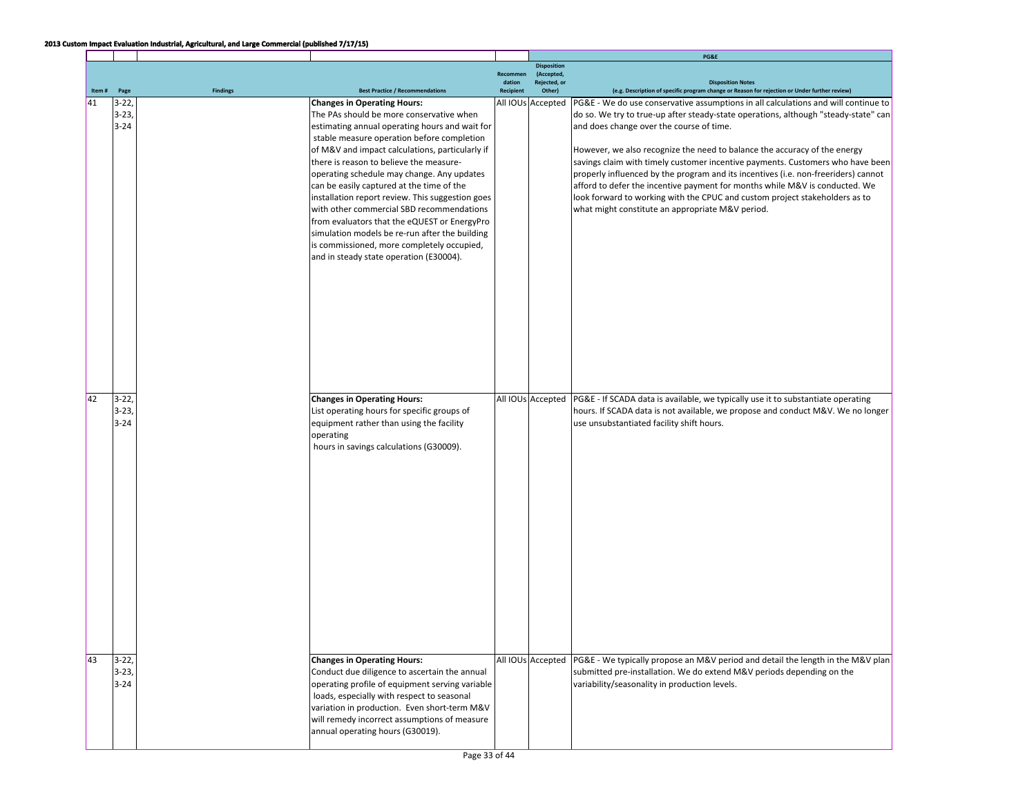|       |          |                 |                                                  |                    |                            | PG&E                                                                                          |
|-------|----------|-----------------|--------------------------------------------------|--------------------|----------------------------|-----------------------------------------------------------------------------------------------|
|       |          |                 |                                                  |                    | <b>Disposition</b>         |                                                                                               |
|       |          |                 |                                                  | Recommen<br>dation | (Accepted,<br>Rejected, or | <b>Disposition Notes</b>                                                                      |
| Item# | Page     | <b>Findings</b> | <b>Best Practice / Recommendations</b>           | Recipient          | Other)                     | (e.g. Description of specific program change or Reason for rejection or Under further review) |
| 41    | $3 - 22$ |                 | <b>Changes in Operating Hours:</b>               |                    | All IOUs Accepted          | PG&E - We do use conservative assumptions in all calculations and will continue to            |
|       | $3-23,$  |                 | The PAs should be more conservative when         |                    |                            | do so. We try to true-up after steady-state operations, although "steady-state" can           |
|       | $3 - 24$ |                 | estimating annual operating hours and wait for   |                    |                            | and does change over the course of time.                                                      |
|       |          |                 | stable measure operation before completion       |                    |                            |                                                                                               |
|       |          |                 | of M&V and impact calculations, particularly if  |                    |                            | However, we also recognize the need to balance the accuracy of the energy                     |
|       |          |                 | there is reason to believe the measure-          |                    |                            | savings claim with timely customer incentive payments. Customers who have been                |
|       |          |                 | operating schedule may change. Any updates       |                    |                            | properly influenced by the program and its incentives (i.e. non-freeriders) cannot            |
|       |          |                 | can be easily captured at the time of the        |                    |                            | afford to defer the incentive payment for months while M&V is conducted. We                   |
|       |          |                 | installation report review. This suggestion goes |                    |                            | look forward to working with the CPUC and custom project stakeholders as to                   |
|       |          |                 | with other commercial SBD recommendations        |                    |                            | what might constitute an appropriate M&V period.                                              |
|       |          |                 | from evaluators that the eQUEST or EnergyPro     |                    |                            |                                                                                               |
|       |          |                 | simulation models be re-run after the building   |                    |                            |                                                                                               |
|       |          |                 | is commissioned, more completely occupied,       |                    |                            |                                                                                               |
|       |          |                 | and in steady state operation (E30004).          |                    |                            |                                                                                               |
|       |          |                 |                                                  |                    |                            |                                                                                               |
|       |          |                 |                                                  |                    |                            |                                                                                               |
|       |          |                 |                                                  |                    |                            |                                                                                               |
|       |          |                 |                                                  |                    |                            |                                                                                               |
|       |          |                 |                                                  |                    |                            |                                                                                               |
|       |          |                 |                                                  |                    |                            |                                                                                               |
|       |          |                 |                                                  |                    |                            |                                                                                               |
|       |          |                 |                                                  |                    |                            |                                                                                               |
|       |          |                 |                                                  |                    |                            |                                                                                               |
|       |          |                 |                                                  |                    |                            |                                                                                               |
|       |          |                 |                                                  |                    |                            |                                                                                               |
| 42    | $3 - 22$ |                 | <b>Changes in Operating Hours:</b>               |                    | All IOUs Accepted          | PG&E - If SCADA data is available, we typically use it to substantiate operating              |
|       | $3 - 23$ |                 | List operating hours for specific groups of      |                    |                            | hours. If SCADA data is not available, we propose and conduct M&V. We no longer               |
|       | $3 - 24$ |                 | equipment rather than using the facility         |                    |                            | use unsubstantiated facility shift hours.                                                     |
|       |          |                 | operating                                        |                    |                            |                                                                                               |
|       |          |                 | hours in savings calculations (G30009).          |                    |                            |                                                                                               |
|       |          |                 |                                                  |                    |                            |                                                                                               |
|       |          |                 |                                                  |                    |                            |                                                                                               |
|       |          |                 |                                                  |                    |                            |                                                                                               |
|       |          |                 |                                                  |                    |                            |                                                                                               |
|       |          |                 |                                                  |                    |                            |                                                                                               |
|       |          |                 |                                                  |                    |                            |                                                                                               |
|       |          |                 |                                                  |                    |                            |                                                                                               |
|       |          |                 |                                                  |                    |                            |                                                                                               |
|       |          |                 |                                                  |                    |                            |                                                                                               |
|       |          |                 |                                                  |                    |                            |                                                                                               |
|       |          |                 |                                                  |                    |                            |                                                                                               |
|       |          |                 |                                                  |                    |                            |                                                                                               |
|       |          |                 |                                                  |                    |                            |                                                                                               |
|       |          |                 |                                                  |                    |                            |                                                                                               |
|       |          |                 |                                                  |                    |                            |                                                                                               |
|       |          |                 |                                                  |                    |                            |                                                                                               |
|       |          |                 |                                                  |                    |                            |                                                                                               |
| 43    | $3-22,$  |                 | <b>Changes in Operating Hours:</b>               |                    | All IOUs Accepted          | PG&E - We typically propose an M&V period and detail the length in the M&V plan               |
|       | $3-23,$  |                 | Conduct due diligence to ascertain the annual    |                    |                            | submitted pre-installation. We do extend M&V periods depending on the                         |
|       | $3 - 24$ |                 | operating profile of equipment serving variable  |                    |                            | variability/seasonality in production levels.                                                 |
|       |          |                 | loads, especially with respect to seasonal       |                    |                            |                                                                                               |
|       |          |                 | variation in production. Even short-term M&V     |                    |                            |                                                                                               |
|       |          |                 | will remedy incorrect assumptions of measure     |                    |                            |                                                                                               |
|       |          |                 | annual operating hours (G30019).                 |                    |                            |                                                                                               |
|       |          |                 |                                                  |                    |                            |                                                                                               |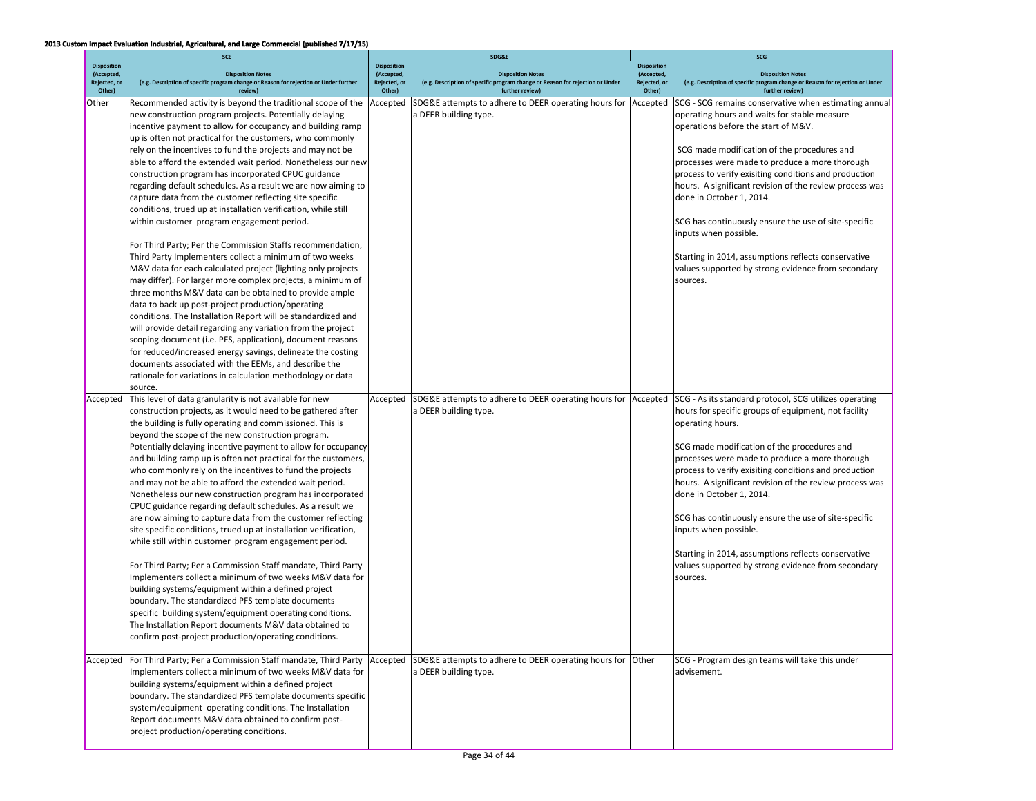|                                                            | SCE                                                                                                                                                                                                                                                                                                                                                                                                                                                                                                                                                                                                                                                                                                                                                                                                                                                                                                                                                                                                                                                                                                                                                                                                                                                                                                                                                                                                                                                      |                                                            | SDG&E                                                                                                                        | SCG                                                        |                                                                                                                                                                                                                                                                                                                                                                                                                                                                                                                                                                                                         |  |
|------------------------------------------------------------|----------------------------------------------------------------------------------------------------------------------------------------------------------------------------------------------------------------------------------------------------------------------------------------------------------------------------------------------------------------------------------------------------------------------------------------------------------------------------------------------------------------------------------------------------------------------------------------------------------------------------------------------------------------------------------------------------------------------------------------------------------------------------------------------------------------------------------------------------------------------------------------------------------------------------------------------------------------------------------------------------------------------------------------------------------------------------------------------------------------------------------------------------------------------------------------------------------------------------------------------------------------------------------------------------------------------------------------------------------------------------------------------------------------------------------------------------------|------------------------------------------------------------|------------------------------------------------------------------------------------------------------------------------------|------------------------------------------------------------|---------------------------------------------------------------------------------------------------------------------------------------------------------------------------------------------------------------------------------------------------------------------------------------------------------------------------------------------------------------------------------------------------------------------------------------------------------------------------------------------------------------------------------------------------------------------------------------------------------|--|
| <b>Disposition</b><br>(Accepted,<br>Rejected, or<br>Other) | <b>Disposition Notes</b><br>(e.g. Description of specific program change or Reason for rejection or Under further<br>review)                                                                                                                                                                                                                                                                                                                                                                                                                                                                                                                                                                                                                                                                                                                                                                                                                                                                                                                                                                                                                                                                                                                                                                                                                                                                                                                             | <b>Disposition</b><br>(Accepted,<br>Rejected, or<br>Other) | <b>Disposition Notes</b><br>(e.g. Description of specific program change or Reason for rejection or Under<br>further review) | <b>Disposition</b><br>(Accepted,<br>Rejected, or<br>Other) | <b>Disposition Notes</b><br>(e.g. Description of specific program change or Reason for rejection or Under<br>further review)                                                                                                                                                                                                                                                                                                                                                                                                                                                                            |  |
| <b>Other</b>                                               | Recommended activity is beyond the traditional scope of the<br>new construction program projects. Potentially delaying<br>incentive payment to allow for occupancy and building ramp<br>up is often not practical for the customers, who commonly<br>rely on the incentives to fund the projects and may not be<br>able to afford the extended wait period. Nonetheless our new<br>construction program has incorporated CPUC guidance<br>regarding default schedules. As a result we are now aiming to<br>capture data from the customer reflecting site specific<br>conditions, trued up at installation verification, while still<br>within customer program engagement period.<br>For Third Party; Per the Commission Staffs recommendation,<br>Third Party Implementers collect a minimum of two weeks<br>M&V data for each calculated project (lighting only projects<br>may differ). For larger more complex projects, a minimum of<br>three months M&V data can be obtained to provide ample<br>data to back up post-project production/operating<br>conditions. The Installation Report will be standardized and<br>will provide detail regarding any variation from the project<br>scoping document (i.e. PFS, application), document reasons<br>for reduced/increased energy savings, delineate the costing<br>documents associated with the EEMs, and describe the<br>rationale for variations in calculation methodology or data<br>source. | Accepted                                                   | SDG&E attempts to adhere to DEER operating hours for<br>a DEER building type.                                                | Accepted                                                   | SCG - SCG remains conservative when estimating annual<br>operating hours and waits for stable measure<br>operations before the start of M&V.<br>SCG made modification of the procedures and<br>processes were made to produce a more thorough<br>process to verify exisiting conditions and production<br>hours. A significant revision of the review process was<br>done in October 1, 2014.<br>SCG has continuously ensure the use of site-specific<br>inputs when possible.<br>Starting in 2014, assumptions reflects conservative<br>values supported by strong evidence from secondary<br>sources. |  |
| Accepted                                                   | This level of data granularity is not available for new<br>construction projects, as it would need to be gathered after<br>the building is fully operating and commissioned. This is<br>beyond the scope of the new construction program.<br>Potentially delaying incentive payment to allow for occupancy<br>and building ramp up is often not practical for the customers,<br>who commonly rely on the incentives to fund the projects<br>and may not be able to afford the extended wait period.<br>Nonetheless our new construction program has incorporated<br>CPUC guidance regarding default schedules. As a result we<br>are now aiming to capture data from the customer reflecting<br>site specific conditions, trued up at installation verification,<br>while still within customer program engagement period.<br>For Third Party; Per a Commission Staff mandate, Third Party<br>Implementers collect a minimum of two weeks M&V data for<br>building systems/equipment within a defined project<br>boundary. The standardized PFS template documents<br>specific building system/equipment operating conditions.<br>The Installation Report documents M&V data obtained to<br>confirm post-project production/operating conditions.                                                                                                                                                                                                        | Accepted                                                   | SDG&E attempts to adhere to DEER operating hours for   Accepted<br>a DEER building type.                                     |                                                            | SCG - As its standard protocol, SCG utilizes operating<br>hours for specific groups of equipment, not facility<br>operating hours.<br>SCG made modification of the procedures and<br>processes were made to produce a more thorough<br>process to verify exisiting conditions and production<br>hours. A significant revision of the review process was<br>done in October 1, 2014.<br>SCG has continuously ensure the use of site-specific<br>inputs when possible.<br>Starting in 2014, assumptions reflects conservative<br>values supported by strong evidence from secondary<br>sources.           |  |
| Accepted                                                   | For Third Party; Per a Commission Staff mandate, Third Party<br>Implementers collect a minimum of two weeks M&V data for<br>building systems/equipment within a defined project<br>boundary. The standardized PFS template documents specific<br>system/equipment operating conditions. The Installation<br>Report documents M&V data obtained to confirm post-<br>project production/operating conditions.                                                                                                                                                                                                                                                                                                                                                                                                                                                                                                                                                                                                                                                                                                                                                                                                                                                                                                                                                                                                                                              | Accepted                                                   | SDG&E attempts to adhere to DEER operating hours for Other<br>a DEER building type.                                          |                                                            | SCG - Program design teams will take this under<br>advisement.                                                                                                                                                                                                                                                                                                                                                                                                                                                                                                                                          |  |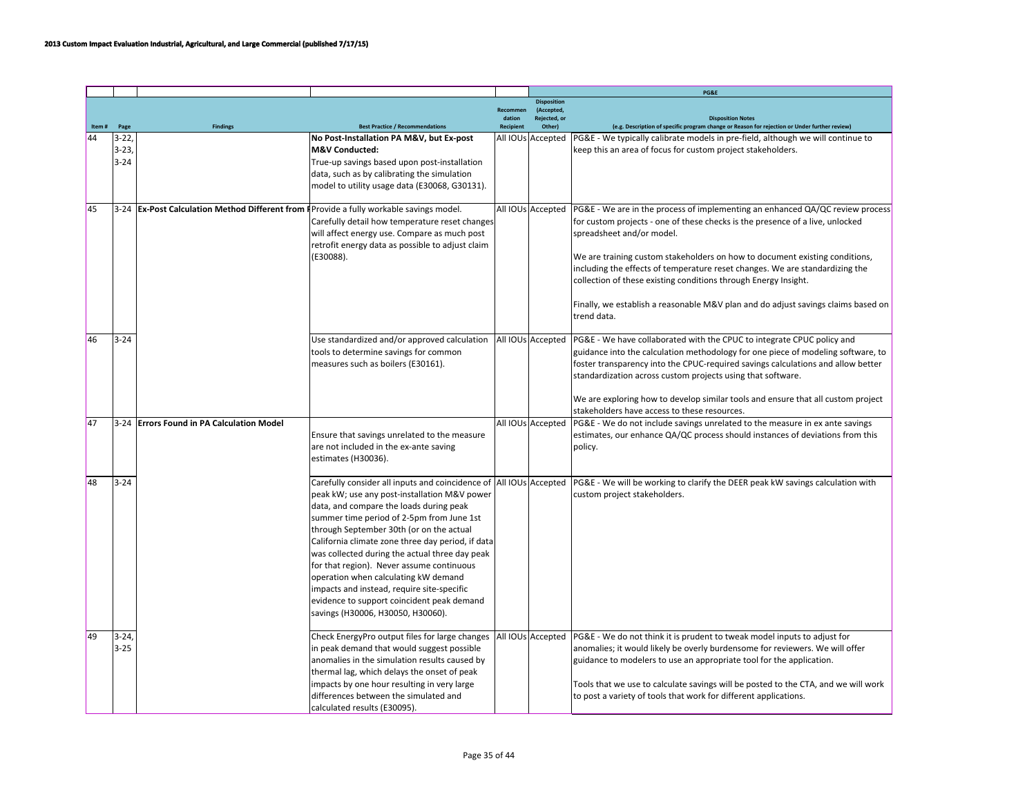|       |                                 |                                                                                          |                                                                                                                                                                                                                                                                                                                                                                                                                                                                                                                                                                                     |                  |                                  | PG&E                                                                                                                                                                                                                                                                                                                                                                                                                                                                                                                              |
|-------|---------------------------------|------------------------------------------------------------------------------------------|-------------------------------------------------------------------------------------------------------------------------------------------------------------------------------------------------------------------------------------------------------------------------------------------------------------------------------------------------------------------------------------------------------------------------------------------------------------------------------------------------------------------------------------------------------------------------------------|------------------|----------------------------------|-----------------------------------------------------------------------------------------------------------------------------------------------------------------------------------------------------------------------------------------------------------------------------------------------------------------------------------------------------------------------------------------------------------------------------------------------------------------------------------------------------------------------------------|
|       |                                 |                                                                                          |                                                                                                                                                                                                                                                                                                                                                                                                                                                                                                                                                                                     | Recommen         | <b>Disposition</b><br>(Accepted, |                                                                                                                                                                                                                                                                                                                                                                                                                                                                                                                                   |
|       |                                 |                                                                                          |                                                                                                                                                                                                                                                                                                                                                                                                                                                                                                                                                                                     | dation           | Rejected, or                     | <b>Disposition Notes</b>                                                                                                                                                                                                                                                                                                                                                                                                                                                                                                          |
| Item# | Page                            | <b>Findings</b>                                                                          | <b>Best Practice / Recommendations</b>                                                                                                                                                                                                                                                                                                                                                                                                                                                                                                                                              | <b>Recipient</b> | Other)                           | (e.g. Description of specific program change or Reason for rejection or Under further review)                                                                                                                                                                                                                                                                                                                                                                                                                                     |
| 44    | $3 - 22$<br>$3-23,$<br>$3 - 24$ |                                                                                          | No Post-Installation PA M&V, but Ex-post<br>M&V Conducted:<br>True-up savings based upon post-installation<br>data, such as by calibrating the simulation<br>model to utility usage data (E30068, G30131).                                                                                                                                                                                                                                                                                                                                                                          |                  | All IOUs Accepted                | PG&E - We typically calibrate models in pre-field, although we will continue to<br>keep this an area of focus for custom project stakeholders.                                                                                                                                                                                                                                                                                                                                                                                    |
| 45    |                                 | 3-24 Ex-Post Calculation Method Different from F Provide a fully workable savings model. | Carefully detail how temperature reset changes<br>will affect energy use. Compare as much post<br>retrofit energy data as possible to adjust claim<br>(E30088).                                                                                                                                                                                                                                                                                                                                                                                                                     |                  | All IOUs Accepted                | PG&E - We are in the process of implementing an enhanced QA/QC review process<br>for custom projects - one of these checks is the presence of a live, unlocked<br>spreadsheet and/or model.<br>We are training custom stakeholders on how to document existing conditions,<br>including the effects of temperature reset changes. We are standardizing the<br>collection of these existing conditions through Energy Insight.<br>Finally, we establish a reasonable M&V plan and do adjust savings claims based on<br>trend data. |
| 46    | $3 - 24$                        |                                                                                          | Use standardized and/or approved calculation<br>tools to determine savings for common<br>measures such as boilers (E30161).                                                                                                                                                                                                                                                                                                                                                                                                                                                         |                  | All IOUs Accepted                | PG&E - We have collaborated with the CPUC to integrate CPUC policy and<br>guidance into the calculation methodology for one piece of modeling software, to<br>foster transparency into the CPUC-required savings calculations and allow better<br>standardization across custom projects using that software.<br>We are exploring how to develop similar tools and ensure that all custom project<br>stakeholders have access to these resources.                                                                                 |
| 47    |                                 | 3-24 Errors Found in PA Calculation Model                                                | Ensure that savings unrelated to the measure<br>are not included in the ex-ante saving<br>estimates (H30036).                                                                                                                                                                                                                                                                                                                                                                                                                                                                       |                  | All IOUs Accepted                | PG&E - We do not include savings unrelated to the measure in ex ante savings<br>estimates, our enhance QA/QC process should instances of deviations from this<br>policy.                                                                                                                                                                                                                                                                                                                                                          |
| 48    | $3 - 24$                        |                                                                                          | Carefully consider all inputs and coincidence of All IOUs Accepted<br>peak kW; use any post-installation M&V power<br>data, and compare the loads during peak<br>summer time period of 2-5pm from June 1st<br>through September 30th (or on the actual<br>California climate zone three day period, if data<br>was collected during the actual three day peak<br>for that region). Never assume continuous<br>operation when calculating kW demand<br>impacts and instead, require site-specific<br>evidence to support coincident peak demand<br>savings (H30006, H30050, H30060). |                  |                                  | PG&E - We will be working to clarify the DEER peak kW savings calculation with<br>custom project stakeholders.                                                                                                                                                                                                                                                                                                                                                                                                                    |
| 49    | $3-24,$<br>$3 - 25$             |                                                                                          | Check EnergyPro output files for large changes<br>in peak demand that would suggest possible<br>anomalies in the simulation results caused by<br>thermal lag, which delays the onset of peak<br>impacts by one hour resulting in very large<br>differences between the simulated and<br>calculated results (E30095).                                                                                                                                                                                                                                                                |                  | All IOUs Accepted                | PG&E - We do not think it is prudent to tweak model inputs to adjust for<br>anomalies; it would likely be overly burdensome for reviewers. We will offer<br>guidance to modelers to use an appropriate tool for the application.<br>Tools that we use to calculate savings will be posted to the CTA, and we will work<br>to post a variety of tools that work for different applications.                                                                                                                                        |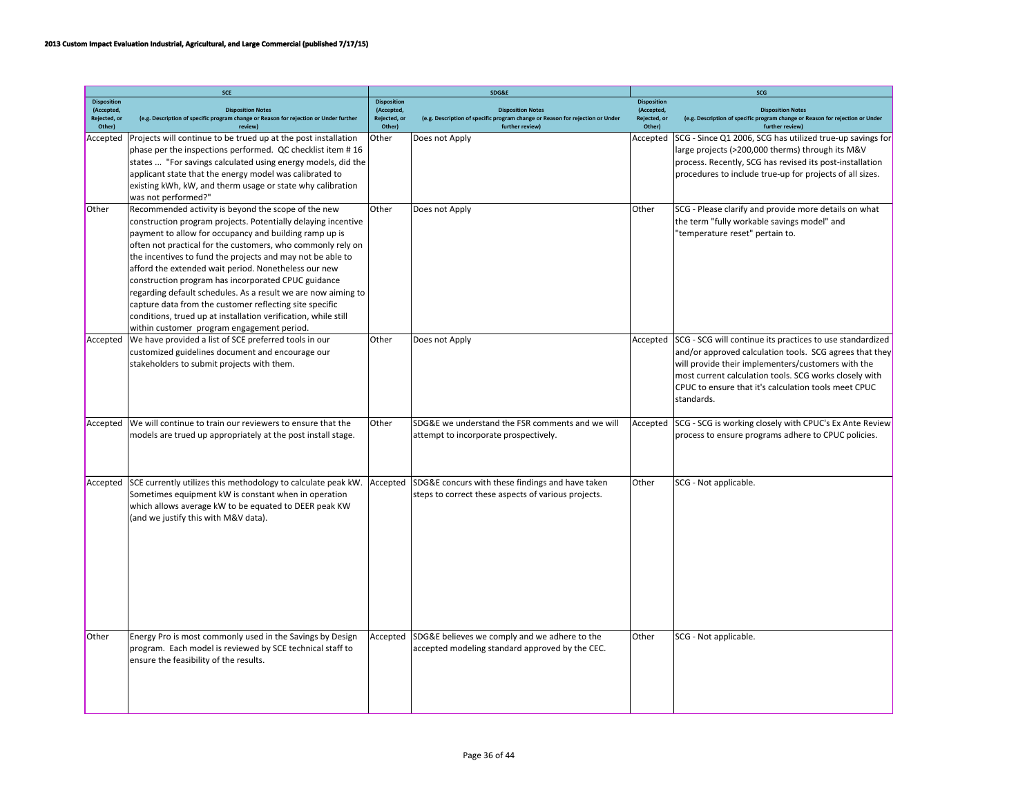|                                                            | <b>SCE</b>                                                                                                                                                                                                                                                                                                                                                                                                                                                                                                                                                                                                                                                             |                                                            | SDG&E                                                                                                                        | SCG                                                        |                                                                                                                                                                                                                                                                                                            |  |
|------------------------------------------------------------|------------------------------------------------------------------------------------------------------------------------------------------------------------------------------------------------------------------------------------------------------------------------------------------------------------------------------------------------------------------------------------------------------------------------------------------------------------------------------------------------------------------------------------------------------------------------------------------------------------------------------------------------------------------------|------------------------------------------------------------|------------------------------------------------------------------------------------------------------------------------------|------------------------------------------------------------|------------------------------------------------------------------------------------------------------------------------------------------------------------------------------------------------------------------------------------------------------------------------------------------------------------|--|
| <b>Disposition</b><br>(Accepted,<br>Rejected, or<br>Other) | <b>Disposition Notes</b><br>(e.g. Description of specific program change or Reason for rejection or Under further<br>review)                                                                                                                                                                                                                                                                                                                                                                                                                                                                                                                                           | <b>Disposition</b><br>(Accepted,<br>Rejected, or<br>Other) | <b>Disposition Notes</b><br>(e.g. Description of specific program change or Reason for rejection or Under<br>further review) | <b>Disposition</b><br>(Accepted,<br>Rejected, or<br>Other) | <b>Disposition Notes</b><br>(e.g. Description of specific program change or Reason for rejection or Under<br>further review)                                                                                                                                                                               |  |
| Accepted                                                   | Projects will continue to be trued up at the post installation<br>phase per the inspections performed. QC checklist item #16<br>states  "For savings calculated using energy models, did the<br>applicant state that the energy model was calibrated to<br>existing kWh, kW, and therm usage or state why calibration<br>was not performed?"                                                                                                                                                                                                                                                                                                                           | Other                                                      | Does not Apply                                                                                                               | Accepted                                                   | SCG - Since Q1 2006, SCG has utilized true-up savings for<br>large projects (>200,000 therms) through its M&V<br>process. Recently, SCG has revised its post-installation<br>procedures to include true-up for projects of all sizes.                                                                      |  |
| Other                                                      | Recommended activity is beyond the scope of the new<br>construction program projects. Potentially delaying incentive<br>payment to allow for occupancy and building ramp up is<br>often not practical for the customers, who commonly rely on<br>the incentives to fund the projects and may not be able to<br>afford the extended wait period. Nonetheless our new<br>construction program has incorporated CPUC guidance<br>regarding default schedules. As a result we are now aiming to<br>capture data from the customer reflecting site specific<br>conditions, trued up at installation verification, while still<br>within customer program engagement period. | Other                                                      | Does not Apply                                                                                                               | Other                                                      | SCG - Please clarify and provide more details on what<br>the term "fully workable savings model" and<br>'temperature reset" pertain to.                                                                                                                                                                    |  |
| Accepted                                                   | We have provided a list of SCE preferred tools in our<br>customized guidelines document and encourage our<br>stakeholders to submit projects with them.                                                                                                                                                                                                                                                                                                                                                                                                                                                                                                                | Other                                                      | Does not Apply                                                                                                               | Accepted                                                   | SCG - SCG will continue its practices to use standardized<br>and/or approved calculation tools. SCG agrees that they<br>will provide their implementers/customers with the<br>most current calculation tools. SCG works closely with<br>CPUC to ensure that it's calculation tools meet CPUC<br>standards. |  |
| Accepted                                                   | We will continue to train our reviewers to ensure that the<br>models are trued up appropriately at the post install stage.                                                                                                                                                                                                                                                                                                                                                                                                                                                                                                                                             | Other                                                      | SDG&E we understand the FSR comments and we will<br>attempt to incorporate prospectively.                                    | Accepted                                                   | SCG - SCG is working closely with CPUC's Ex Ante Review<br>process to ensure programs adhere to CPUC policies.                                                                                                                                                                                             |  |
| Accepted                                                   | SCE currently utilizes this methodology to calculate peak kW.<br>Sometimes equipment kW is constant when in operation<br>which allows average kW to be equated to DEER peak KW<br>(and we justify this with M&V data).                                                                                                                                                                                                                                                                                                                                                                                                                                                 | Accepted                                                   | SDG&E concurs with these findings and have taken<br>steps to correct these aspects of various projects.                      | Other                                                      | SCG - Not applicable.                                                                                                                                                                                                                                                                                      |  |
| Other                                                      | Energy Pro is most commonly used in the Savings by Design<br>program. Each model is reviewed by SCE technical staff to<br>ensure the feasibility of the results.                                                                                                                                                                                                                                                                                                                                                                                                                                                                                                       | Accepted                                                   | SDG&E believes we comply and we adhere to the<br>accepted modeling standard approved by the CEC.                             | Other                                                      | SCG - Not applicable.                                                                                                                                                                                                                                                                                      |  |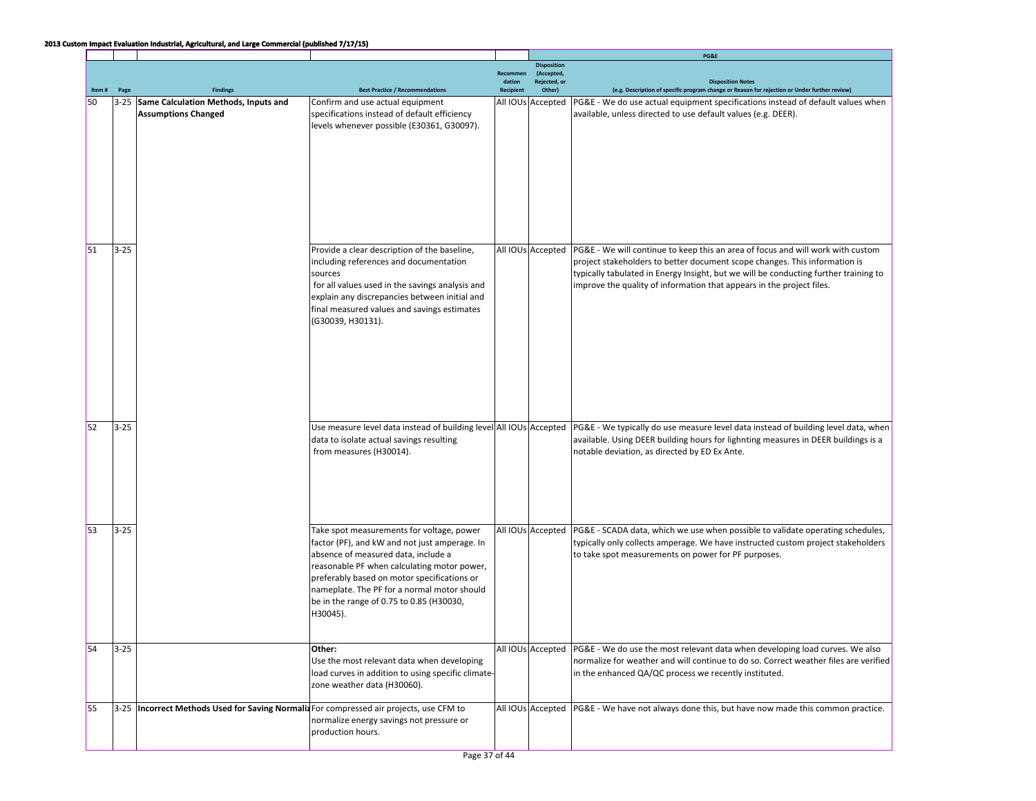|       |          |                                                                                          |                                                                    |                    |                           | PG&E                                                                                                                                                                 |
|-------|----------|------------------------------------------------------------------------------------------|--------------------------------------------------------------------|--------------------|---------------------------|----------------------------------------------------------------------------------------------------------------------------------------------------------------------|
|       |          |                                                                                          |                                                                    |                    | <b>Disposition</b>        |                                                                                                                                                                      |
|       |          |                                                                                          |                                                                    | Recommen<br>dation | (Accepted<br>Rejected, or | <b>Disposition Notes</b>                                                                                                                                             |
| Item# | Page     |                                                                                          | <b>Best Practice / Recommendations</b>                             | <b>Recipient</b>   | Other)                    | (e.g. Description of specific program change or Reason for rejection or Under further review)                                                                        |
| 50    |          | 3-25 Same Calculation Methods, Inputs and                                                | Confirm and use actual equipment                                   |                    | All IOUs Accepted         | PG&E - We do use actual equipment specifications instead of default values when                                                                                      |
|       |          | <b>Assumptions Changed</b>                                                               | specifications instead of default efficiency                       |                    |                           | available, unless directed to use default values (e.g. DEER).                                                                                                        |
|       |          |                                                                                          |                                                                    |                    |                           |                                                                                                                                                                      |
|       |          |                                                                                          | levels whenever possible (E30361, G30097).                         |                    |                           |                                                                                                                                                                      |
|       |          |                                                                                          |                                                                    |                    |                           |                                                                                                                                                                      |
|       |          |                                                                                          |                                                                    |                    |                           |                                                                                                                                                                      |
|       |          |                                                                                          |                                                                    |                    |                           |                                                                                                                                                                      |
|       |          |                                                                                          |                                                                    |                    |                           |                                                                                                                                                                      |
|       |          |                                                                                          |                                                                    |                    |                           |                                                                                                                                                                      |
|       |          |                                                                                          |                                                                    |                    |                           |                                                                                                                                                                      |
|       |          |                                                                                          |                                                                    |                    |                           |                                                                                                                                                                      |
|       |          |                                                                                          |                                                                    |                    |                           |                                                                                                                                                                      |
|       |          |                                                                                          |                                                                    |                    |                           |                                                                                                                                                                      |
|       |          |                                                                                          |                                                                    |                    |                           |                                                                                                                                                                      |
| 51    | $3 - 25$ |                                                                                          | Provide a clear description of the baseline,                       |                    | All IOUs Accepted         | PG&E - We will continue to keep this an area of focus and will work with custom                                                                                      |
|       |          |                                                                                          | including references and documentation                             |                    |                           | project stakeholders to better document scope changes. This information is                                                                                           |
|       |          |                                                                                          | sources                                                            |                    |                           | typically tabulated in Energy Insight, but we will be conducting further training to                                                                                 |
|       |          |                                                                                          | for all values used in the savings analysis and                    |                    |                           | improve the quality of information that appears in the project files.                                                                                                |
|       |          |                                                                                          | explain any discrepancies between initial and                      |                    |                           |                                                                                                                                                                      |
|       |          |                                                                                          | final measured values and savings estimates                        |                    |                           |                                                                                                                                                                      |
|       |          |                                                                                          | (G30039, H30131).                                                  |                    |                           |                                                                                                                                                                      |
|       |          |                                                                                          |                                                                    |                    |                           |                                                                                                                                                                      |
|       |          |                                                                                          |                                                                    |                    |                           |                                                                                                                                                                      |
|       |          |                                                                                          |                                                                    |                    |                           |                                                                                                                                                                      |
|       |          |                                                                                          |                                                                    |                    |                           |                                                                                                                                                                      |
|       |          |                                                                                          |                                                                    |                    |                           |                                                                                                                                                                      |
|       |          |                                                                                          |                                                                    |                    |                           |                                                                                                                                                                      |
|       |          |                                                                                          |                                                                    |                    |                           |                                                                                                                                                                      |
|       |          |                                                                                          |                                                                    |                    |                           |                                                                                                                                                                      |
| 52    | $3 - 25$ |                                                                                          | Use measure level data instead of building level All IOUs Accepted |                    |                           | PG&E - We typically do use measure level data instead of building level data, when                                                                                   |
|       |          |                                                                                          | data to isolate actual savings resulting                           |                    |                           | available. Using DEER building hours for lighnting measures in DEER buildings is a                                                                                   |
|       |          |                                                                                          | from measures (H30014).                                            |                    |                           | notable deviation, as directed by ED Ex Ante.                                                                                                                        |
|       |          |                                                                                          |                                                                    |                    |                           |                                                                                                                                                                      |
|       |          |                                                                                          |                                                                    |                    |                           |                                                                                                                                                                      |
|       |          |                                                                                          |                                                                    |                    |                           |                                                                                                                                                                      |
|       |          |                                                                                          |                                                                    |                    |                           |                                                                                                                                                                      |
|       |          |                                                                                          |                                                                    |                    |                           |                                                                                                                                                                      |
|       |          |                                                                                          |                                                                    |                    |                           |                                                                                                                                                                      |
| 53    | $3 - 25$ |                                                                                          | Take spot measurements for voltage, power                          |                    | All IOUs Accepted         | PG&E - SCADA data, which we use when possible to validate operating schedules,                                                                                       |
|       |          |                                                                                          | factor (PF), and kW and not just amperage. In                      |                    |                           | typically only collects amperage. We have instructed custom project stakeholders                                                                                     |
|       |          |                                                                                          | absence of measured data, include a                                |                    |                           | to take spot measurements on power for PF purposes.                                                                                                                  |
|       |          |                                                                                          | reasonable PF when calculating motor power,                        |                    |                           |                                                                                                                                                                      |
|       |          |                                                                                          | preferably based on motor specifications or                        |                    |                           |                                                                                                                                                                      |
|       |          |                                                                                          | nameplate. The PF for a normal motor should                        |                    |                           |                                                                                                                                                                      |
|       |          |                                                                                          | be in the range of 0.75 to 0.85 (H30030,                           |                    |                           |                                                                                                                                                                      |
|       |          |                                                                                          |                                                                    |                    |                           |                                                                                                                                                                      |
|       |          |                                                                                          | H30045).                                                           |                    |                           |                                                                                                                                                                      |
|       |          |                                                                                          |                                                                    |                    |                           |                                                                                                                                                                      |
| 54    | $3 - 25$ |                                                                                          | Other:                                                             |                    |                           |                                                                                                                                                                      |
|       |          |                                                                                          |                                                                    |                    | All IOUs Accepted         | PG&E - We do use the most relevant data when developing load curves. We also<br>normalize for weather and will continue to do so. Correct weather files are verified |
|       |          |                                                                                          | Use the most relevant data when developing                         |                    |                           |                                                                                                                                                                      |
|       |          |                                                                                          | load curves in addition to using specific climate-                 |                    |                           | in the enhanced QA/QC process we recently instituted.                                                                                                                |
|       |          |                                                                                          | zone weather data (H30060).                                        |                    |                           |                                                                                                                                                                      |
|       |          |                                                                                          |                                                                    |                    |                           |                                                                                                                                                                      |
| 55    |          | 3-25  Incorrect Methods Used for Saving Normalia For compressed air projects, use CFM to |                                                                    |                    | All IOUs Accepted         | PG&E - We have not always done this, but have now made this common practice.                                                                                         |
|       |          |                                                                                          | normalize energy savings not pressure or                           |                    |                           |                                                                                                                                                                      |
|       |          |                                                                                          | production hours.                                                  |                    |                           |                                                                                                                                                                      |
|       |          |                                                                                          |                                                                    |                    |                           |                                                                                                                                                                      |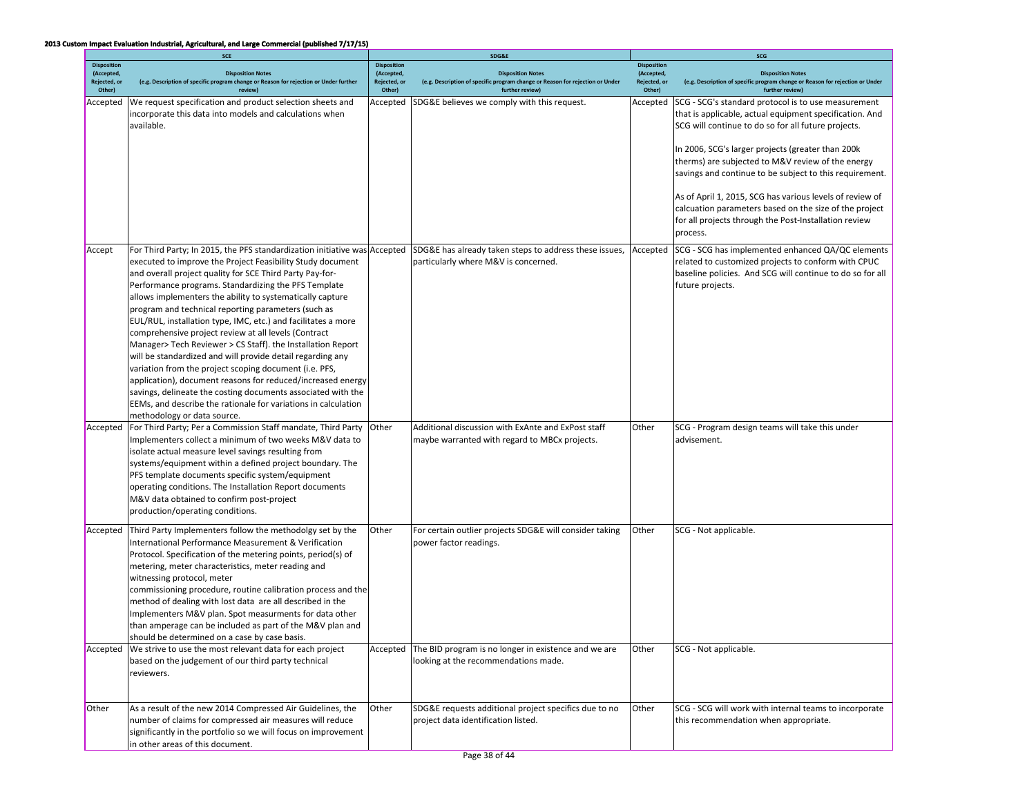|                                                            | SCE                                                                                                                                                                                                                                                                                                                                                                                                                                                                                                                                                                                                                                                                                                                                                                                                                                                                                                                             |                                                            | SDG&E                                                                                                                        | SCG                                                        |                                                                                                                                                                                                                                                                                                                                                                                                                                                                                                                                       |  |
|------------------------------------------------------------|---------------------------------------------------------------------------------------------------------------------------------------------------------------------------------------------------------------------------------------------------------------------------------------------------------------------------------------------------------------------------------------------------------------------------------------------------------------------------------------------------------------------------------------------------------------------------------------------------------------------------------------------------------------------------------------------------------------------------------------------------------------------------------------------------------------------------------------------------------------------------------------------------------------------------------|------------------------------------------------------------|------------------------------------------------------------------------------------------------------------------------------|------------------------------------------------------------|---------------------------------------------------------------------------------------------------------------------------------------------------------------------------------------------------------------------------------------------------------------------------------------------------------------------------------------------------------------------------------------------------------------------------------------------------------------------------------------------------------------------------------------|--|
| <b>Disposition</b><br>(Accepted,<br>Rejected, or<br>Other) | <b>Disposition Notes</b><br>(e.g. Description of specific program change or Reason for rejection or Under further<br>review)                                                                                                                                                                                                                                                                                                                                                                                                                                                                                                                                                                                                                                                                                                                                                                                                    | <b>Disposition</b><br>(Accepted,<br>Rejected, or<br>Other) | <b>Disposition Notes</b><br>(e.g. Description of specific program change or Reason for rejection or Under<br>further review) | <b>Disposition</b><br>(Accepted,<br>Rejected, or<br>Other) | <b>Disposition Notes</b><br>(e.g. Description of specific program change or Reason for rejection or Under<br>further review)                                                                                                                                                                                                                                                                                                                                                                                                          |  |
| Accepted                                                   | We request specification and product selection sheets and<br>incorporate this data into models and calculations when<br>available.                                                                                                                                                                                                                                                                                                                                                                                                                                                                                                                                                                                                                                                                                                                                                                                              | Accepted                                                   | SDG&E believes we comply with this request.                                                                                  | Accepted                                                   | SCG - SCG's standard protocol is to use measurement<br>that is applicable, actual equipment specification. And<br>SCG will continue to do so for all future projects.<br>In 2006, SCG's larger projects (greater than 200k<br>therms) are subjected to M&V review of the energy<br>savings and continue to be subject to this requirement.<br>As of April 1, 2015, SCG has various levels of review of<br>calcuation parameters based on the size of the project<br>for all projects through the Post-Installation review<br>process. |  |
| Accept                                                     | For Third Party; In 2015, the PFS standardization initiative was Accepted<br>executed to improve the Project Feasibility Study document<br>and overall project quality for SCE Third Party Pay-for-<br>Performance programs. Standardizing the PFS Template<br>allows implementers the ability to systematically capture<br>program and technical reporting parameters (such as<br>EUL/RUL, installation type, IMC, etc.) and facilitates a more<br>comprehensive project review at all levels (Contract<br>Manager> Tech Reviewer > CS Staff). the Installation Report<br>will be standardized and will provide detail regarding any<br>variation from the project scoping document (i.e. PFS,<br>application), document reasons for reduced/increased energy<br>savings, delineate the costing documents associated with the<br>EEMs, and describe the rationale for variations in calculation<br>methodology or data source. |                                                            | SDG&E has already taken steps to address these issues,<br>particularly where M&V is concerned.                               | Accepted                                                   | SCG - SCG has implemented enhanced QA/QC elements<br>related to customized projects to conform with CPUC<br>baseline policies. And SCG will continue to do so for all<br>future projects.                                                                                                                                                                                                                                                                                                                                             |  |
| Accepted                                                   | For Third Party; Per a Commission Staff mandate, Third Party<br>Implementers collect a minimum of two weeks M&V data to<br>isolate actual measure level savings resulting from<br>systems/equipment within a defined project boundary. The<br>PFS template documents specific system/equipment<br>operating conditions. The Installation Report documents<br>M&V data obtained to confirm post-project<br>production/operating conditions.                                                                                                                                                                                                                                                                                                                                                                                                                                                                                      | Other                                                      | Additional discussion with ExAnte and ExPost staff<br>maybe warranted with regard to MBCx projects.                          | Other                                                      | SCG - Program design teams will take this under<br>advisement.                                                                                                                                                                                                                                                                                                                                                                                                                                                                        |  |
| Accepted                                                   | Third Party Implementers follow the methodolgy set by the<br>International Performance Measurement & Verification<br>Protocol. Specification of the metering points, period(s) of<br>metering, meter characteristics, meter reading and<br>witnessing protocol, meter<br>commissioning procedure, routine calibration process and the<br>method of dealing with lost data are all described in the<br>Implementers M&V plan. Spot measurments for data other<br>than amperage can be included as part of the M&V plan and<br>should be determined on a case by case basis.                                                                                                                                                                                                                                                                                                                                                      | Other                                                      | For certain outlier projects SDG&E will consider taking<br>power factor readings.                                            | Other                                                      | SCG - Not applicable.                                                                                                                                                                                                                                                                                                                                                                                                                                                                                                                 |  |
| Accepted                                                   | We strive to use the most relevant data for each project<br>based on the judgement of our third party technical<br>reviewers.                                                                                                                                                                                                                                                                                                                                                                                                                                                                                                                                                                                                                                                                                                                                                                                                   | Accepted                                                   | The BID program is no longer in existence and we are<br>looking at the recommendations made.                                 | Other                                                      | SCG - Not applicable.                                                                                                                                                                                                                                                                                                                                                                                                                                                                                                                 |  |
| Other                                                      | As a result of the new 2014 Compressed Air Guidelines, the<br>number of claims for compressed air measures will reduce<br>significantly in the portfolio so we will focus on improvement<br>in other areas of this document.                                                                                                                                                                                                                                                                                                                                                                                                                                                                                                                                                                                                                                                                                                    | Other                                                      | SDG&E requests additional project specifics due to no<br>project data identification listed.                                 | Other                                                      | SCG - SCG will work with internal teams to incorporate<br>this recommendation when appropriate.                                                                                                                                                                                                                                                                                                                                                                                                                                       |  |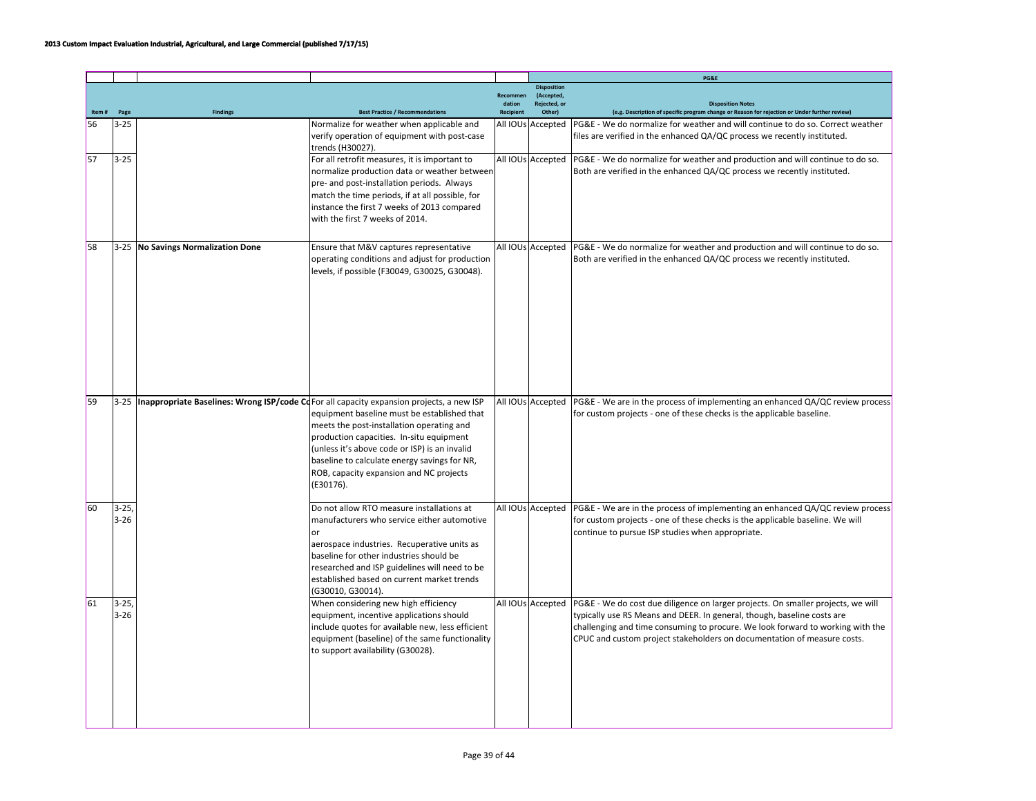|    |                      |                                    |                                                                                                                                                                                                                                                                                                                                                                                                        |                  |                                  | PG&E                                                                                                                                                                                                                                                                                                                                         |
|----|----------------------|------------------------------------|--------------------------------------------------------------------------------------------------------------------------------------------------------------------------------------------------------------------------------------------------------------------------------------------------------------------------------------------------------------------------------------------------------|------------------|----------------------------------|----------------------------------------------------------------------------------------------------------------------------------------------------------------------------------------------------------------------------------------------------------------------------------------------------------------------------------------------|
|    |                      |                                    |                                                                                                                                                                                                                                                                                                                                                                                                        | Recommen         | <b>Disposition</b><br>(Accepted, |                                                                                                                                                                                                                                                                                                                                              |
|    |                      |                                    |                                                                                                                                                                                                                                                                                                                                                                                                        | dation           | <b>Rejected</b> , or             | <b>Disposition Notes</b>                                                                                                                                                                                                                                                                                                                     |
|    | Page                 | <b>Findings</b>                    | <b>Best Practice / Recommendations</b>                                                                                                                                                                                                                                                                                                                                                                 | <b>Recipient</b> | Other)                           | (e.g. Description of specific program change or Reason for rejection or Under further review)                                                                                                                                                                                                                                                |
| 56 | $3 - 25$             |                                    | Normalize for weather when applicable and<br>verify operation of equipment with post-case<br>trends (H30027).                                                                                                                                                                                                                                                                                          |                  | All IOUs Accepted                | PG&E - We do normalize for weather and will continue to do so. Correct weather<br>files are verified in the enhanced QA/QC process we recently instituted.                                                                                                                                                                                   |
| 57 | $3 - 25$             |                                    | For all retrofit measures, it is important to<br>normalize production data or weather between<br>pre- and post-installation periods. Always<br>match the time periods, if at all possible, for<br>instance the first 7 weeks of 2013 compared<br>with the first 7 weeks of 2014.                                                                                                                       |                  |                                  | All IOUs Accepted   PG&E - We do normalize for weather and production and will continue to do so.<br>Both are verified in the enhanced QA/QC process we recently instituted.                                                                                                                                                                 |
| 58 |                      | 3-25 No Savings Normalization Done | Ensure that M&V captures representative<br>operating conditions and adjust for production<br>levels, if possible (F30049, G30025, G30048).                                                                                                                                                                                                                                                             |                  |                                  | All IOUs Accepted   PG&E - We do normalize for weather and production and will continue to do so.<br>Both are verified in the enhanced QA/QC process we recently instituted.                                                                                                                                                                 |
| 59 |                      |                                    | 3-25 <b>Inappropriate Baselines: Wrong ISP/code Co</b> For all capacity expansion projects, a new ISP<br>equipment baseline must be established that<br>meets the post-installation operating and<br>production capacities. In-situ equipment<br>(unless it's above code or ISP) is an invalid<br>baseline to calculate energy savings for NR,<br>ROB, capacity expansion and NC projects<br>(E30176). |                  | All IOUs Accepted                | PG&E - We are in the process of implementing an enhanced QA/QC review process<br>for custom projects - one of these checks is the applicable baseline.                                                                                                                                                                                       |
| 60 | $3 - 25$<br>$3 - 26$ |                                    | Do not allow RTO measure installations at<br>manufacturers who service either automotive<br>or<br>aerospace industries. Recuperative units as<br>baseline for other industries should be<br>researched and ISP guidelines will need to be<br>established based on current market trends<br>(G30010, G30014).                                                                                           |                  |                                  | All IOUs $ $ Accepted $ $ PG&E - We are in the process of implementing an enhanced QA/QC review process<br>for custom projects - one of these checks is the applicable baseline. We will<br>continue to pursue ISP studies when appropriate.                                                                                                 |
| 61 | $3 - 25$<br>$3 - 26$ |                                    | When considering new high efficiency<br>equipment, incentive applications should<br>include quotes for available new, less efficient<br>equipment (baseline) of the same functionality<br>to support availability (G30028).                                                                                                                                                                            |                  |                                  | All IOUs Accepted   PG&E - We do cost due diligence on larger projects. On smaller projects, we will<br>typically use RS Means and DEER. In general, though, baseline costs are<br>challenging and time consuming to procure. We look forward to working with the<br>CPUC and custom project stakeholders on documentation of measure costs. |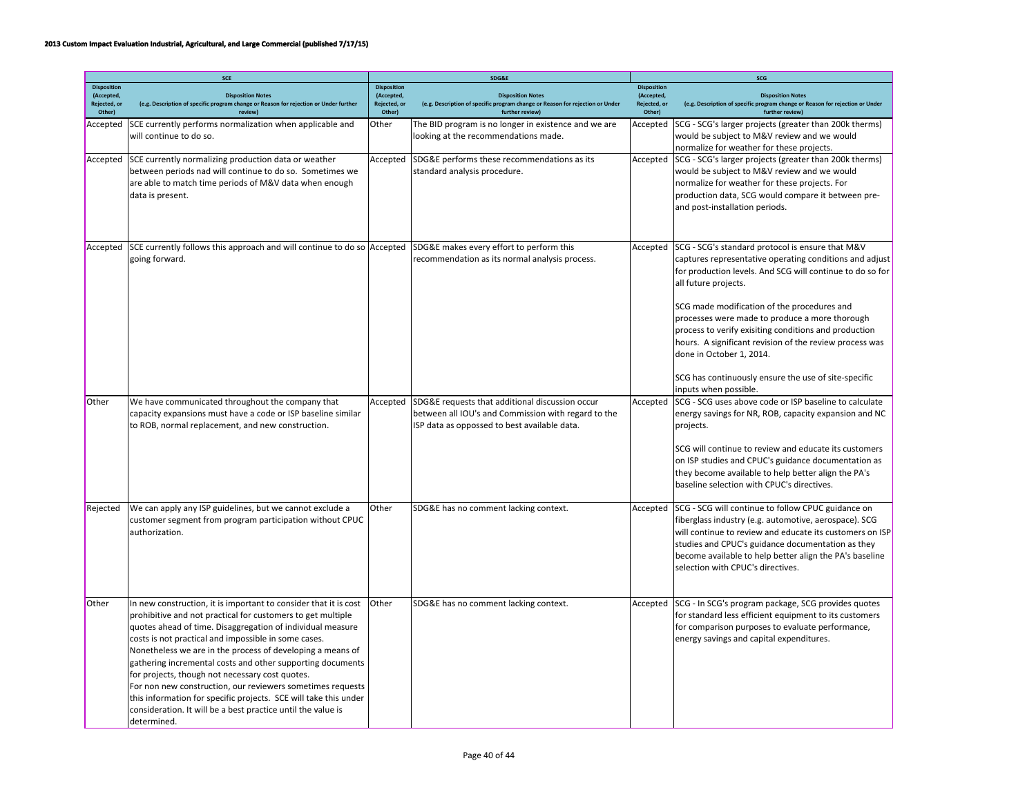|                                                            | <b>SCE</b>                                                                                                                                                                                                                                                                                                                                                                                                                                                                                                                                                                                                                                            |                                                            | SDG&E                                                                                                                                                  | SCG                                                        |                                                                                                                                                                                                                                                                                                                                                   |  |
|------------------------------------------------------------|-------------------------------------------------------------------------------------------------------------------------------------------------------------------------------------------------------------------------------------------------------------------------------------------------------------------------------------------------------------------------------------------------------------------------------------------------------------------------------------------------------------------------------------------------------------------------------------------------------------------------------------------------------|------------------------------------------------------------|--------------------------------------------------------------------------------------------------------------------------------------------------------|------------------------------------------------------------|---------------------------------------------------------------------------------------------------------------------------------------------------------------------------------------------------------------------------------------------------------------------------------------------------------------------------------------------------|--|
| <b>Disposition</b><br>(Accepted,<br>Rejected, or<br>Other) | <b>Disposition Notes</b><br>(e.g. Description of specific program change or Reason for rejection or Under further<br>review)                                                                                                                                                                                                                                                                                                                                                                                                                                                                                                                          | <b>Disposition</b><br>(Accepted,<br>Rejected, or<br>Other) | <b>Disposition Notes</b><br>(e.g. Description of specific program change or Reason for rejection or Under<br>further review)                           | <b>Disposition</b><br>(Accepted,<br>Rejected, or<br>Other) | <b>Disposition Notes</b><br>(e.g. Description of specific program change or Reason for rejection or Under<br>further review)                                                                                                                                                                                                                      |  |
| Accepted                                                   | SCE currently performs normalization when applicable and<br>will continue to do so.                                                                                                                                                                                                                                                                                                                                                                                                                                                                                                                                                                   | Other                                                      | The BID program is no longer in existence and we are<br>looking at the recommendations made.                                                           | Accepted                                                   | SCG - SCG's larger projects (greater than 200k therms)<br>would be subject to M&V review and we would<br>normalize for weather for these projects.                                                                                                                                                                                                |  |
| Accepted                                                   | SCE currently normalizing production data or weather<br>between periods nad will continue to do so. Sometimes we<br>are able to match time periods of M&V data when enough<br>data is present.                                                                                                                                                                                                                                                                                                                                                                                                                                                        | Accepted                                                   | SDG&E performs these recommendations as its<br>standard analysis procedure.                                                                            | Accepted                                                   | SCG - SCG's larger projects (greater than 200k therms)<br>would be subject to M&V review and we would<br>normalize for weather for these projects. For<br>production data, SCG would compare it between pre-<br>and post-installation periods.                                                                                                    |  |
| Accepted                                                   | SCE currently follows this approach and will continue to do so Accepted<br>going forward.                                                                                                                                                                                                                                                                                                                                                                                                                                                                                                                                                             |                                                            | SDG&E makes every effort to perform this<br>recommendation as its normal analysis process.                                                             | Accepted                                                   | SCG - SCG's standard protocol is ensure that M&V<br>captures representative operating conditions and adjust<br>for production levels. And SCG will continue to do so for<br>all future projects.                                                                                                                                                  |  |
|                                                            |                                                                                                                                                                                                                                                                                                                                                                                                                                                                                                                                                                                                                                                       |                                                            |                                                                                                                                                        |                                                            | SCG made modification of the procedures and<br>processes were made to produce a more thorough<br>process to verify exisiting conditions and production<br>hours. A significant revision of the review process was<br>done in October 1, 2014.                                                                                                     |  |
|                                                            |                                                                                                                                                                                                                                                                                                                                                                                                                                                                                                                                                                                                                                                       |                                                            |                                                                                                                                                        |                                                            | SCG has continuously ensure the use of site-specific<br>inputs when possible.                                                                                                                                                                                                                                                                     |  |
| Other                                                      | We have communicated throughout the company that<br>capacity expansions must have a code or ISP baseline similar<br>to ROB, normal replacement, and new construction.                                                                                                                                                                                                                                                                                                                                                                                                                                                                                 | Accepted                                                   | SDG&E requests that additional discussion occur<br>between all IOU's and Commission with regard to the<br>ISP data as oppossed to best available data. | Accepted                                                   | SCG - SCG uses above code or ISP baseline to calculate<br>energy savings for NR, ROB, capacity expansion and NC<br>projects.<br>SCG will continue to review and educate its customers<br>on ISP studies and CPUC's guidance documentation as<br>they become available to help better align the PA's<br>baseline selection with CPUC's directives. |  |
| Rejected                                                   | We can apply any ISP guidelines, but we cannot exclude a<br>customer segment from program participation without CPUC<br>authorization.                                                                                                                                                                                                                                                                                                                                                                                                                                                                                                                | Other                                                      | SDG&E has no comment lacking context.                                                                                                                  | Accepted                                                   | SCG - SCG will continue to follow CPUC guidance on<br>fiberglass industry (e.g. automotive, aerospace). SCG<br>will continue to review and educate its customers on ISP<br>studies and CPUC's guidance documentation as they<br>become available to help better align the PA's baseline<br>selection with CPUC's directives.                      |  |
| <b>Other</b>                                               | In new construction, it is important to consider that it is cost<br>prohibitive and not practical for customers to get multiple<br>quotes ahead of time. Disaggregation of individual measure<br>costs is not practical and impossible in some cases.<br>Nonetheless we are in the process of developing a means of<br>gathering incremental costs and other supporting documents<br>for projects, though not necessary cost quotes.<br>For non new construction, our reviewers sometimes requests<br>this information for specific projects. SCE will take this under<br>consideration. It will be a best practice until the value is<br>determined. | Other                                                      | SDG&E has no comment lacking context.                                                                                                                  | Accepted                                                   | SCG - In SCG's program package, SCG provides quotes<br>for standard less efficient equipment to its customers<br>for comparison purposes to evaluate performance,<br>energy savings and capital expenditures.                                                                                                                                     |  |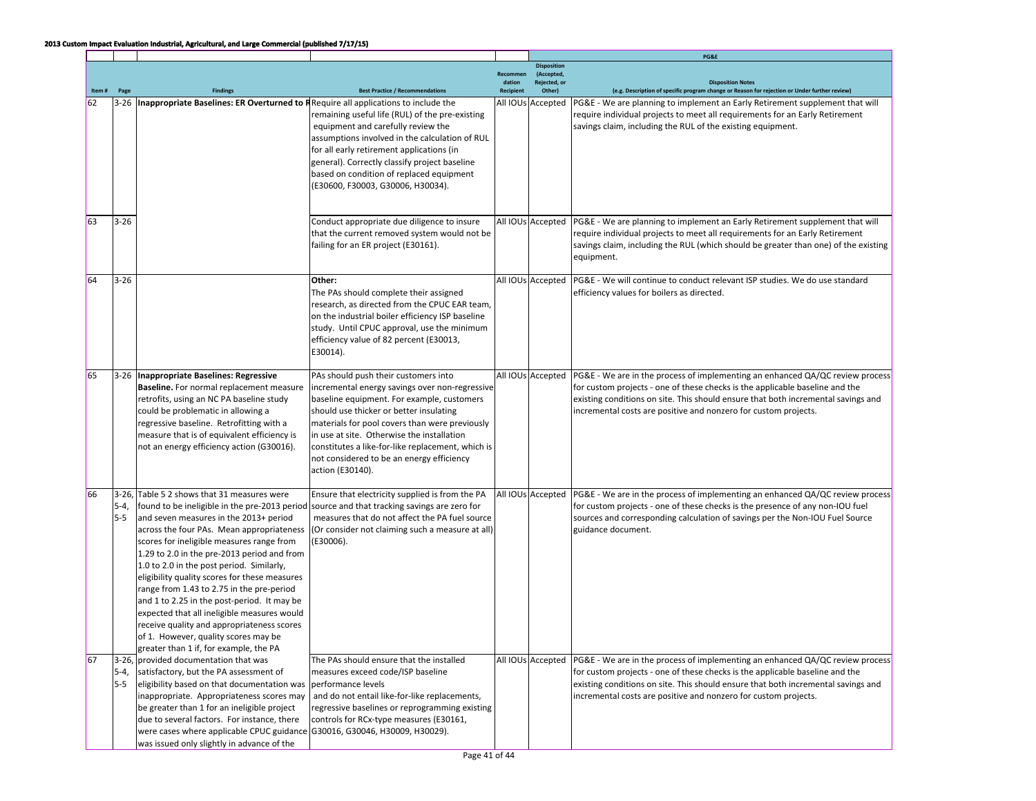|       |                   |                                                                                                                                                                                                                                                                                                                                                                                                                                                                                                                                                                                                         |                                                                                                                                                                                                                                                                                                                                                                                                       |                                        |                                                            | PG&E                                                                                                                                                                                                                                                                                                                  |
|-------|-------------------|---------------------------------------------------------------------------------------------------------------------------------------------------------------------------------------------------------------------------------------------------------------------------------------------------------------------------------------------------------------------------------------------------------------------------------------------------------------------------------------------------------------------------------------------------------------------------------------------------------|-------------------------------------------------------------------------------------------------------------------------------------------------------------------------------------------------------------------------------------------------------------------------------------------------------------------------------------------------------------------------------------------------------|----------------------------------------|------------------------------------------------------------|-----------------------------------------------------------------------------------------------------------------------------------------------------------------------------------------------------------------------------------------------------------------------------------------------------------------------|
| Item# | Page              | <b>Findings</b>                                                                                                                                                                                                                                                                                                                                                                                                                                                                                                                                                                                         | <b>Best Practice / Recommendations</b>                                                                                                                                                                                                                                                                                                                                                                | Recommen<br>dation<br><b>Recipient</b> | <b>Disposition</b><br>(Accepted,<br>Rejected, or<br>Other) | <b>Disposition Notes</b><br>(e.g. Description of specific program change or Reason for rejection or Under further review)                                                                                                                                                                                             |
| 62    | $3 - 26$          | Inappropriate Baselines: ER Overturned to RRequire all applications to include the                                                                                                                                                                                                                                                                                                                                                                                                                                                                                                                      | remaining useful life (RUL) of the pre-existing<br>equipment and carefully review the<br>assumptions involved in the calculation of RUL<br>for all early retirement applications (in<br>general). Correctly classify project baseline<br>based on condition of replaced equipment<br>(E30600, F30003, G30006, H30034).                                                                                |                                        | All IOUs Accepted                                          | PG&E - We are planning to implement an Early Retirement supplement that will<br>require individual projects to meet all requirements for an Early Retirement<br>savings claim, including the RUL of the existing equipment.                                                                                           |
| 63    | $3-26$            |                                                                                                                                                                                                                                                                                                                                                                                                                                                                                                                                                                                                         | Conduct appropriate due diligence to insure<br>that the current removed system would not be<br>failing for an ER project (E30161).                                                                                                                                                                                                                                                                    |                                        | All IOUs Accepted                                          | PG&E - We are planning to implement an Early Retirement supplement that will<br>require individual projects to meet all requirements for an Early Retirement<br>savings claim, including the RUL (which should be greater than one) of the existing<br>equipment.                                                     |
| 64    | $3-26$            |                                                                                                                                                                                                                                                                                                                                                                                                                                                                                                                                                                                                         | Other:<br>The PAs should complete their assigned<br>research, as directed from the CPUC EAR team,<br>on the industrial boiler efficiency ISP baseline<br>study. Until CPUC approval, use the minimum<br>efficiency value of 82 percent (E30013,<br>E30014).                                                                                                                                           |                                        | All IOUs Accepted                                          | PG&E - We will continue to conduct relevant ISP studies. We do use standard<br>efficiency values for boilers as directed.                                                                                                                                                                                             |
| 65    |                   | 3-26 Inappropriate Baselines: Regressive<br><b>Baseline.</b> For normal replacement measure<br>retrofits, using an NC PA baseline study<br>could be problematic in allowing a<br>regressive baseline. Retrofitting with a<br>measure that is of equivalent efficiency is<br>not an energy efficiency action (G30016).                                                                                                                                                                                                                                                                                   | PAs should push their customers into<br>incremental energy savings over non-regressive<br>baseline equipment. For example, customers<br>should use thicker or better insulating<br>materials for pool covers than were previously<br>in use at site. Otherwise the installation<br>constitutes a like-for-like replacement, which is<br>not considered to be an energy efficiency<br>action (E30140). |                                        | All IOUs Accepted                                          | PG&E - We are in the process of implementing an enhanced QA/QC review process<br>for custom projects - one of these checks is the applicable baseline and the<br>existing conditions on site. This should ensure that both incremental savings and<br>incremental costs are positive and nonzero for custom projects. |
| 66    | 5-4,<br>5-5       | 3-26, Table 5 2 shows that 31 measures were<br>and seven measures in the 2013+ period<br>across the four PAs. Mean appropriateness<br>scores for ineligible measures range from<br>1.29 to 2.0 in the pre-2013 period and from<br>1.0 to 2.0 in the post period. Similarly,<br>eligibility quality scores for these measures<br>range from 1.43 to 2.75 in the pre-period<br>and 1 to 2.25 in the post-period. It may be<br>expected that all ineligible measures would<br>receive quality and appropriateness scores<br>of 1. However, quality scores may be<br>greater than 1 if, for example, the PA | Ensure that electricity supplied is from the PA<br>found to be ineligible in the pre-2013 period source and that tracking savings are zero for<br>measures that do not affect the PA fuel source<br>(Or consider not claiming such a measure at all)<br>(E30006).                                                                                                                                     |                                        | All IOUs Accepted                                          | PG&E - We are in the process of implementing an enhanced QA/QC review process<br>for custom projects - one of these checks is the presence of any non-IOU fuel<br>sources and corresponding calculation of savings per the Non-IOU Fuel Source<br>guidance document.                                                  |
| 67    | $5-4,$<br>$5 - 5$ | 3-26, provided documentation that was<br>satisfactory, but the PA assessment of<br>eligibility based on that documentation was<br>inappropriate. Appropriateness scores may<br>be greater than 1 for an ineligible project<br>due to several factors. For instance, there<br>were cases where applicable CPUC guidance G30016, G30046, H30009, H30029).<br>was issued only slightly in advance of the                                                                                                                                                                                                   | The PAs should ensure that the installed<br>measures exceed code/ISP baseline<br>performance levels<br>and do not entail like-for-like replacements,<br>regressive baselines or reprogramming existing<br>controls for RCx-type measures (E30161,                                                                                                                                                     |                                        | All IOUs Accepted                                          | PG&E - We are in the process of implementing an enhanced QA/QC review process<br>for custom projects - one of these checks is the applicable baseline and the<br>existing conditions on site. This should ensure that both incremental savings and<br>incremental costs are positive and nonzero for custom projects. |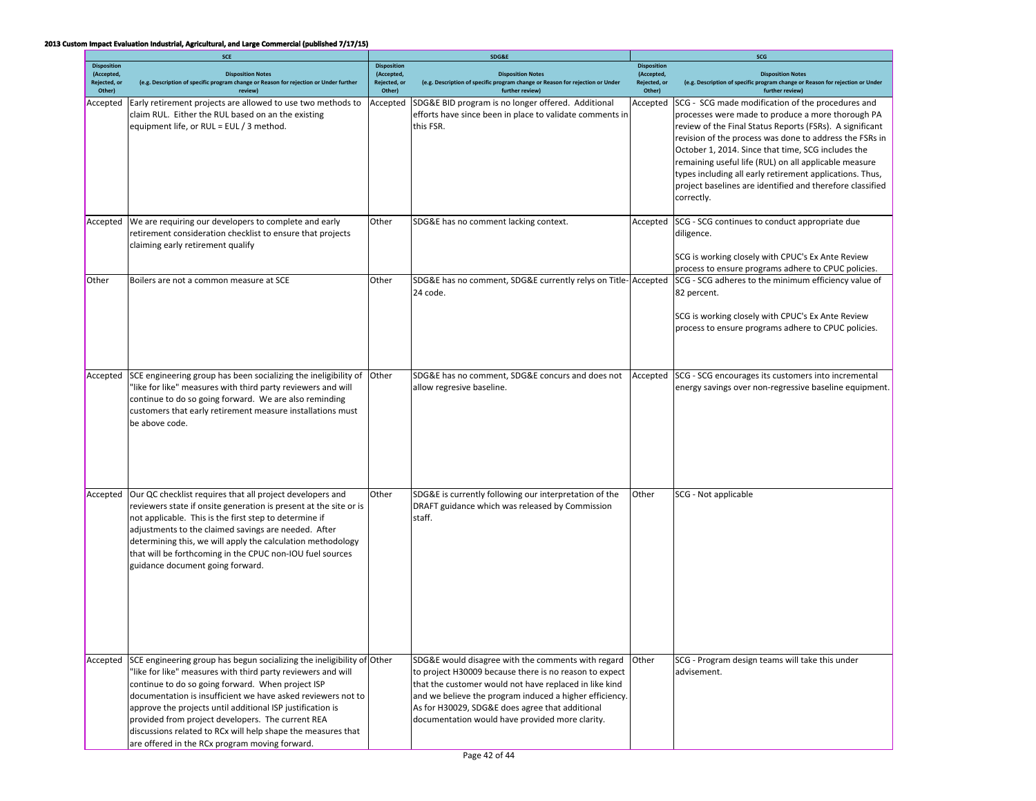|                            | <b>SCE</b>                                                                                                                                                                                                                                                                                                                                                                                                                                                                                       |                            | SDG&E                                                                                                                                                                                                                                                                                                                                   | SCG                        |                                                                                                                                                                                                                                                                                                                                                                                                                                                                                     |  |
|----------------------------|--------------------------------------------------------------------------------------------------------------------------------------------------------------------------------------------------------------------------------------------------------------------------------------------------------------------------------------------------------------------------------------------------------------------------------------------------------------------------------------------------|----------------------------|-----------------------------------------------------------------------------------------------------------------------------------------------------------------------------------------------------------------------------------------------------------------------------------------------------------------------------------------|----------------------------|-------------------------------------------------------------------------------------------------------------------------------------------------------------------------------------------------------------------------------------------------------------------------------------------------------------------------------------------------------------------------------------------------------------------------------------------------------------------------------------|--|
| <b>Disposition</b>         |                                                                                                                                                                                                                                                                                                                                                                                                                                                                                                  | <b>Disposition</b>         |                                                                                                                                                                                                                                                                                                                                         | <b>Disposition</b>         |                                                                                                                                                                                                                                                                                                                                                                                                                                                                                     |  |
| (Accepted,<br>Rejected, or | <b>Disposition Notes</b><br>(e.g. Description of specific program change or Reason for rejection or Under further                                                                                                                                                                                                                                                                                                                                                                                | (Accepted,<br>Rejected, or | <b>Disposition Notes</b><br>(e.g. Description of specific program change or Reason for rejection or Under                                                                                                                                                                                                                               | (Accepted,<br>Rejected, or | <b>Disposition Notes</b><br>(e.g. Description of specific program change or Reason for rejection or Under                                                                                                                                                                                                                                                                                                                                                                           |  |
| Other)                     | review)                                                                                                                                                                                                                                                                                                                                                                                                                                                                                          | Other)                     | further review)                                                                                                                                                                                                                                                                                                                         | Other)                     | further review)                                                                                                                                                                                                                                                                                                                                                                                                                                                                     |  |
| Accepted                   | Early retirement projects are allowed to use two methods to<br>claim RUL. Either the RUL based on an the existing<br>equipment life, or RUL = EUL / 3 method.                                                                                                                                                                                                                                                                                                                                    | Accepted                   | SDG&E BID program is no longer offered. Additional<br>efforts have since been in place to validate comments in<br>this FSR.                                                                                                                                                                                                             | Accepted                   | SCG - SCG made modification of the procedures and<br>processes were made to produce a more thorough PA<br>review of the Final Status Reports (FSRs). A significant<br>revision of the process was done to address the FSRs in<br>October 1, 2014. Since that time, SCG includes the<br>remaining useful life (RUL) on all applicable measure<br>types including all early retirement applications. Thus,<br>project baselines are identified and therefore classified<br>correctly. |  |
| Accepted                   | We are requiring our developers to complete and early<br>retirement consideration checklist to ensure that projects<br>claiming early retirement qualify                                                                                                                                                                                                                                                                                                                                         | Other                      | SDG&E has no comment lacking context.                                                                                                                                                                                                                                                                                                   | Accepted                   | SCG - SCG continues to conduct appropriate due<br>diligence.                                                                                                                                                                                                                                                                                                                                                                                                                        |  |
|                            |                                                                                                                                                                                                                                                                                                                                                                                                                                                                                                  |                            |                                                                                                                                                                                                                                                                                                                                         |                            | SCG is working closely with CPUC's Ex Ante Review<br>process to ensure programs adhere to CPUC policies.                                                                                                                                                                                                                                                                                                                                                                            |  |
| Other                      | Boilers are not a common measure at SCE                                                                                                                                                                                                                                                                                                                                                                                                                                                          | Other                      | SDG&E has no comment, SDG&E currently relys on Title- Accepted<br>24 code.                                                                                                                                                                                                                                                              |                            | SCG - SCG adheres to the minimum efficiency value of<br>82 percent.                                                                                                                                                                                                                                                                                                                                                                                                                 |  |
|                            |                                                                                                                                                                                                                                                                                                                                                                                                                                                                                                  |                            |                                                                                                                                                                                                                                                                                                                                         |                            | SCG is working closely with CPUC's Ex Ante Review<br>process to ensure programs adhere to CPUC policies.                                                                                                                                                                                                                                                                                                                                                                            |  |
| Accepted                   | SCE engineering group has been socializing the ineligibility of<br>'like for like" measures with third party reviewers and will<br>continue to do so going forward. We are also reminding<br>customers that early retirement measure installations must<br>be above code.                                                                                                                                                                                                                        | Other                      | SDG&E has no comment, SDG&E concurs and does not<br>allow regresive baseline.                                                                                                                                                                                                                                                           | Accepted                   | SCG - SCG encourages its customers into incremental<br>energy savings over non-regressive baseline equipment.                                                                                                                                                                                                                                                                                                                                                                       |  |
| Accepted                   | Our QC checklist requires that all project developers and<br>reviewers state if onsite generation is present at the site or is<br>not applicable. This is the first step to determine if<br>adjustments to the claimed savings are needed. After<br>determining this, we will apply the calculation methodology<br>that will be forthcoming in the CPUC non-IOU fuel sources<br>guidance document going forward.                                                                                 | Other                      | SDG&E is currently following our interpretation of the<br>DRAFT guidance which was released by Commission<br>staff.                                                                                                                                                                                                                     | Other                      | SCG - Not applicable                                                                                                                                                                                                                                                                                                                                                                                                                                                                |  |
| Accepted                   | SCE engineering group has begun socializing the ineligibility of Other<br>'like for like" measures with third party reviewers and will<br>continue to do so going forward. When project ISP<br>documentation is insufficient we have asked reviewers not to<br>approve the projects until additional ISP justification is<br>provided from project developers. The current REA<br>discussions related to RCx will help shape the measures that<br>are offered in the RCx program moving forward. |                            | SDG&E would disagree with the comments with regard<br>to project H30009 because there is no reason to expect<br>that the customer would not have replaced in like kind<br>and we believe the program induced a higher efficiency.<br>As for H30029, SDG&E does agree that additional<br>documentation would have provided more clarity. | Other                      | SCG - Program design teams will take this under<br>advisement.                                                                                                                                                                                                                                                                                                                                                                                                                      |  |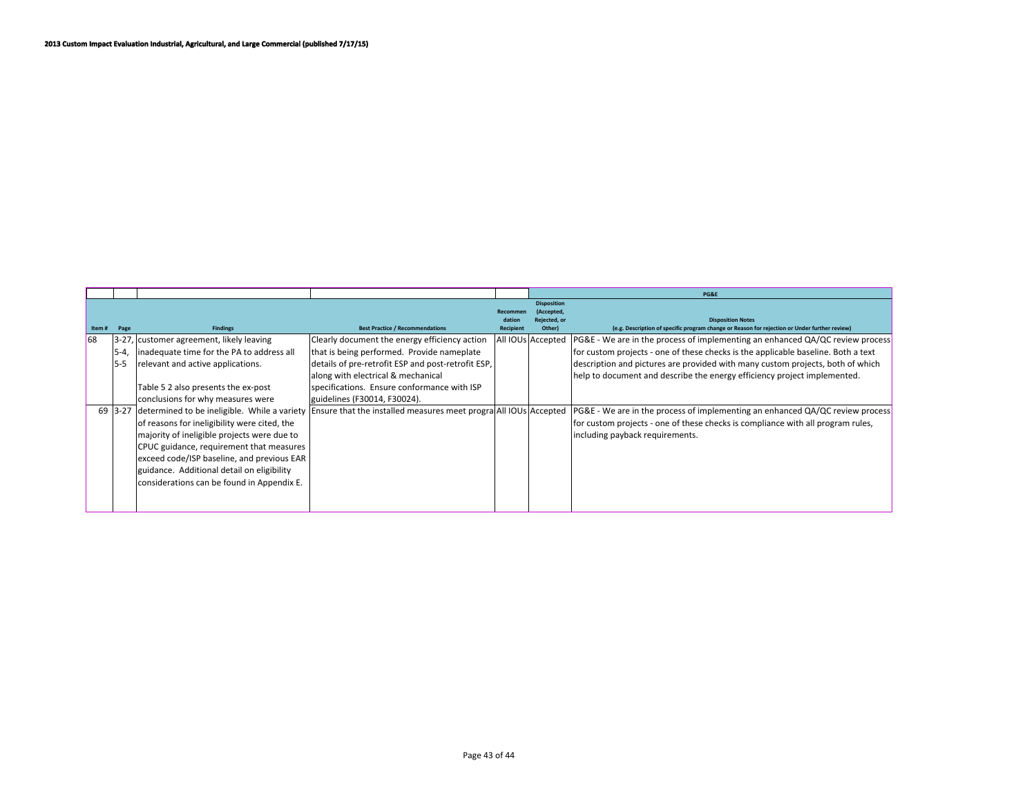|       |           |                                                                                                                                                                                                                                                                                                                                   |                                                                   |                    |                                                                   | PG&E                                                                                                                                                                                                |
|-------|-----------|-----------------------------------------------------------------------------------------------------------------------------------------------------------------------------------------------------------------------------------------------------------------------------------------------------------------------------------|-------------------------------------------------------------------|--------------------|-------------------------------------------------------------------|-----------------------------------------------------------------------------------------------------------------------------------------------------------------------------------------------------|
| Item# | Page      | <b>Findings</b>                                                                                                                                                                                                                                                                                                                   | <b>Best Practice / Recommendations</b>                            | dation<br>Recipien | <b>Disposition</b><br>(Accepted,<br><b>Rejected, or</b><br>Other) | <b>Disposition Notes</b><br>(e.g. Description of specific program change or Reason for rejection or Under further review)                                                                           |
| 168   |           | 3-27, customer agreement, likely leaving                                                                                                                                                                                                                                                                                          | Clearly document the energy efficiency action                     |                    | All IOUs Accepted                                                 | PG&E - We are in the process of implementing an enhanced QA/QC review process                                                                                                                       |
|       | $5 - 4$   | inadequate time for the PA to address all                                                                                                                                                                                                                                                                                         | that is being performed. Provide nameplate                        |                    |                                                                   | for custom projects - one of these checks is the applicable baseline. Both a text                                                                                                                   |
|       | $5 - 5$   | relevant and active applications.                                                                                                                                                                                                                                                                                                 | details of pre-retrofit ESP and post-retrofit ESP,                |                    |                                                                   | description and pictures are provided with many custom projects, both of which                                                                                                                      |
|       |           |                                                                                                                                                                                                                                                                                                                                   | along with electrical & mechanical                                |                    |                                                                   | help to document and describe the energy efficiency project implemented.                                                                                                                            |
|       |           | Table 5 2 also presents the ex-post                                                                                                                                                                                                                                                                                               | specifications. Ensure conformance with ISP                       |                    |                                                                   |                                                                                                                                                                                                     |
|       |           | conclusions for why measures were                                                                                                                                                                                                                                                                                                 | guidelines (F30014, F30024).                                      |                    |                                                                   |                                                                                                                                                                                                     |
|       | $69$ 3-27 | determined to be ineligible. While a variety<br>of reasons for ineligibility were cited, the<br>majority of ineligible projects were due to<br>CPUC guidance, requirement that measures<br>exceed code/ISP baseline, and previous EAR<br>guidance. Additional detail on eligibility<br>considerations can be found in Appendix E. | Ensure that the installed measures meet prograd All IOUs Accepted |                    |                                                                   | PG&E - We are in the process of implementing an enhanced QA/QC review process<br>for custom projects - one of these checks is compliance with all program rules,<br>including payback requirements. |